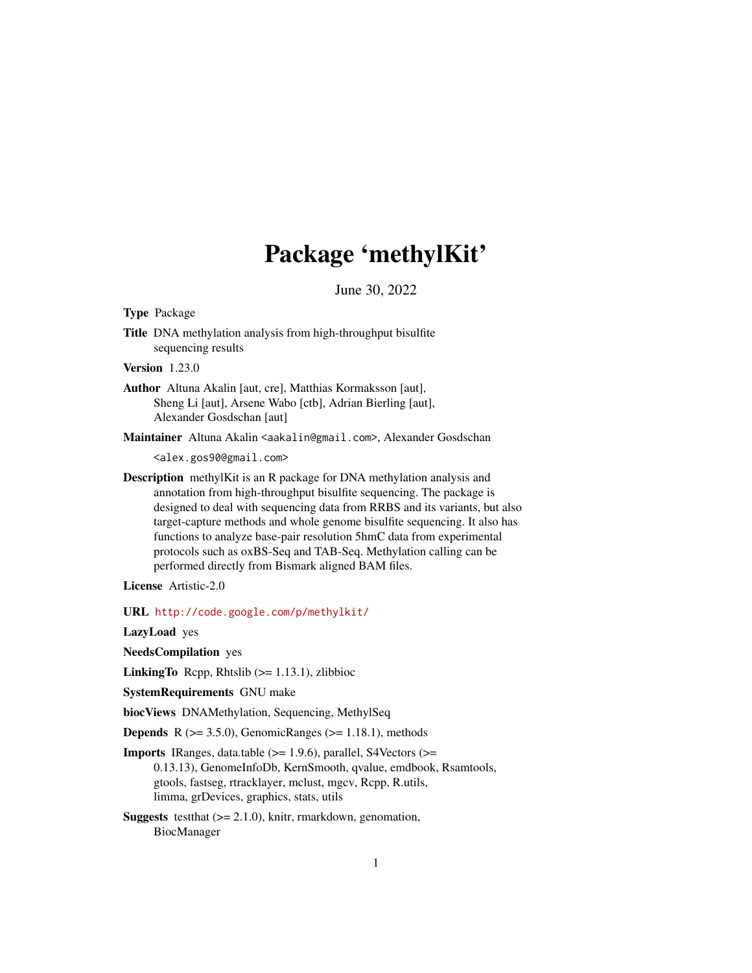# Package 'methylKit'

June 30, 2022

<span id="page-0-0"></span>Type Package

Title DNA methylation analysis from high-throughput bisulfite sequencing results

Version 1.23.0

Author Altuna Akalin [aut, cre], Matthias Kormaksson [aut], Sheng Li [aut], Arsene Wabo [ctb], Adrian Bierling [aut], Alexander Gosdschan [aut]

Maintainer Altuna Akalin <aakalin@gmail.com>, Alexander Gosdschan

<alex.gos90@gmail.com>

Description methylKit is an R package for DNA methylation analysis and annotation from high-throughput bisulfite sequencing. The package is designed to deal with sequencing data from RRBS and its variants, but also target-capture methods and whole genome bisulfite sequencing. It also has functions to analyze base-pair resolution 5hmC data from experimental protocols such as oxBS-Seq and TAB-Seq. Methylation calling can be performed directly from Bismark aligned BAM files.

License Artistic-2.0

URL <http://code.google.com/p/methylkit/>

LazyLoad yes

NeedsCompilation yes

**LinkingTo** Repp, Rhtslib  $(>= 1.13.1)$ , zlibbioc

SystemRequirements GNU make

biocViews DNAMethylation, Sequencing, MethylSeq

**Depends** R  $(>= 3.5.0)$ , GenomicRanges  $(>= 1.18.1)$ , methods

- **Imports** IRanges, data.table  $(>= 1.9.6)$ , parallel, S4Vectors  $(>=$ 0.13.13), GenomeInfoDb, KernSmooth, qvalue, emdbook, Rsamtools, gtools, fastseg, rtracklayer, mclust, mgcv, Rcpp, R.utils, limma, grDevices, graphics, stats, utils
- **Suggests** testthat  $(>= 2.1.0)$ , knitr, rmarkdown, genomation, BiocManager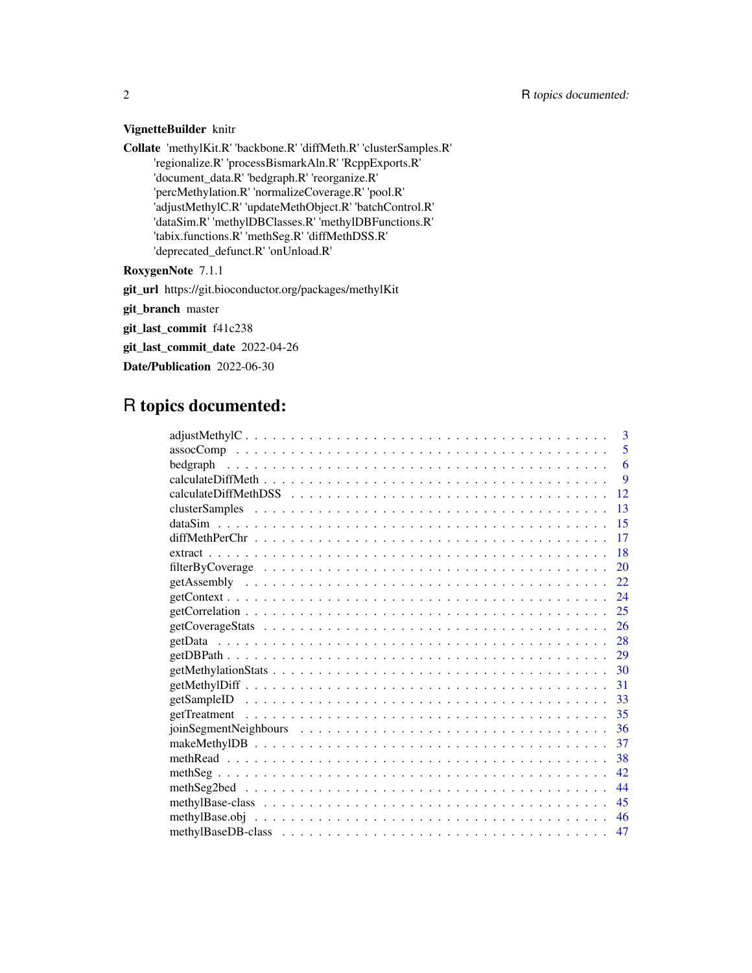## VignetteBuilder knitr

Collate 'methylKit.R' 'backbone.R' 'diffMeth.R' 'clusterSamples.R' 'regionalize.R' 'processBismarkAln.R' 'RcppExports.R' 'document\_data.R' 'bedgraph.R' 'reorganize.R' 'percMethylation.R' 'normalizeCoverage.R' 'pool.R' 'adjustMethylC.R' 'updateMethObject.R' 'batchControl.R' 'dataSim.R' 'methylDBClasses.R' 'methylDBFunctions.R' 'tabix.functions.R' 'methSeg.R' 'diffMethDSS.R' 'deprecated\_defunct.R' 'onUnload.R'

## RoxygenNote 7.1.1

git\_url https://git.bioconductor.org/packages/methylKit

git\_branch master

git\_last\_commit f41c238

git\_last\_commit\_date 2022-04-26

Date/Publication 2022-06-30

# R topics documented:

|     | 3  |
|-----|----|
|     | 5  |
|     | 6  |
|     | 9  |
|     | 12 |
| 13  |    |
| 15  |    |
| 17  |    |
| 18  |    |
| 20  |    |
| 22. |    |
| 24  |    |
| 25  |    |
| 26  |    |
| 28  |    |
| 29  |    |
| 30  |    |
| 31  |    |
| 33  |    |
| 35  |    |
| 36  |    |
| 37  |    |
| 38  |    |
| 42  |    |
| 44  |    |
| 45  |    |
| 46  |    |
| 47  |    |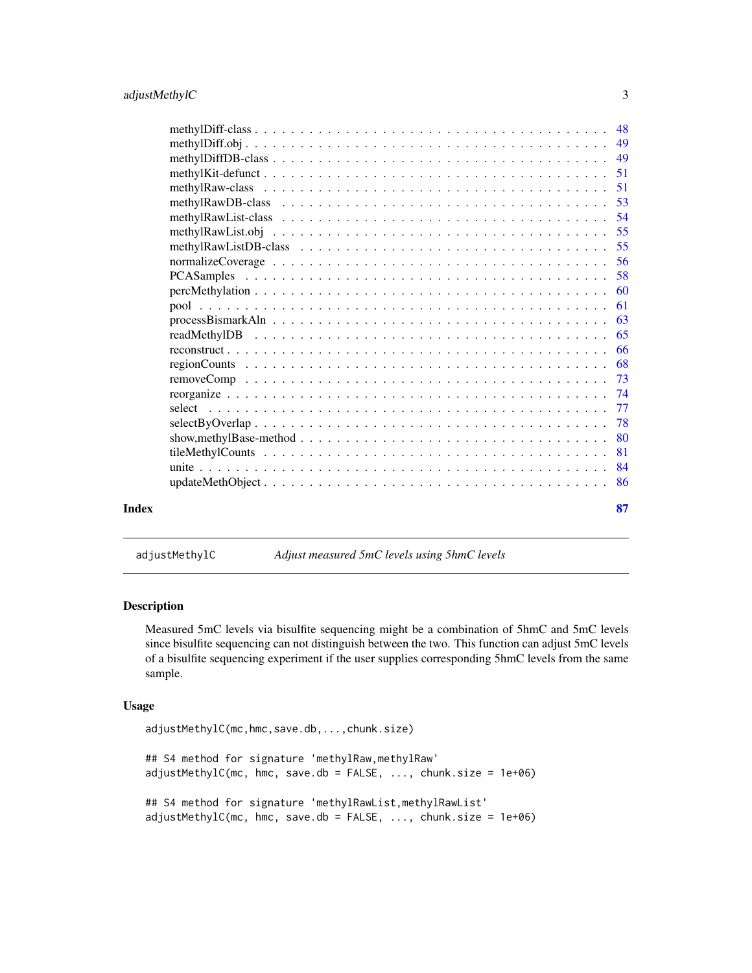<span id="page-2-0"></span>

| Index | 87                                                                                                                         |
|-------|----------------------------------------------------------------------------------------------------------------------------|
|       | -86                                                                                                                        |
|       | 84                                                                                                                         |
|       | 81                                                                                                                         |
|       | 80<br>show, methylBase-method $\ldots \ldots \ldots \ldots \ldots \ldots \ldots \ldots \ldots \ldots \ldots \ldots \ldots$ |
|       | 78<br>$selectByOverlap$                                                                                                    |
|       | 77                                                                                                                         |
|       | 74                                                                                                                         |
|       | 73                                                                                                                         |
|       | 68                                                                                                                         |
|       | 66                                                                                                                         |
|       | 65                                                                                                                         |
|       | 63                                                                                                                         |
|       | 61                                                                                                                         |
|       | 60                                                                                                                         |
|       | 58                                                                                                                         |
|       | 56                                                                                                                         |
|       | 55                                                                                                                         |
|       | 55                                                                                                                         |
|       | 54                                                                                                                         |
|       | 53                                                                                                                         |
|       | 51<br>51                                                                                                                   |
|       | 49                                                                                                                         |
|       | 49                                                                                                                         |
|       | -48                                                                                                                        |
|       |                                                                                                                            |

adjustMethylC *Adjust measured 5mC levels using 5hmC levels*

## Description

Measured 5mC levels via bisulfite sequencing might be a combination of 5hmC and 5mC levels since bisulfite sequencing can not distinguish between the two. This function can adjust 5mC levels of a bisulfite sequencing experiment if the user supplies corresponding 5hmC levels from the same sample.

```
adjustMethylC(mc,hmc,save.db,...,chunk.size)
## S4 method for signature 'methylRaw, methylRaw'
adjustMethod(mc, hmc, save.db = FALSE, ..., chunk.size = 1e+06)## S4 method for signature 'methylRawList,methylRawList'
adjustMethod(mc, hmc, save.db = FALSE, ..., chunk.size = 1e+06)
```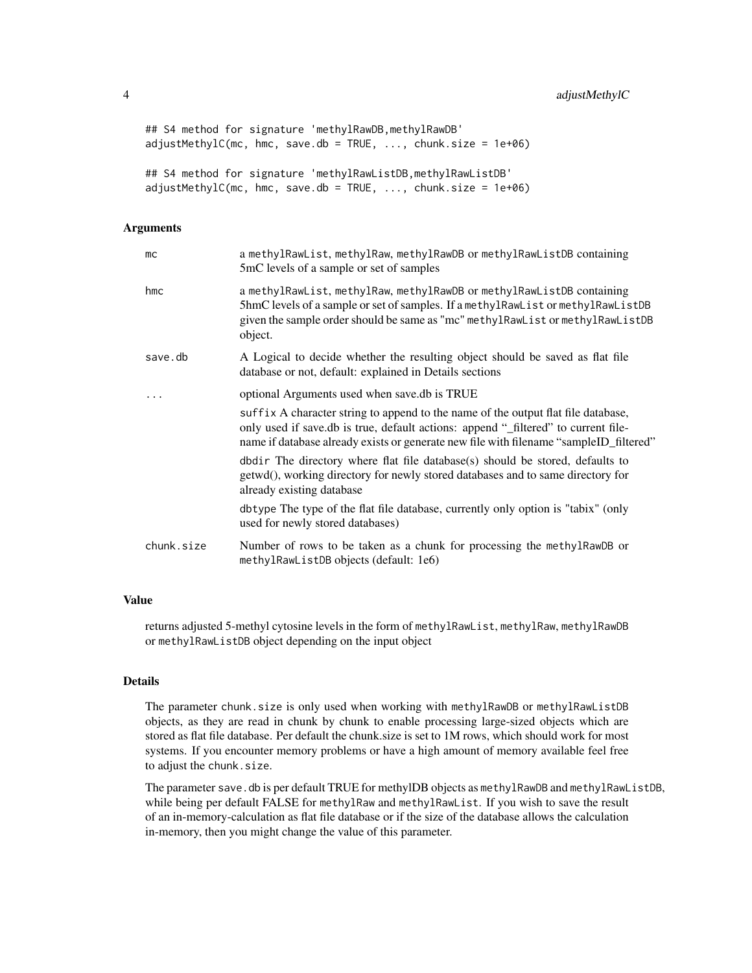```
## S4 method for signature 'methylRawDB,methylRawDB'
adjustMethod(mc, hmc, save.db = TRUE, ..., chunk.size = 1e+06)## S4 method for signature 'methylRawListDB,methylRawListDB'
adjustMethod(Cmc, hmc, save.db = TRUE, ..., chunk.size = 1e+06)
```
#### Arguments

| mc         | a methylRawList, methylRaw, methylRawDB or methylRawListDB containing<br>5mC levels of a sample or set of samples                                                                                                                                                 |
|------------|-------------------------------------------------------------------------------------------------------------------------------------------------------------------------------------------------------------------------------------------------------------------|
| hmc        | a methylRawList, methylRaw, methylRawDB or methylRawListDB containing<br>5hmC levels of a sample or set of samples. If a methy lRawList or methy lRawListDB<br>given the sample order should be same as "mc" methylRawList or methylRawListDB<br>object.          |
| save.db    | A Logical to decide whether the resulting object should be saved as flat file<br>database or not, default: explained in Details sections                                                                                                                          |
|            | optional Arguments used when save.db is TRUE                                                                                                                                                                                                                      |
|            | suffix A character string to append to the name of the output flat file database,<br>only used if save.db is true, default actions: append "_filtered" to current file-<br>name if database already exists or generate new file with filename "sampleID_filtered" |
|            | dbdir The directory where flat file database(s) should be stored, defaults to<br>getwd(), working directory for newly stored databases and to same directory for<br>already existing database                                                                     |
|            | dbtype The type of the flat file database, currently only option is "tabix" (only<br>used for newly stored databases)                                                                                                                                             |
| chunk.size | Number of rows to be taken as a chunk for processing the methylRawDB or<br>methylRawListDB objects (default: 1e6)                                                                                                                                                 |

## Value

returns adjusted 5-methyl cytosine levels in the form of methylRawList, methylRaw, methylRawDB or methylRawListDB object depending on the input object

#### Details

The parameter chunk.size is only used when working with methylRawDB or methylRawListDB objects, as they are read in chunk by chunk to enable processing large-sized objects which are stored as flat file database. Per default the chunk.size is set to 1M rows, which should work for most systems. If you encounter memory problems or have a high amount of memory available feel free to adjust the chunk.size.

The parameter save.db is per default TRUE for methylDB objects as methylRawDB and methylRawListDB, while being per default FALSE for methylRaw and methylRawList. If you wish to save the result of an in-memory-calculation as flat file database or if the size of the database allows the calculation in-memory, then you might change the value of this parameter.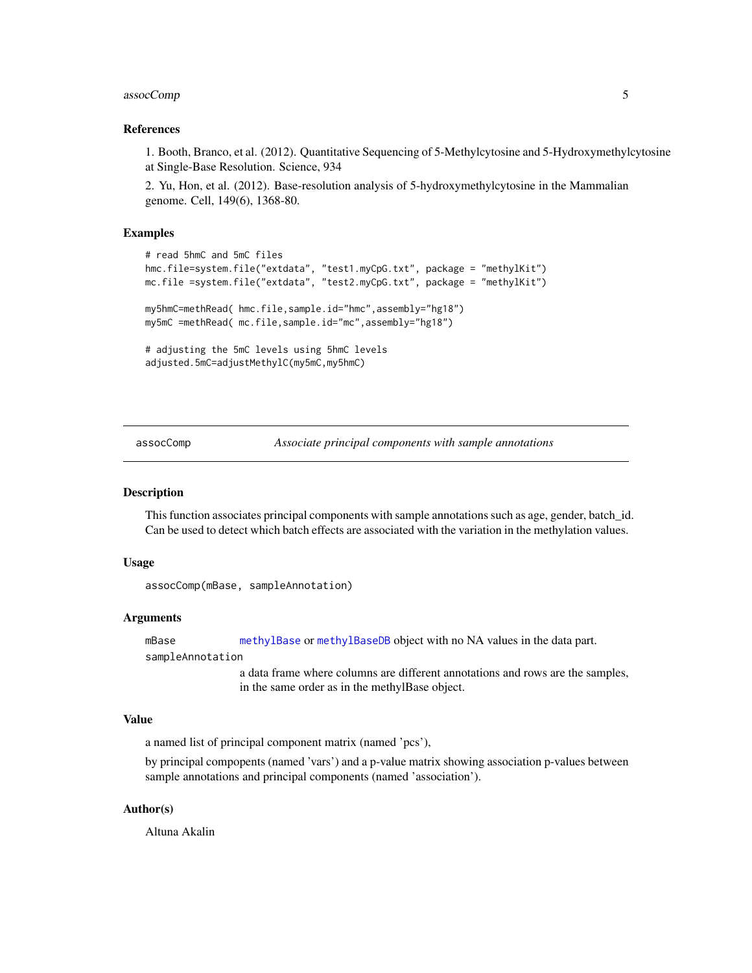## <span id="page-4-0"></span>assocComp 5

## References

1. Booth, Branco, et al. (2012). Quantitative Sequencing of 5-Methylcytosine and 5-Hydroxymethylcytosine at Single-Base Resolution. Science, 934

2. Yu, Hon, et al. (2012). Base-resolution analysis of 5-hydroxymethylcytosine in the Mammalian genome. Cell, 149(6), 1368-80.

#### Examples

```
# read 5hmC and 5mC files
hmc.file=system.file("extdata", "test1.myCpG.txt", package = "methylKit")
mc.file =system.file("extdata", "test2.myCpG.txt", package = "methylKit")
my5hmC=methRead( hmc.file,sample.id="hmc",assembly="hg18")
my5mC =methRead( mc.file,sample.id="mc",assembly="hg18")
# adjusting the 5mC levels using 5hmC levels
adjusted.5mC=adjustMethylC(my5mC,my5hmC)
```
assocComp *Associate principal components with sample annotations*

#### Description

This function associates principal components with sample annotations such as age, gender, batch\_id. Can be used to detect which batch effects are associated with the variation in the methylation values.

#### Usage

```
assocComp(mBase, sampleAnnotation)
```
#### Arguments

mBase [methylBase](#page-44-1) or [methylBaseDB](#page-46-1) object with no NA values in the data part.

sampleAnnotation

a data frame where columns are different annotations and rows are the samples, in the same order as in the methylBase object.

#### Value

a named list of principal component matrix (named 'pcs'),

by principal compopents (named 'vars') and a p-value matrix showing association p-values between sample annotations and principal components (named 'association').

## Author(s)

Altuna Akalin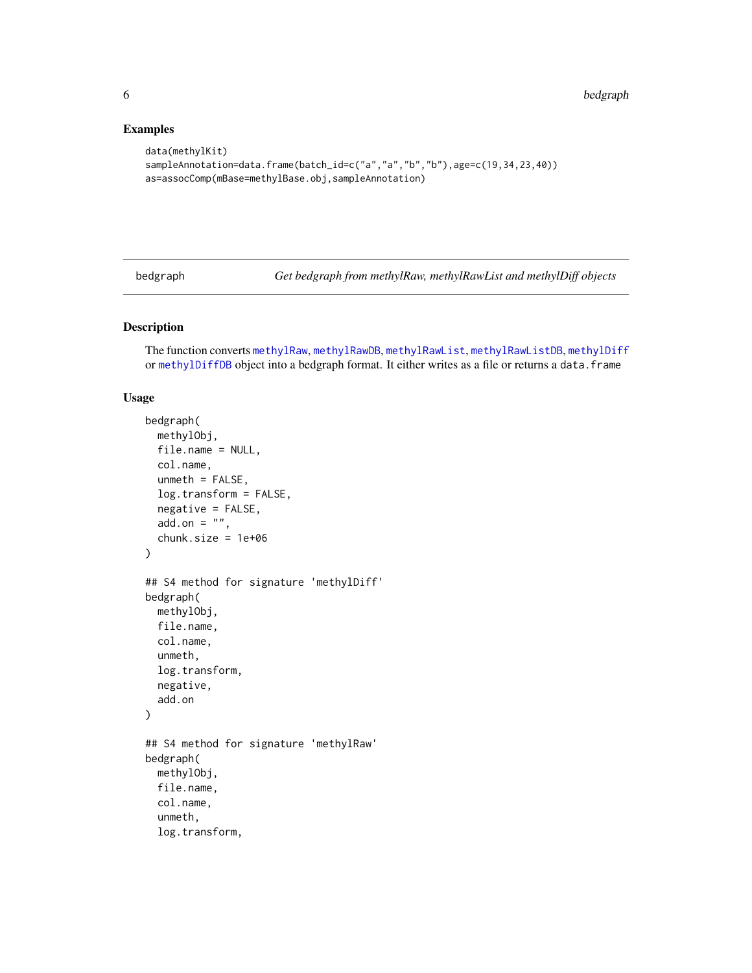## Examples

```
data(methylKit)
sampleAnnotation=data.frame(batch_id=c("a","a","b","b"),age=c(19,34,23,40))
as=assocComp(mBase=methylBase.obj,sampleAnnotation)
```
bedgraph *Get bedgraph from methylRaw, methylRawList and methylDiff objects*

### Description

The function converts [methylRaw](#page-50-1), [methylRawDB](#page-52-1), [methylRawList](#page-53-1), [methylRawListDB](#page-54-1), [methylDiff](#page-47-1) or [methylDiffDB](#page-48-1) object into a bedgraph format. It either writes as a file or returns a data.frame

```
bedgraph(
 methylObj,
  file.name = NULL,
  col.name,
  unmeth = FALSE,log.transform = FALSE,
  negative = FALSE,
 add.on = ",
  chunk.size = 1e+06)
## S4 method for signature 'methylDiff'
bedgraph(
 methylObj,
  file.name,
  col.name,
  unmeth,
  log.transform,
  negative,
  add.on
)
## S4 method for signature 'methylRaw'
bedgraph(
 methylObj,
  file.name,
  col.name,
  unmeth,
  log.transform,
```
<span id="page-5-0"></span>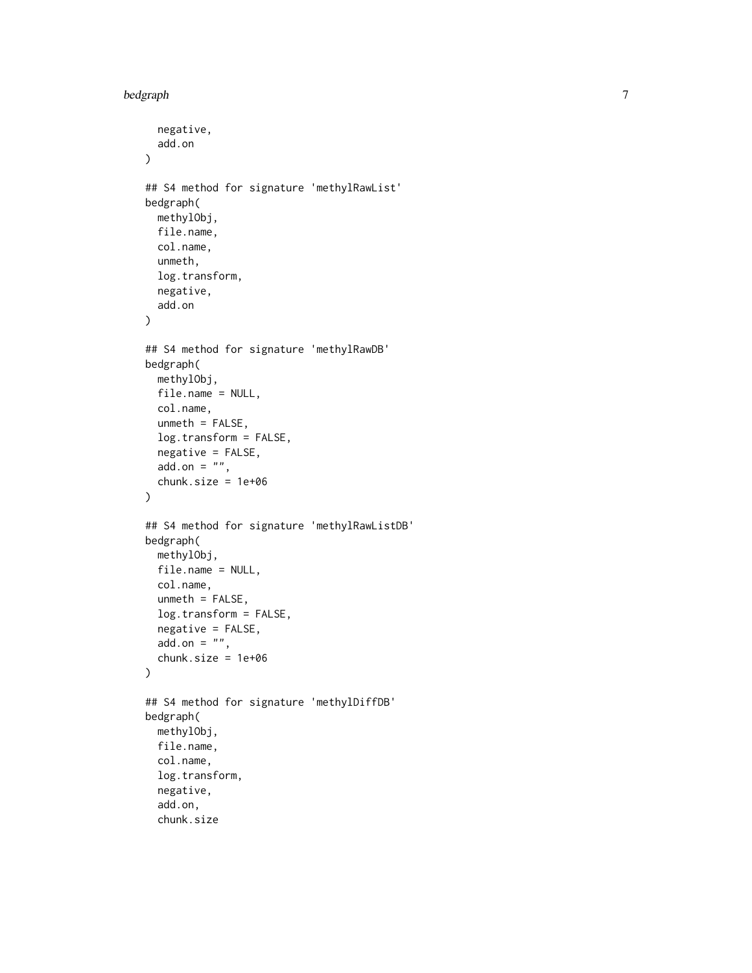```
negative,
  add.on
\lambda## S4 method for signature 'methylRawList'
bedgraph(
 methylObj,
  file.name,
  col.name,
  unmeth,
  log.transform,
  negative,
  add.on
)
## S4 method for signature 'methylRawDB'
bedgraph(
 methylObj,
  file.name = NULL,
  col.name,
  unmeth = FALSE,log.transform = FALSE,
  negative = FALSE,
  add. on = ",
  chunk.size = 1e+06
)
## S4 method for signature 'methylRawListDB'
bedgraph(
 methylObj,
  file.name = NULL,
  col.name,
  unmeth = FALSE,log.transform = FALSE,
  negative = FALSE,
  add.on = ",
  chunk.size = 1e+06
)
## S4 method for signature 'methylDiffDB'
bedgraph(
 methylObj,
  file.name,
  col.name,
  log.transform,
  negative,
  add.on,
  chunk.size
```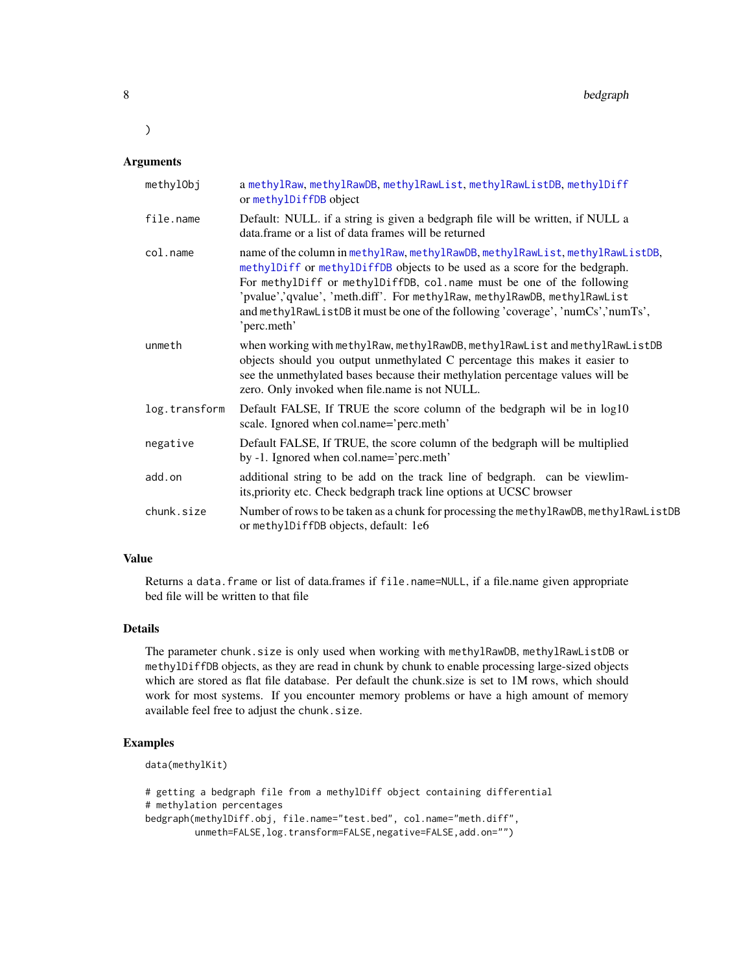8 bedgraph

#### Arguments

 $\mathcal{L}$ 

| methylObj     | a methylRaw, methylRawDB, methylRawList, methylRawListDB, methylDiff<br>or methylDiffDB object                                                                                                                                                                                                                                                                                                                       |
|---------------|----------------------------------------------------------------------------------------------------------------------------------------------------------------------------------------------------------------------------------------------------------------------------------------------------------------------------------------------------------------------------------------------------------------------|
| file.name     | Default: NULL. if a string is given a bedgraph file will be written, if NULL a<br>data.frame or a list of data frames will be returned                                                                                                                                                                                                                                                                               |
| col.name      | name of the column in methylRaw, methylRawDB, methylRawList, methylRawListDB,<br>methylDiff or methylDiffDB objects to be used as a score for the bedgraph.<br>For methylDiff or methylDiffDB, col.name must be one of the following<br>'pvalue','qvalue', 'meth.diff'. For methylRaw, methylRawDB, methylRawList<br>and methylRawListDB it must be one of the following 'coverage', 'numCs','numTs',<br>'perc.meth' |
| unmeth        | when working with methylRaw, methylRawDB, methylRawList and methylRawListDB<br>objects should you output unmethylated C percentage this makes it easier to<br>see the unmethylated bases because their methylation percentage values will be<br>zero. Only invoked when file.name is not NULL.                                                                                                                       |
| log.transform | Default FALSE, If TRUE the score column of the bedgraph wil be in log10<br>scale. Ignored when col.name='perc.meth'                                                                                                                                                                                                                                                                                                  |
| negative      | Default FALSE, If TRUE, the score column of the bedgraph will be multiplied<br>by -1. Ignored when col.name='perc.meth'                                                                                                                                                                                                                                                                                              |
| add.on        | additional string to be add on the track line of bedgraph. can be viewlim-<br>its, priority etc. Check bedgraph track line options at UCSC browser                                                                                                                                                                                                                                                                   |
| chunk.size    | Number of rows to be taken as a chunk for processing the methylRawDB, methylRawListDB<br>or methylDiffDB objects, default: 1e6                                                                                                                                                                                                                                                                                       |

## Value

Returns a data.frame or list of data.frames if file.name=NULL, if a file.name given appropriate bed file will be written to that file

## Details

The parameter chunk.size is only used when working with methylRawDB, methylRawListDB or methylDiffDB objects, as they are read in chunk by chunk to enable processing large-sized objects which are stored as flat file database. Per default the chunk.size is set to 1M rows, which should work for most systems. If you encounter memory problems or have a high amount of memory available feel free to adjust the chunk.size.

## Examples

```
data(methylKit)
```

```
# getting a bedgraph file from a methylDiff object containing differential
# methylation percentages
bedgraph(methylDiff.obj, file.name="test.bed", col.name="meth.diff",
        unmeth=FALSE,log.transform=FALSE,negative=FALSE,add.on="")
```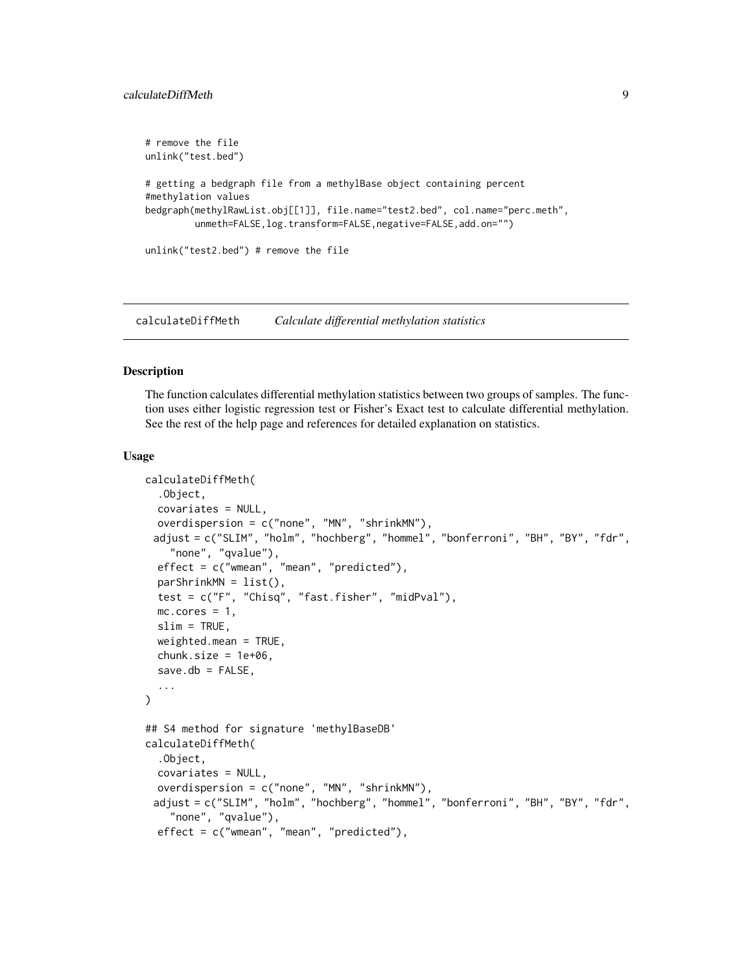```
# remove the file
unlink("test.bed")
# getting a bedgraph file from a methylBase object containing percent
#methylation values
bedgraph(methylRawList.obj[[1]], file.name="test2.bed", col.name="perc.meth",
         unmeth=FALSE, log.transform=FALSE, negative=FALSE, add.on="")
unlink("test2.bed") # remove the file
```
calculateDiffMeth *Calculate differential methylation statistics*

#### Description

The function calculates differential methylation statistics between two groups of samples. The function uses either logistic regression test or Fisher's Exact test to calculate differential methylation. See the rest of the help page and references for detailed explanation on statistics.

```
calculateDiffMeth(
  .Object,
  covariates = NULL,
  overdispersion = c("none", "MN", "shrinkMN"),
 adjust = c("SLIM", "holm", "hochberg", "hommel", "bonferroni", "BH", "BY", "fdr",
    "none", "qvalue"),
  effect = c("wmean", "mean", "predicted"),
  parShrinkMN = list(),
  test = c("F", "Chisq", "fast.fisher", "midPval"),
  mc.cores = 1,
  slim = TRUE,
  weighted.mean = TRUE,
  chunk.size = 1e+06,save.db = FALSE,
  ...
)
## S4 method for signature 'methylBaseDB'
calculateDiffMeth(
  .Object,
  covariates = NULL,
  overdispersion = c("none", "MN", "shrinkMN"),
 adjust = c("SLIM", "holm", "hochberg", "hommel", "bonferroni", "BH", "BY", "fdr",
    "none", "qvalue"),
  effect = c("wmean", "mean", "predicted"),
```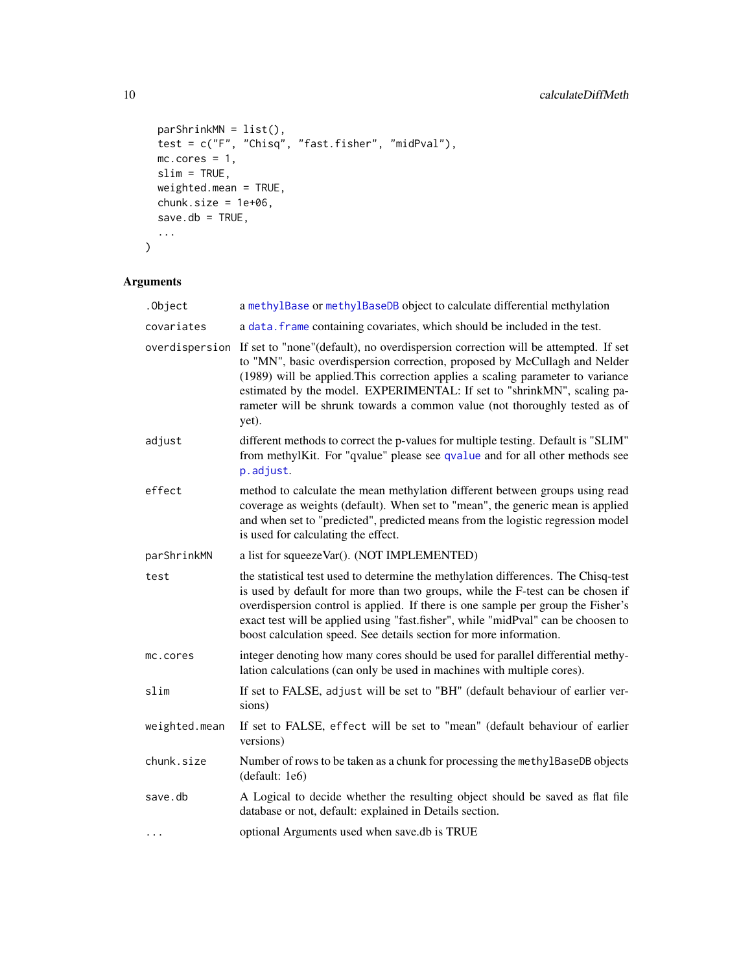```
parShrinkMN = list(),
  test = c("F", "Chisq", "fast.fisher", "midPval"),
 mc.cores = 1,slim = TRUE,
 weighted.mean = TRUE,
 chunk.size = 1e+06,
 save.db = TRUE,
  ...
\mathcal{L}
```
## Arguments

| .0bject        | a methylBase or methylBaseDB object to calculate differential methylation                                                                                                                                                                                                                                                                                                                                            |
|----------------|----------------------------------------------------------------------------------------------------------------------------------------------------------------------------------------------------------------------------------------------------------------------------------------------------------------------------------------------------------------------------------------------------------------------|
| covariates     | a data. frame containing covariates, which should be included in the test.                                                                                                                                                                                                                                                                                                                                           |
| overdispersion | If set to "none"(default), no overdispersion correction will be attempted. If set<br>to "MN", basic overdispersion correction, proposed by McCullagh and Nelder<br>(1989) will be applied. This correction applies a scaling parameter to variance<br>estimated by the model. EXPERIMENTAL: If set to "shrinkMN", scaling pa-<br>rameter will be shrunk towards a common value (not thoroughly tested as of<br>yet). |
| adjust         | different methods to correct the p-values for multiple testing. Default is "SLIM"<br>from methylKit. For "qvalue" please see qvalue and for all other methods see<br>p.adjust.                                                                                                                                                                                                                                       |
| effect         | method to calculate the mean methylation different between groups using read<br>coverage as weights (default). When set to "mean", the generic mean is applied<br>and when set to "predicted", predicted means from the logistic regression model<br>is used for calculating the effect.                                                                                                                             |
| parShrinkMN    | a list for squeezeVar(). (NOT IMPLEMENTED)                                                                                                                                                                                                                                                                                                                                                                           |
| test           | the statistical test used to determine the methylation differences. The Chisq-test<br>is used by default for more than two groups, while the F-test can be chosen if<br>overdispersion control is applied. If there is one sample per group the Fisher's<br>exact test will be applied using "fast.fisher", while "midPval" can be choosen to<br>boost calculation speed. See details section for more information.  |
| mc.cores       | integer denoting how many cores should be used for parallel differential methy-<br>lation calculations (can only be used in machines with multiple cores).                                                                                                                                                                                                                                                           |
| slim           | If set to FALSE, adjust will be set to "BH" (default behaviour of earlier ver-<br>sions)                                                                                                                                                                                                                                                                                                                             |
| weighted.mean  | If set to FALSE, effect will be set to "mean" (default behaviour of earlier<br>versions)                                                                                                                                                                                                                                                                                                                             |
| chunk.size     | Number of rows to be taken as a chunk for processing the methylBaseDB objects<br>(default: 1e6)                                                                                                                                                                                                                                                                                                                      |
| save.db        | A Logical to decide whether the resulting object should be saved as flat file<br>database or not, default: explained in Details section.                                                                                                                                                                                                                                                                             |
| .              | optional Arguments used when save.db is TRUE                                                                                                                                                                                                                                                                                                                                                                         |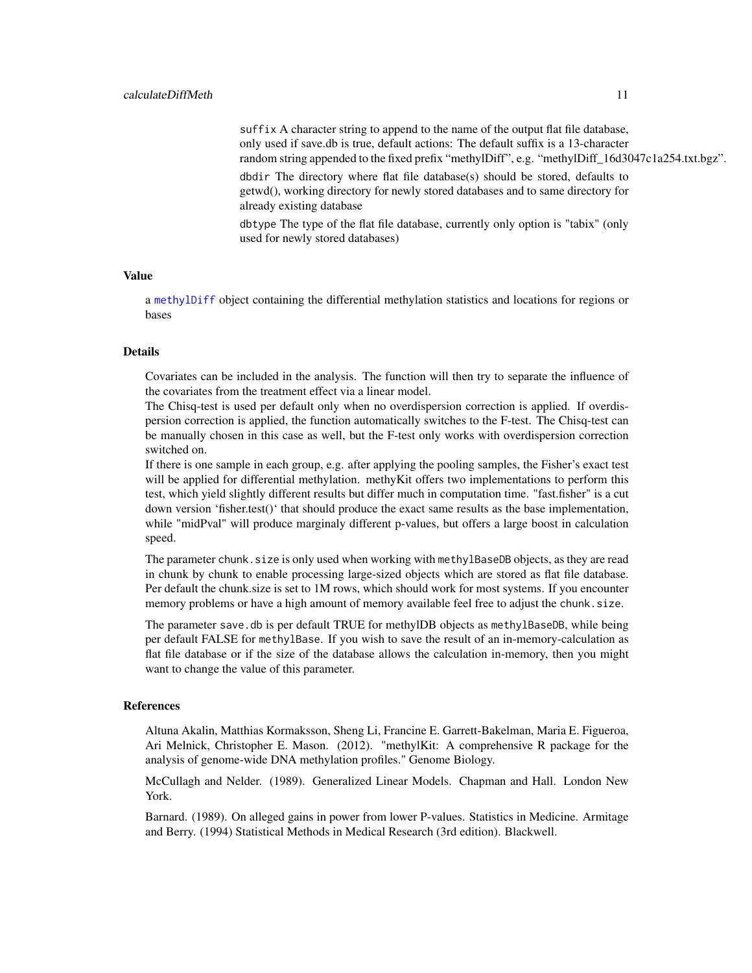suffix A character string to append to the name of the output flat file database, only used if save.db is true, default actions: The default suffix is a 13-character random string appended to the fixed prefix "methylDiff", e.g. "methylDiff\_16d3047c1a254.txt.bgz". dbdir The directory where flat file database(s) should be stored, defaults to

getwd(), working directory for newly stored databases and to same directory for already existing database

dbtype The type of the flat file database, currently only option is "tabix" (only used for newly stored databases)

## Value

a [methylDiff](#page-47-1) object containing the differential methylation statistics and locations for regions or bases

## Details

Covariates can be included in the analysis. The function will then try to separate the influence of the covariates from the treatment effect via a linear model.

The Chisq-test is used per default only when no overdispersion correction is applied. If overdispersion correction is applied, the function automatically switches to the F-test. The Chisq-test can be manually chosen in this case as well, but the F-test only works with overdispersion correction switched on.

If there is one sample in each group, e.g. after applying the pooling samples, the Fisher's exact test will be applied for differential methylation. methyKit offers two implementations to perform this test, which yield slightly different results but differ much in computation time. "fast.fisher" is a cut down version 'fisher.test()' that should produce the exact same results as the base implementation, while "midPval" will produce marginaly different p-values, but offers a large boost in calculation speed.

The parameter chunk. size is only used when working with methylBaseDB objects, as they are read in chunk by chunk to enable processing large-sized objects which are stored as flat file database. Per default the chunk.size is set to 1M rows, which should work for most systems. If you encounter memory problems or have a high amount of memory available feel free to adjust the chunk.size.

The parameter save.db is per default TRUE for methylDB objects as methylBaseDB, while being per default FALSE for methylBase. If you wish to save the result of an in-memory-calculation as flat file database or if the size of the database allows the calculation in-memory, then you might want to change the value of this parameter.

#### References

Altuna Akalin, Matthias Kormaksson, Sheng Li, Francine E. Garrett-Bakelman, Maria E. Figueroa, Ari Melnick, Christopher E. Mason. (2012). "methylKit: A comprehensive R package for the analysis of genome-wide DNA methylation profiles." Genome Biology.

McCullagh and Nelder. (1989). Generalized Linear Models. Chapman and Hall. London New York.

Barnard. (1989). On alleged gains in power from lower P-values. Statistics in Medicine. Armitage and Berry. (1994) Statistical Methods in Medical Research (3rd edition). Blackwell.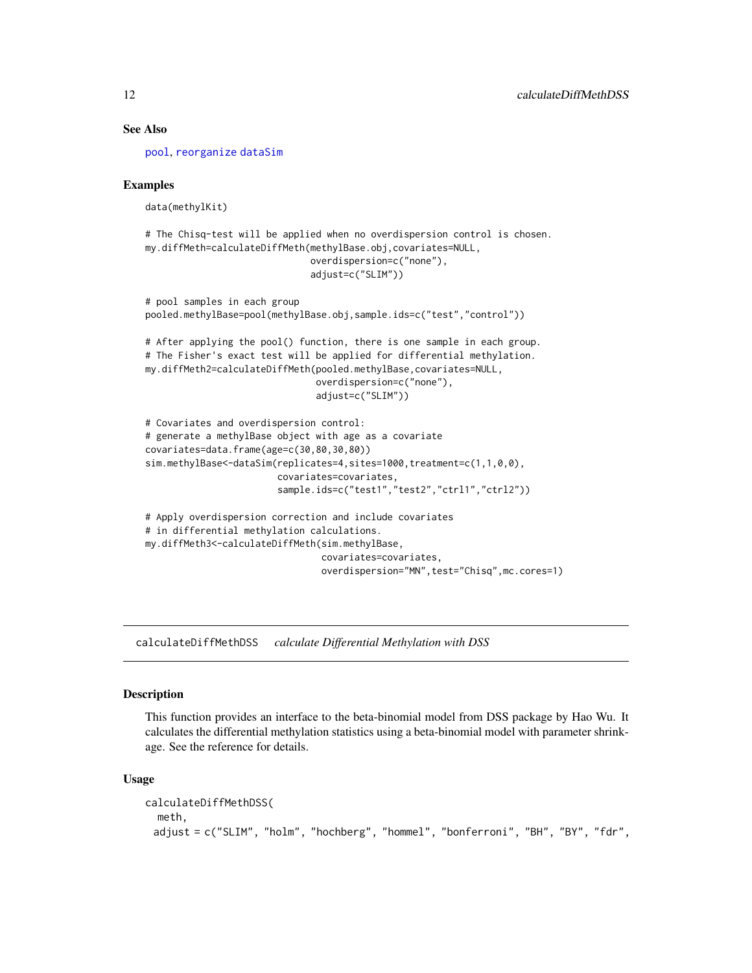## See Also

[pool](#page-60-1), [reorganize](#page-73-1) [dataSim](#page-14-1)

## Examples

data(methylKit)

# The Chisq-test will be applied when no overdispersion control is chosen. my.diffMeth=calculateDiffMeth(methylBase.obj,covariates=NULL, overdispersion=c("none"), adjust=c("SLIM"))

```
# pool samples in each group
pooled.methylBase=pool(methylBase.obj,sample.ids=c("test","control"))
# After applying the pool() function, there is one sample in each group.
# The Fisher's exact test will be applied for differential methylation.
my.diffMeth2=calculateDiffMeth(pooled.methylBase,covariates=NULL,
                               overdispersion=c("none"),
                               adjust=c("SLIM"))
# Covariates and overdispersion control:
# generate a methylBase object with age as a covariate
covariates=data.frame(age=c(30,80,30,80))
sim.methylBase<-dataSim(replicates=4,sites=1000,treatment=c(1,1,0,0),
                        covariates=covariates,
                        sample.ids=c("test1","test2","ctrl1","ctrl2"))
# Apply overdispersion correction and include covariates
# in differential methylation calculations.
my.diffMeth3<-calculateDiffMeth(sim.methylBase,
                                covariates=covariates,
```
overdispersion="MN",test="Chisq",mc.cores=1)

calculateDiffMethDSS *calculate Differential Methylation with DSS*

#### Description

This function provides an interface to the beta-binomial model from DSS package by Hao Wu. It calculates the differential methylation statistics using a beta-binomial model with parameter shrinkage. See the reference for details.

```
calculateDiffMethDSS(
  meth,
 adjust = c("SLIM", "holm", "hochberg", "hommel", "bonferroni", "BH", "BY", "fdr",
```
<span id="page-11-0"></span>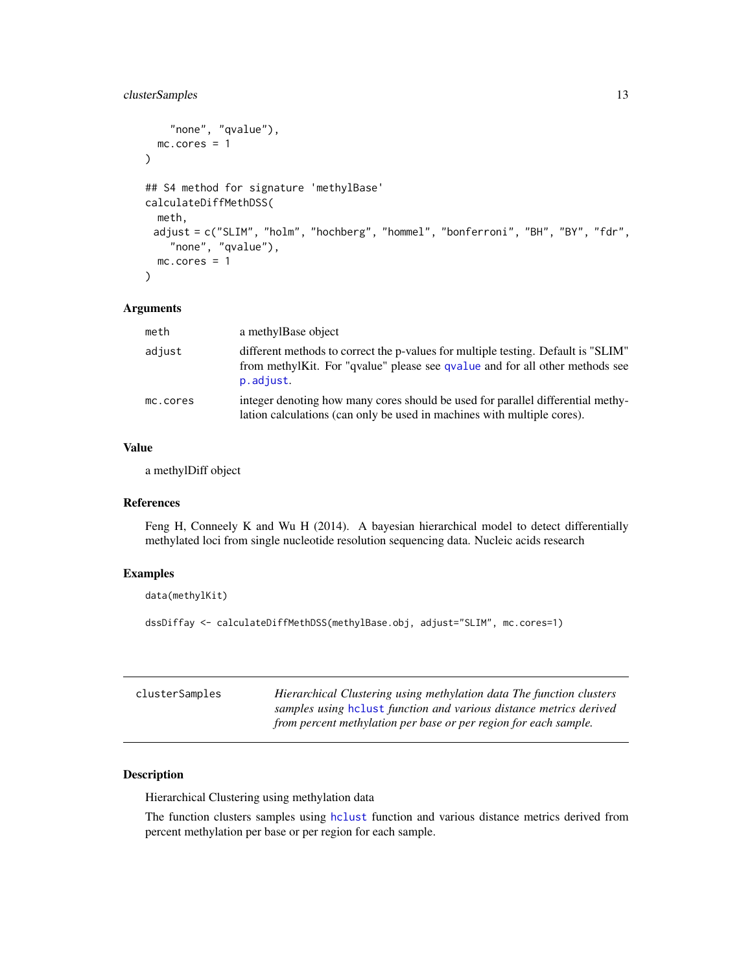## <span id="page-12-0"></span>clusterSamples 13

```
"none", "qvalue"),
 mc.core = 1
)
## S4 method for signature 'methylBase'
calculateDiffMethDSS(
 meth,
 adjust = c("SLIM", "holm", "hochberg", "hommel", "bonferroni", "BH", "BY", "fdr",
    "none", "qvalue"),
  mc.cores = 1
\mathcal{L}
```
## Arguments

| meth     | a methylBase object                                                                                                                                                            |
|----------|--------------------------------------------------------------------------------------------------------------------------------------------------------------------------------|
| adjust   | different methods to correct the p-values for multiple testing. Default is "SLIM"<br>from methylKit. For "qvalue" please see qvalue and for all other methods see<br>p.adjust. |
| mc.cores | integer denoting how many cores should be used for parallel differential methy-<br>lation calculations (can only be used in machines with multiple cores).                     |

## Value

a methylDiff object

#### References

Feng H, Conneely K and Wu H (2014). A bayesian hierarchical model to detect differentially methylated loci from single nucleotide resolution sequencing data. Nucleic acids research

## Examples

data(methylKit)

```
dssDiffay <- calculateDiffMethDSS(methylBase.obj, adjust="SLIM", mc.cores=1)
```

| clusterSamples | Hierarchical Clustering using methylation data The function clusters<br>samples using heliust function and various distance metrics derived |
|----------------|---------------------------------------------------------------------------------------------------------------------------------------------|
|                | from percent methylation per base or per region for each sample.                                                                            |

## Description

Hierarchical Clustering using methylation data

The function clusters samples using [hclust](#page-0-0) function and various distance metrics derived from percent methylation per base or per region for each sample.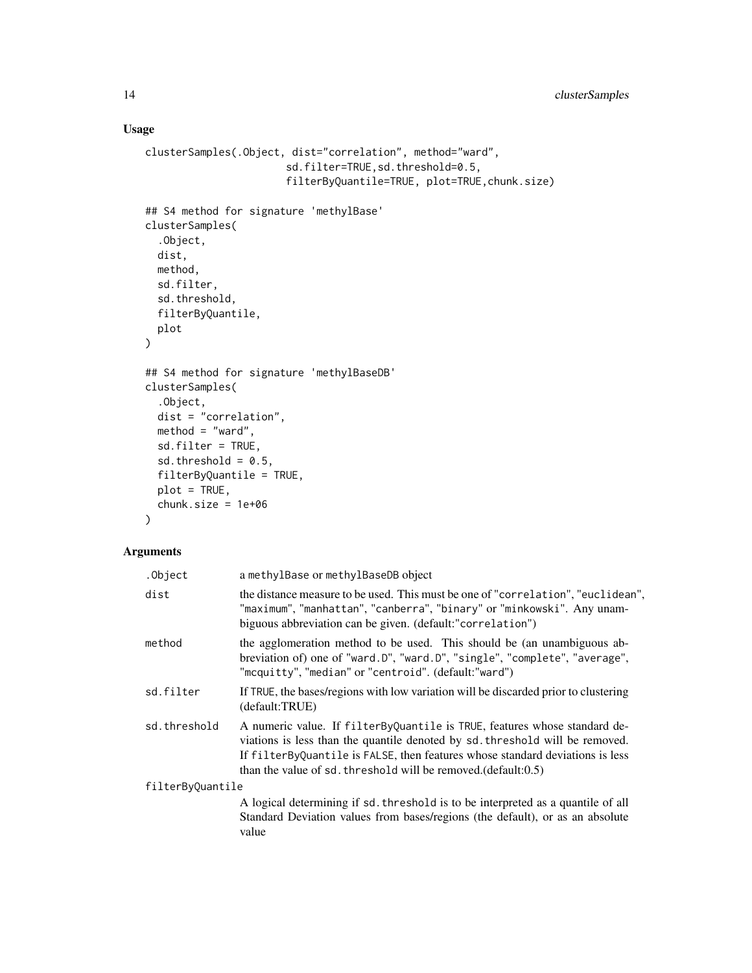## Usage

```
clusterSamples(.Object, dist="correlation", method="ward",
                        sd.filter=TRUE,sd.threshold=0.5,
                        filterByQuantile=TRUE, plot=TRUE,chunk.size)
## S4 method for signature 'methylBase'
clusterSamples(
  .Object,
  dist,
  method,
  sd.filter,
  sd.threshold,
  filterByQuantile,
  plot
)
## S4 method for signature 'methylBaseDB'
clusterSamples(
  .Object,
  dist = "correlation",
  method = "ward",sd.filter = TRUE,
  sd.threshold = 0.5,
  filterByQuantile = TRUE,
  plot = TRUE,
  chunk.size = 1e+06
\mathcal{L}
```
## Arguments

| .Object          | a methylBase or methylBaseDB object                                                                                                                                                                                                                                                                               |  |
|------------------|-------------------------------------------------------------------------------------------------------------------------------------------------------------------------------------------------------------------------------------------------------------------------------------------------------------------|--|
| dist             | the distance measure to be used. This must be one of "correlation", "euclidean",<br>"maximum", "manhattan", "canberra", "binary" or "minkowski". Any unam-<br>biguous abbreviation can be given. (default:"correlation")                                                                                          |  |
| method           | the agglomeration method to be used. This should be (an unambiguous ab-<br>breviation of) one of "ward.D", "ward.D", "single", "complete", "average",<br>"mcquitty", "median" or "centroid". (default:"ward")                                                                                                     |  |
| sd.filter        | If TRUE, the bases/regions with low variation will be discarded prior to clustering<br>(default:TRUE)                                                                                                                                                                                                             |  |
| sd.threshold     | A numeric value. If filter By Quantile is TRUE, features whose standard de-<br>viations is less than the quantile denoted by sd. threshold will be removed.<br>If filterByQuantile is FALSE, then features whose standard deviations is less<br>than the value of sd. threshold will be removed. $(default: 0.5)$ |  |
| filterByQuantile |                                                                                                                                                                                                                                                                                                                   |  |
|                  | A logical determining if sd. threshold is to be interpreted as a quantile of all<br>Standard Deviation values from bases/regions (the default), or as an absolute<br>value                                                                                                                                        |  |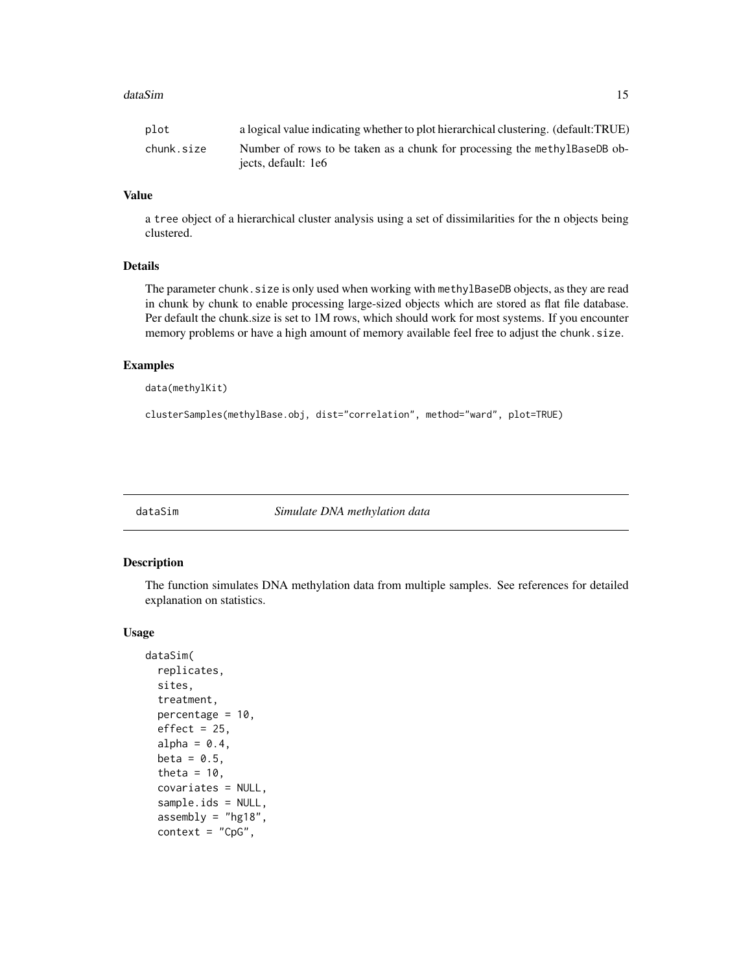#### <span id="page-14-0"></span>dataSim and the control of the control of the control of the control of the control of the control of the control of the control of the control of the control of the control of the control of the control of the control of

| plot       | a logical value indicating whether to plot hierarchical clustering. (default:TRUE) |
|------------|------------------------------------------------------------------------------------|
| chunk.size | Number of rows to be taken as a chunk for processing the methylBaseDB ob-          |
|            | jects, default: 1e6                                                                |

## Value

a tree object of a hierarchical cluster analysis using a set of dissimilarities for the n objects being clustered.

## Details

The parameter chunk. size is only used when working with methylBaseDB objects, as they are read in chunk by chunk to enable processing large-sized objects which are stored as flat file database. Per default the chunk.size is set to 1M rows, which should work for most systems. If you encounter memory problems or have a high amount of memory available feel free to adjust the chunk.size.

### Examples

```
data(methylKit)
```
clusterSamples(methylBase.obj, dist="correlation", method="ward", plot=TRUE)

<span id="page-14-1"></span>

dataSim *Simulate DNA methylation data*

#### Description

The function simulates DNA methylation data from multiple samples. See references for detailed explanation on statistics.

```
dataSim(
  replicates,
  sites,
  treatment,
 percentage = 10,
  effect = 25,
  alpha = 0.4,
 beta = 0.5,
  theta = 10,
  covariates = NULL,
  sample.ids = NULL,
  assembly = "hg18",
  context = "CpG",
```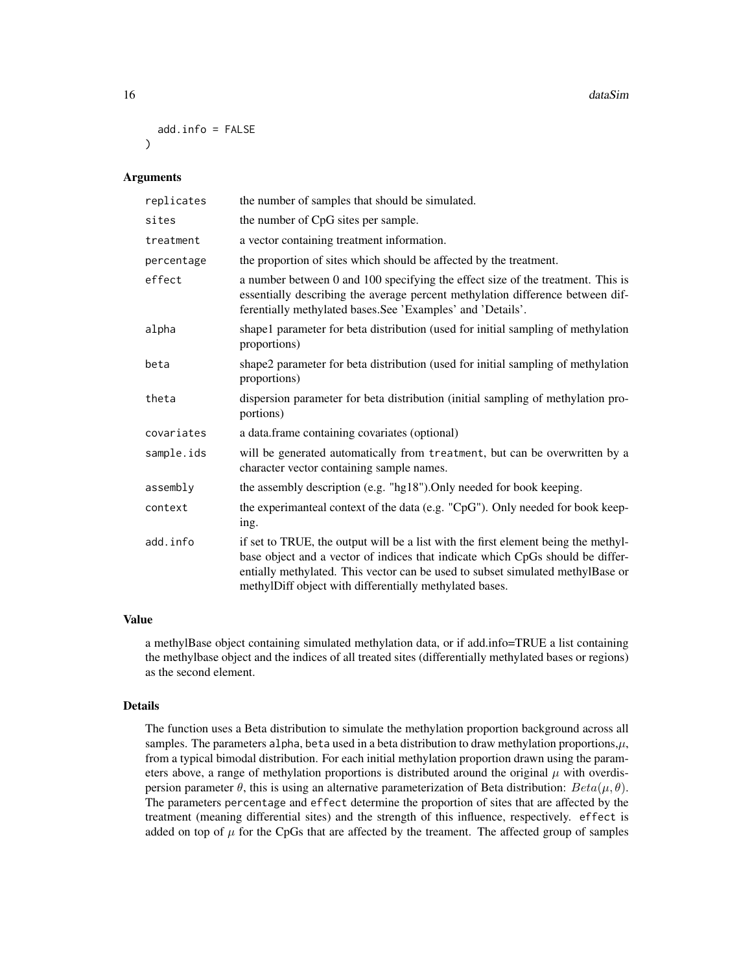```
add.info = FALSE)
```
#### Arguments

| replicates | the number of samples that should be simulated.                                                                                                                                                                                                                                                                   |
|------------|-------------------------------------------------------------------------------------------------------------------------------------------------------------------------------------------------------------------------------------------------------------------------------------------------------------------|
| sites      | the number of CpG sites per sample.                                                                                                                                                                                                                                                                               |
| treatment  | a vector containing treatment information.                                                                                                                                                                                                                                                                        |
| percentage | the proportion of sites which should be affected by the treatment.                                                                                                                                                                                                                                                |
| effect     | a number between 0 and 100 specifying the effect size of the treatment. This is<br>essentially describing the average percent methylation difference between dif-<br>ferentially methylated bases. See 'Examples' and 'Details'.                                                                                  |
| alpha      | shape1 parameter for beta distribution (used for initial sampling of methylation<br>proportions)                                                                                                                                                                                                                  |
| beta       | shape2 parameter for beta distribution (used for initial sampling of methylation<br>proportions)                                                                                                                                                                                                                  |
| theta      | dispersion parameter for beta distribution (initial sampling of methylation pro-<br>portions)                                                                                                                                                                                                                     |
| covariates | a data.frame containing covariates (optional)                                                                                                                                                                                                                                                                     |
| sample.ids | will be generated automatically from treatment, but can be overwritten by a<br>character vector containing sample names.                                                                                                                                                                                          |
| assembly   | the assembly description (e.g. "hg18"). Only needed for book keeping.                                                                                                                                                                                                                                             |
| context    | the experimanteal context of the data (e.g. "CpG"). Only needed for book keep-<br>ing.                                                                                                                                                                                                                            |
| add.info   | if set to TRUE, the output will be a list with the first element being the methyl-<br>base object and a vector of indices that indicate which CpGs should be differ-<br>entially methylated. This vector can be used to subset simulated methylBase or<br>methylDiff object with differentially methylated bases. |

#### Value

a methylBase object containing simulated methylation data, or if add.info=TRUE a list containing the methylbase object and the indices of all treated sites (differentially methylated bases or regions) as the second element.

## Details

The function uses a Beta distribution to simulate the methylation proportion background across all samples. The parameters alpha, beta used in a beta distribution to draw methylation proportions,  $\mu$ , from a typical bimodal distribution. For each initial methylation proportion drawn using the parameters above, a range of methylation proportions is distributed around the original  $\mu$  with overdispersion parameter  $\theta$ , this is using an alternative parameterization of Beta distribution:  $Beta(\mu, \theta)$ . The parameters percentage and effect determine the proportion of sites that are affected by the treatment (meaning differential sites) and the strength of this influence, respectively. effect is added on top of  $\mu$  for the CpGs that are affected by the treament. The affected group of samples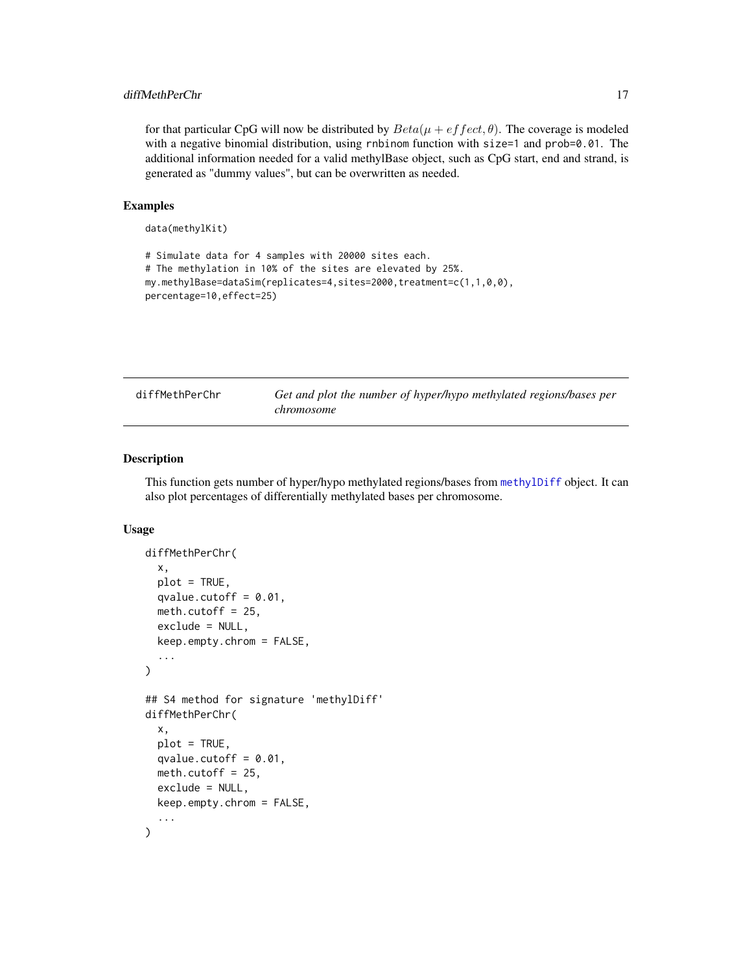## <span id="page-16-0"></span>diffMethPerChr 17

for that particular CpG will now be distributed by  $Beta(\mu + eff \cdot \theta)$ . The coverage is modeled with a negative binomial distribution, using rnbinom function with size=1 and prob=0.01. The additional information needed for a valid methylBase object, such as CpG start, end and strand, is generated as "dummy values", but can be overwritten as needed.

## Examples

```
data(methylKit)
```

```
# Simulate data for 4 samples with 20000 sites each.
# The methylation in 10% of the sites are elevated by 25%.
my.methylBase=dataSim(replicates=4,sites=2000,treatment=c(1,1,0,0),
percentage=10,effect=25)
```

| diffMethPerChr | Get and plot the number of hyper/hypo methylated regions/bases per |  |
|----------------|--------------------------------------------------------------------|--|
|                | <i>chromosome</i>                                                  |  |

## Description

This function gets number of hyper/hypo methylated regions/bases from [methylDiff](#page-47-1) object. It can also plot percentages of differentially methylated bases per chromosome.

```
diffMethPerChr(
  x,
 plot = TRUE,
 qvalue.cutoff = 0.01,
 meth.cutoff = 25,
 exclude = NULL,
  keep.empty.chrom = FALSE,
  ...
\lambda## S4 method for signature 'methylDiff'
diffMethPerChr(
  x,
 plot = TRUE,
 qvalue.cutoff = 0.01,
 meth.cutoff = 25,
 exclude = NULL,
 keep.empty.chrom = FALSE,
  ...
)
```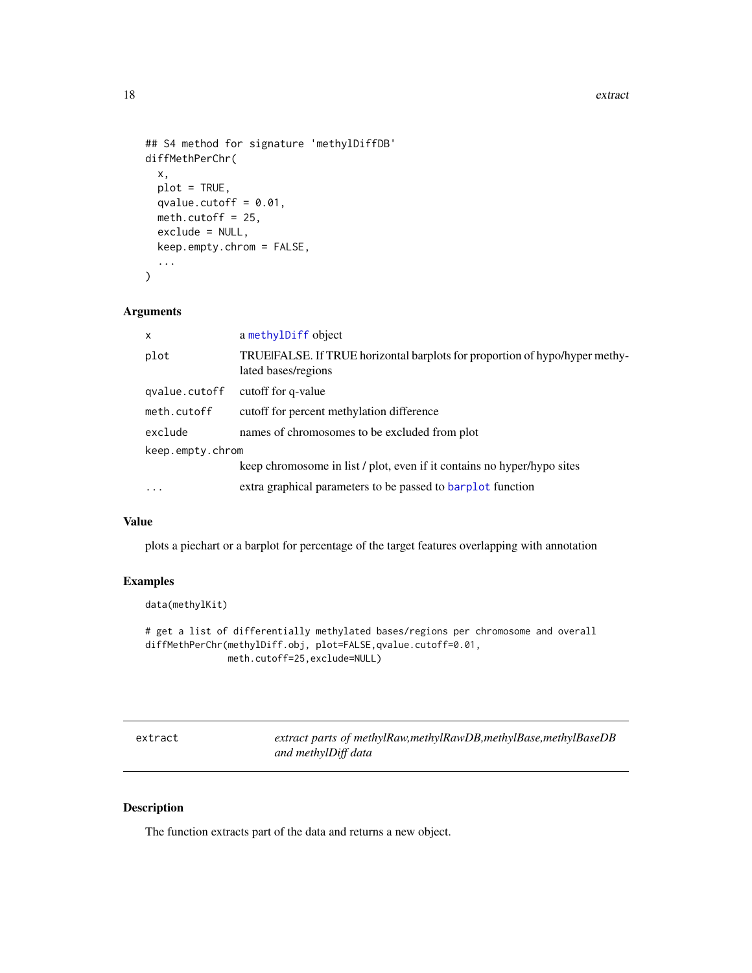#### <span id="page-17-0"></span>18 extract

```
## S4 method for signature 'methylDiffDB'
diffMethPerChr(
  x,
 plot = TRUE,
 qvalue.cutoff = 0.01,
 meth.cutoff = 25,
 exclude = NULL,
 keep.empty.chrom = FALSE,
  ...
\mathcal{L}
```
## Arguments

| x                | a methylDiff object                                                                                |  |
|------------------|----------------------------------------------------------------------------------------------------|--|
| plot             | TRUEIFALSE. If TRUE horizontal barplots for proportion of hypo/hyper methy-<br>lated bases/regions |  |
| qvalue.cutoff    | cutoff for q-value                                                                                 |  |
| meth.cutoff      | cutoff for percent methylation difference                                                          |  |
| exclude          | names of chromosomes to be excluded from plot                                                      |  |
| keep.empty.chrom |                                                                                                    |  |
|                  | keep chromosome in list / plot, even if it contains no hyper/hypo sites                            |  |
| $\ddots$         | extra graphical parameters to be passed to barplot function                                        |  |
|                  |                                                                                                    |  |

## Value

plots a piechart or a barplot for percentage of the target features overlapping with annotation

## Examples

```
data(methylKit)
```

```
# get a list of differentially methylated bases/regions per chromosome and overall
diffMethPerChr(methylDiff.obj, plot=FALSE,qvalue.cutoff=0.01,
              meth.cutoff=25,exclude=NULL)
```

| extract | extract parts of methylRaw,methylRawDB,methylBase,methylBaseDB |
|---------|----------------------------------------------------------------|
|         | and methylDiff data                                            |

## Description

The function extracts part of the data and returns a new object.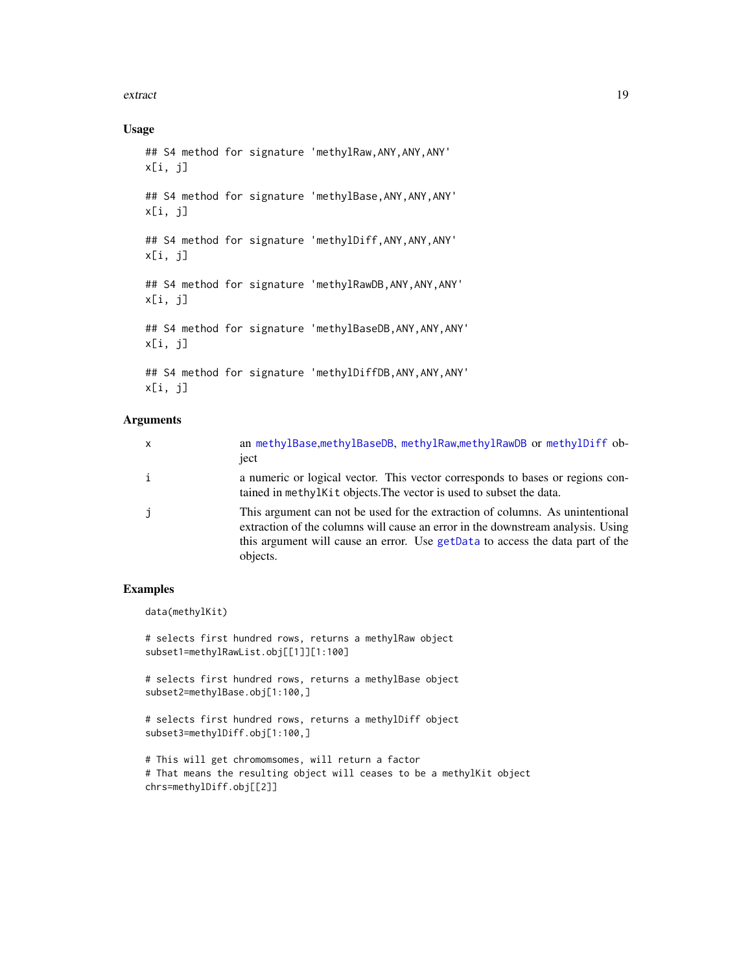#### extract the contract of the contract of the contract of the contract of the contract of the contract of the contract of the contract of the contract of the contract of the contract of the contract of the contract of the co

## Usage

```
## S4 method for signature 'methylRaw,ANY,ANY,ANY'
x[i, j]
## S4 method for signature 'methylBase, ANY, ANY, ANY'
x[i, j]
## S4 method for signature 'methylDiff,ANY,ANY,ANY'
x[i, j]
## S4 method for signature 'methylRawDB,ANY,ANY,ANY'
x[i, j]
## S4 method for signature 'methylBaseDB, ANY, ANY, ANY'
x[i, j]
## S4 method for signature 'methylDiffDB,ANY,ANY,ANY'
```
x[i, j]

## Arguments

| $\mathsf{x}$ | an methylBase, methylBaseDB, methylRaw, methylRawDB or methylDiff ob-<br>ject                                                                                                                                                                                 |
|--------------|---------------------------------------------------------------------------------------------------------------------------------------------------------------------------------------------------------------------------------------------------------------|
| $\mathbf{i}$ | a numeric or logical vector. This vector corresponds to bases or regions con-<br>tained in methylkit objects. The vector is used to subset the data.                                                                                                          |
| i            | This argument can not be used for the extraction of columns. As unintentional<br>extraction of the columns will cause an error in the downstream analysis. Using<br>this argument will cause an error. Use getData to access the data part of the<br>objects. |

## Examples

data(methylKit)

# selects first hundred rows, returns a methylRaw object subset1=methylRawList.obj[[1]][1:100]

# selects first hundred rows, returns a methylBase object subset2=methylBase.obj[1:100,]

# selects first hundred rows, returns a methylDiff object subset3=methylDiff.obj[1:100,]

```
# This will get chromomsomes, will return a factor
# That means the resulting object will ceases to be a methylKit object
chrs=methylDiff.obj[[2]]
```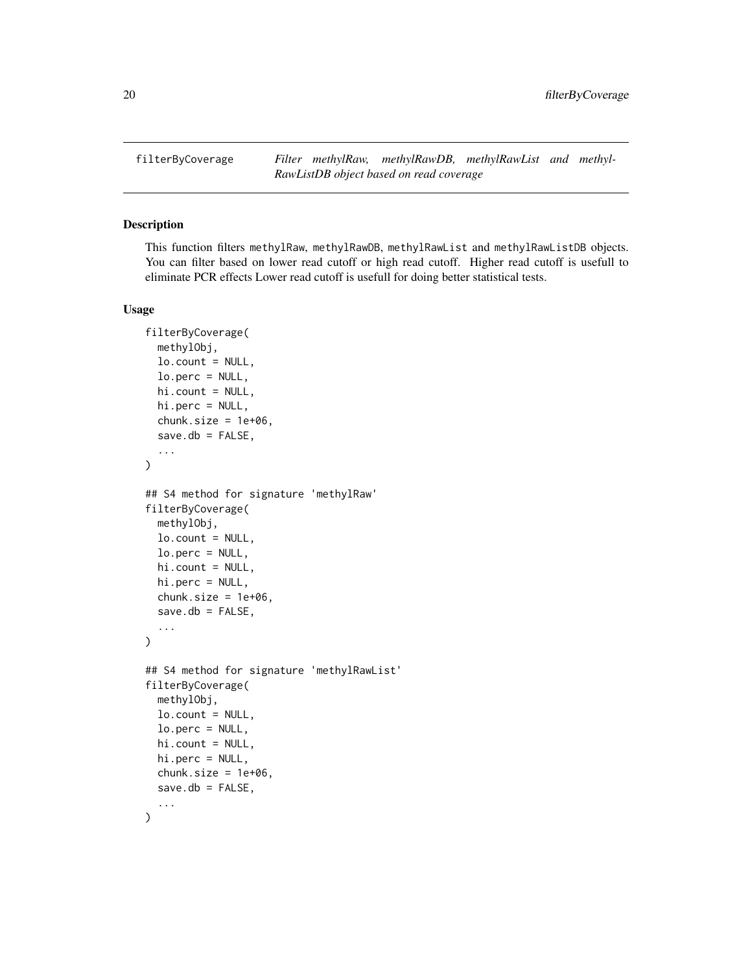<span id="page-19-0"></span>filterByCoverage *Filter methylRaw, methylRawDB, methylRawList and methyl-RawListDB object based on read coverage*

## Description

This function filters methylRaw, methylRawDB, methylRawList and methylRawListDB objects. You can filter based on lower read cutoff or high read cutoff. Higher read cutoff is usefull to eliminate PCR effects Lower read cutoff is usefull for doing better statistical tests.

```
filterByCoverage(
 methylObj,
  lo.count = NULL,lo.perc = NULL,
 hi.count = NULL,hi.perc = NULL,
  chunk.size = 1e+06,
  save.db = FALSE,...
)
## S4 method for signature 'methylRaw'
filterByCoverage(
 methylObj,
 lo.count = NULL,lo.perc = NULL,hi.count = NULL,hi.perc = NULL,
  chunk.size = 1e+06,
  save.db = FALSE,...
\mathcal{L}## S4 method for signature 'methylRawList'
filterByCoverage(
 methylObj,
 lo.count = NULL,lo.perc = NULL,hi.count = NULL,
 hi.perc = NULL,
  chunk.size = 1e+06,
  save.db = FALSE,...
)
```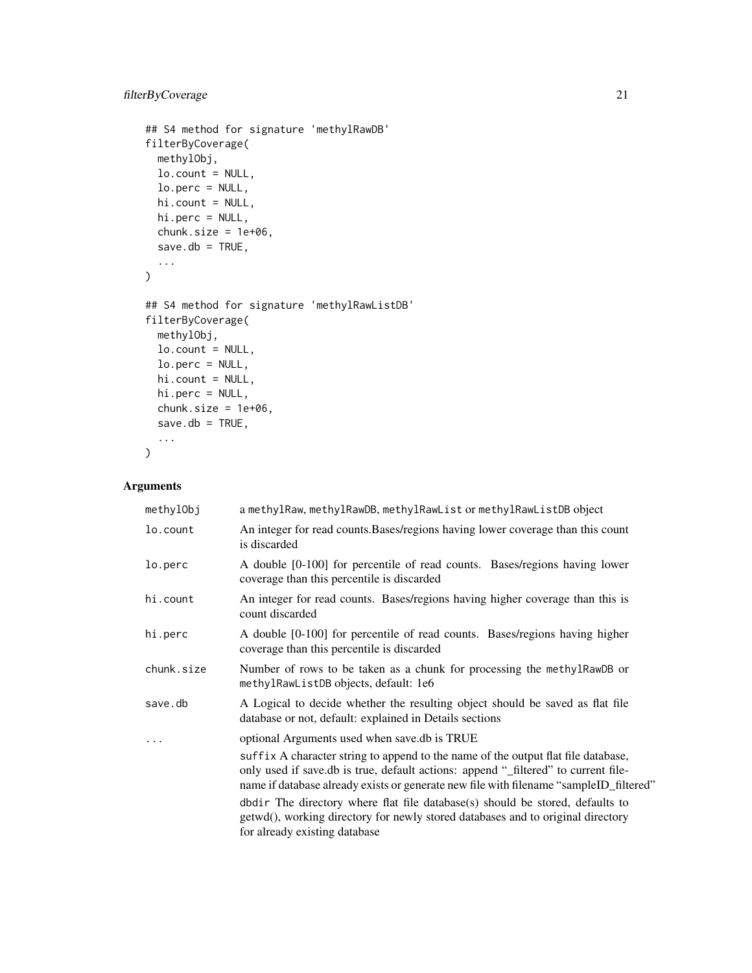## filterByCoverage 21

```
## S4 method for signature 'methylRawDB'
filterByCoverage(
 methylObj,
 lo.count = NULL,
 lo.perc = NULL,
 hi.count = NULL,
 hi.perc = NULL,
 chunk.size = 1e+06,
  save.db = TRUE,
  ...
\mathcal{L}## S4 method for signature 'methylRawListDB'
filterByCoverage(
 methylObj,
 lo.count = NULL,
 lo.perc = NULL,
 hi.count = NULL,
 hi.perc = NULL,
 chunk.size = 1e+06,save.db = TRUE,
  ...
\mathcal{L}
```
## Arguments

| methylObj  | a methylRaw, methylRawDB, methylRawList or methylRawListDB object                                                                                                                                                                                                 |
|------------|-------------------------------------------------------------------------------------------------------------------------------------------------------------------------------------------------------------------------------------------------------------------|
| lo.count   | An integer for read counts. Bases/regions having lower coverage than this count<br>is discarded                                                                                                                                                                   |
| lo.perc    | A double [0-100] for percentile of read counts. Bases/regions having lower<br>coverage than this percentile is discarded                                                                                                                                          |
| hi.count   | An integer for read counts. Bases/regions having higher coverage than this is<br>count discarded                                                                                                                                                                  |
| hi.perc    | A double [0-100] for percentile of read counts. Bases/regions having higher<br>coverage than this percentile is discarded                                                                                                                                         |
| chunk.size | Number of rows to be taken as a chunk for processing the methylRawDB or<br>methylRawListDB objects, default: 1e6                                                                                                                                                  |
| save.db    | A Logical to decide whether the resulting object should be saved as flat file<br>database or not, default: explained in Details sections                                                                                                                          |
| .          | optional Arguments used when save.db is TRUE                                                                                                                                                                                                                      |
|            | suffix A character string to append to the name of the output flat file database,<br>only used if save.db is true, default actions: append "_filtered" to current file-<br>name if database already exists or generate new file with filename "sampleID_filtered" |
|            | dbdir The directory where flat file database(s) should be stored, defaults to<br>getwd(), working directory for newly stored databases and to original directory<br>for already existing database                                                                 |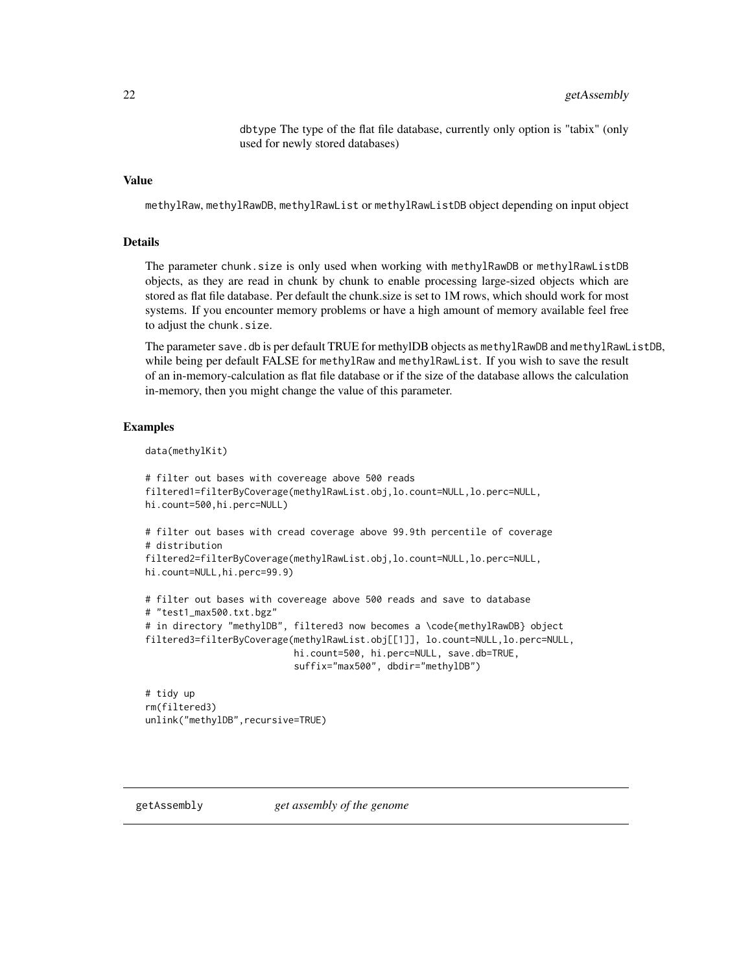dbtype The type of the flat file database, currently only option is "tabix" (only used for newly stored databases)

#### <span id="page-21-0"></span>Value

methylRaw, methylRawDB, methylRawList or methylRawListDB object depending on input object

## Details

The parameter chunk.size is only used when working with methylRawDB or methylRawListDB objects, as they are read in chunk by chunk to enable processing large-sized objects which are stored as flat file database. Per default the chunk.size is set to 1M rows, which should work for most systems. If you encounter memory problems or have a high amount of memory available feel free to adjust the chunk.size.

The parameter save, db is per default TRUE for methylDB objects as methylRawDB and methylRawListDB, while being per default FALSE for methylRaw and methylRawList. If you wish to save the result of an in-memory-calculation as flat file database or if the size of the database allows the calculation in-memory, then you might change the value of this parameter.

#### Examples

```
data(methylKit)
```

```
# filter out bases with covereage above 500 reads
filtered1=filterByCoverage(methylRawList.obj,lo.count=NULL,lo.perc=NULL,
hi.count=500,hi.perc=NULL)
# filter out bases with cread coverage above 99.9th percentile of coverage
# distribution
filtered2=filterByCoverage(methylRawList.obj,lo.count=NULL,lo.perc=NULL,
hi.count=NULL,hi.perc=99.9)
# filter out bases with covereage above 500 reads and save to database
# "test1_max500.txt.bgz"
# in directory "methylDB", filtered3 now becomes a \code{methylRawDB} object
filtered3=filterByCoverage(methylRawList.obj[[1]], lo.count=NULL,lo.perc=NULL,
```
hi.count=500, hi.perc=NULL, save.db=TRUE, suffix="max500", dbdir="methylDB")

# tidy up rm(filtered3) unlink("methylDB",recursive=TRUE)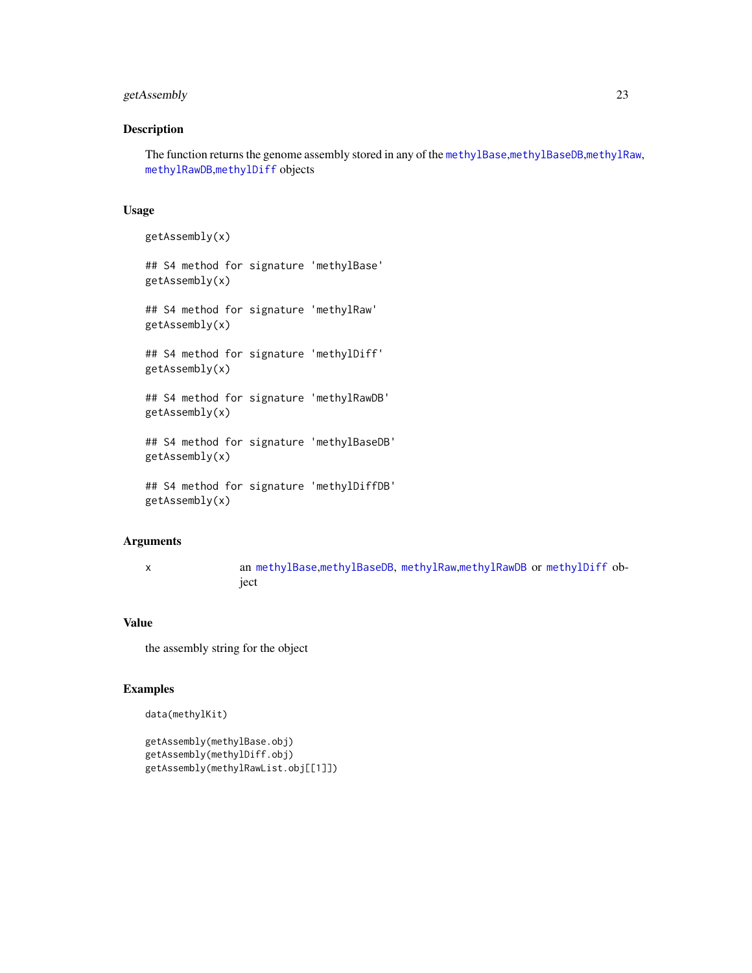## getAssembly 23

## Description

The function returns the genome assembly stored in any of the [methylBase](#page-44-1),[methylBaseDB](#page-46-1),[methylRaw](#page-50-1), [methylRawDB](#page-52-1),[methylDiff](#page-47-1) objects

#### Usage

```
getAssembly(x)
## S4 method for signature 'methylBase'
getAssembly(x)
## S4 method for signature 'methylRaw'
getAssembly(x)
## S4 method for signature 'methylDiff'
getAssembly(x)
## S4 method for signature 'methylRawDB'
getAssembly(x)
## S4 method for signature 'methylBaseDB'
getAssembly(x)
```

```
## S4 method for signature 'methylDiffDB'
getAssembly(x)
```
#### Arguments

x an [methylBase](#page-44-1),[methylBaseDB](#page-46-1), [methylRaw](#page-50-1),[methylRawDB](#page-52-1) or [methylDiff](#page-47-1) object

## Value

the assembly string for the object

## Examples

```
data(methylKit)
```

```
getAssembly(methylBase.obj)
getAssembly(methylDiff.obj)
getAssembly(methylRawList.obj[[1]])
```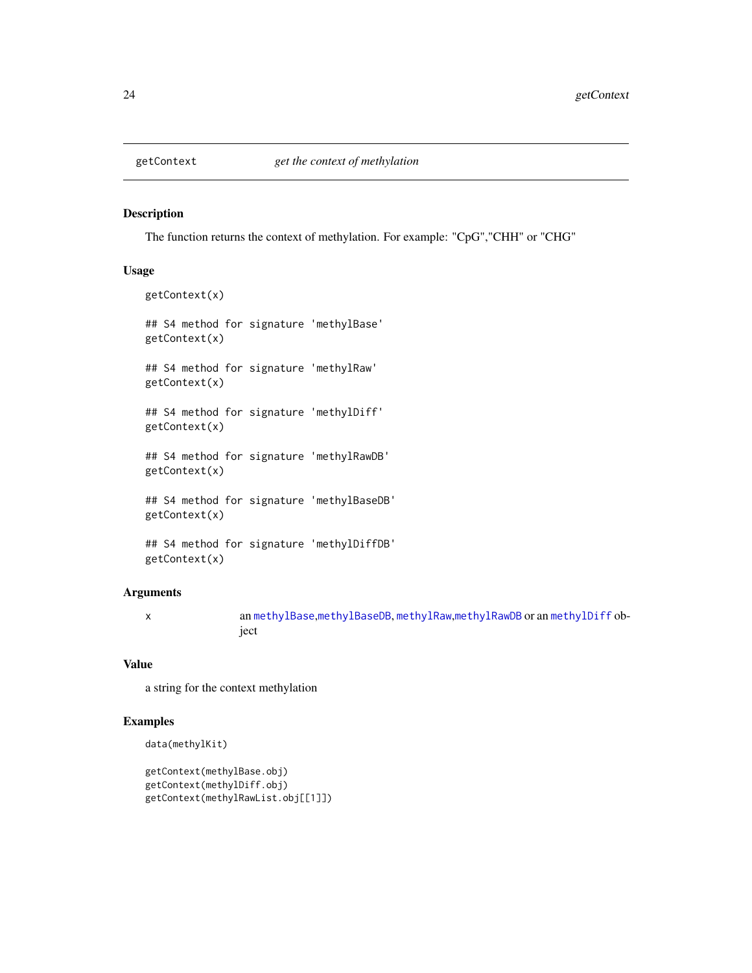<span id="page-23-0"></span>

## Description

The function returns the context of methylation. For example: "CpG","CHH" or "CHG"

## Usage

```
getContext(x)
## S4 method for signature 'methylBase'
getContext(x)
## S4 method for signature 'methylRaw'
getContext(x)
## S4 method for signature 'methylDiff'
getContext(x)
## S4 method for signature 'methylRawDB'
getContext(x)
## S4 method for signature 'methylBaseDB'
getContext(x)
## S4 method for signature 'methylDiffDB'
```
# Arguments

getContext(x)

x an [methylBase](#page-44-1),[methylBaseDB](#page-46-1), [methylRaw](#page-50-1),[methylRawDB](#page-52-1) or an [methylDiff](#page-47-1) object

#### Value

a string for the context methylation

## Examples

```
data(methylKit)
```

```
getContext(methylBase.obj)
getContext(methylDiff.obj)
getContext(methylRawList.obj[[1]])
```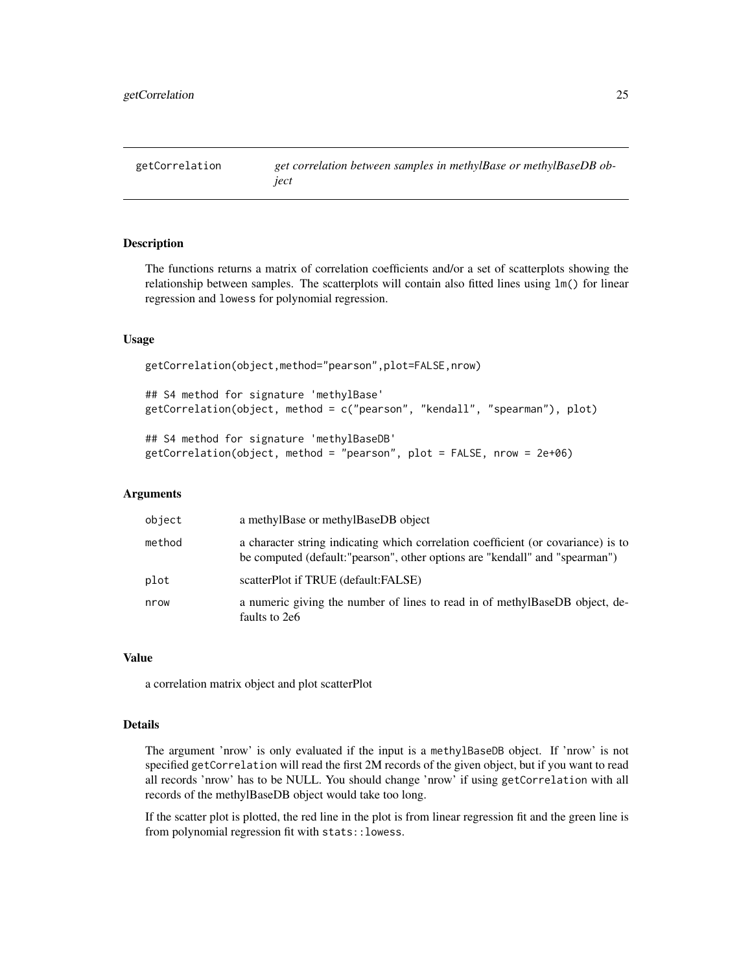<span id="page-24-0"></span>

## Description

The functions returns a matrix of correlation coefficients and/or a set of scatterplots showing the relationship between samples. The scatterplots will contain also fitted lines using lm() for linear regression and lowess for polynomial regression.

## Usage

getCorrelation(object,method="pearson",plot=FALSE,nrow)

## S4 method for signature 'methylBase' getCorrelation(object, method = c("pearson", "kendall", "spearman"), plot)

```
## S4 method for signature 'methylBaseDB'
getCorrelation(object, method = "pearson", plot = FALSE, nrow = 2e+06)
```
#### Arguments

| object | a methylBase or methylBaseDB object                                                                                                                               |
|--------|-------------------------------------------------------------------------------------------------------------------------------------------------------------------|
| method | a character string indicating which correlation coefficient (or covariance) is to<br>be computed (default: "pearson", other options are "kendall" and "spearman") |
| plot   | scatterPlot if TRUE (default:FALSE)                                                                                                                               |
| nrow   | a numeric giving the number of lines to read in of methylBaseDB object, de-<br>faults to 2e6                                                                      |

## Value

a correlation matrix object and plot scatterPlot

## Details

The argument 'nrow' is only evaluated if the input is a methylBaseDB object. If 'nrow' is not specified getCorrelation will read the first 2M records of the given object, but if you want to read all records 'nrow' has to be NULL. You should change 'nrow' if using getCorrelation with all records of the methylBaseDB object would take too long.

If the scatter plot is plotted, the red line in the plot is from linear regression fit and the green line is from polynomial regression fit with stats::lowess.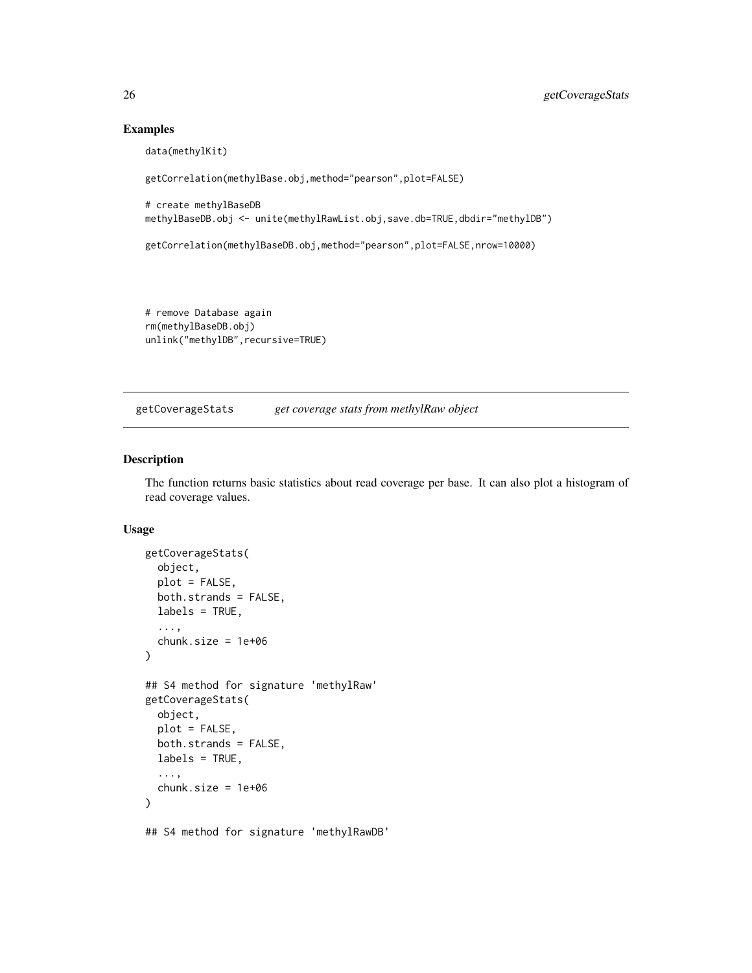## Examples

```
data(methylKit)
getCorrelation(methylBase.obj,method="pearson",plot=FALSE)
# create methylBaseDB
methylBaseDB.obj <- unite(methylRawList.obj,save.db=TRUE,dbdir="methylDB")
getCorrelation(methylBaseDB.obj,method="pearson",plot=FALSE,nrow=10000)
```
# remove Database again rm(methylBaseDB.obj) unlink("methylDB", recursive=TRUE)

getCoverageStats *get coverage stats from methylRaw object*

## Description

The function returns basic statistics about read coverage per base. It can also plot a histogram of read coverage values.

## Usage

```
getCoverageStats(
  object,
 plot = FALSE,
  both.strands = FALSE,
  labels = TRUE,...,
  chunk.size = 1e+06)
## S4 method for signature 'methylRaw'
getCoverageStats(
 object,
  plot = FALSE,
 both.strands = FALSE,
  labels = TRUE,
  ...,
  chunk.size = 1e+06\lambda
```
## S4 method for signature 'methylRawDB'

<span id="page-25-0"></span>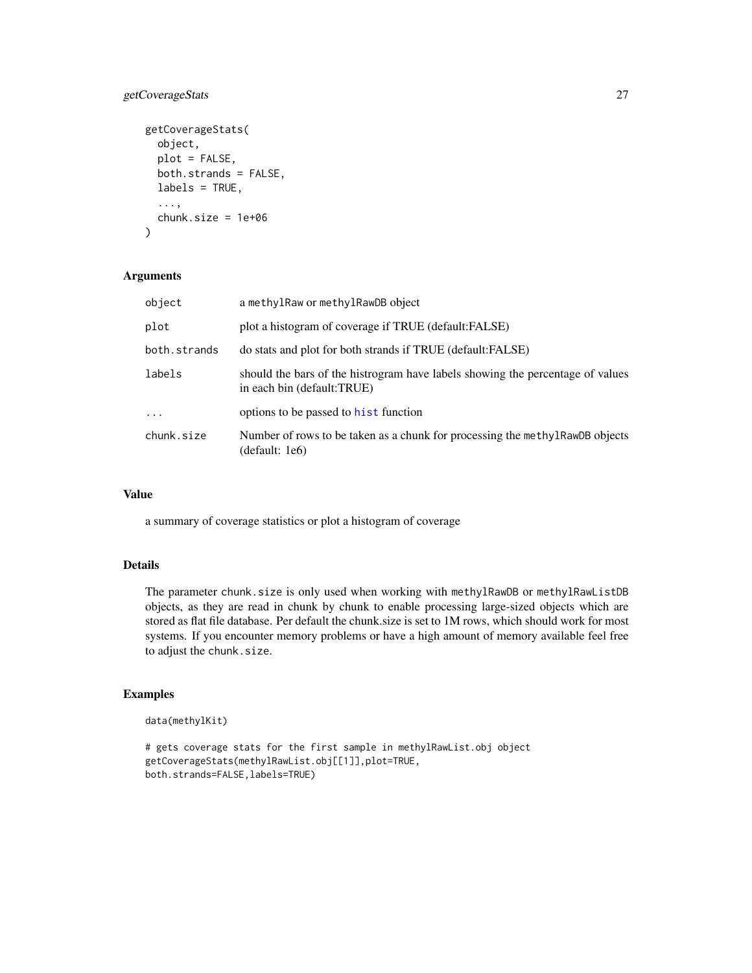## getCoverageStats 27

```
getCoverageStats(
 object,
 plot = FALSE,
 both.strands = FALSE,
 labels = TRUE,
  ...,
 chunk.size = 1e+06)
```
## Arguments

| object       | a methylRaw or methylRawDB object                                                                            |
|--------------|--------------------------------------------------------------------------------------------------------------|
| plot         | plot a histogram of coverage if TRUE (default:FALSE)                                                         |
| both.strands | do stats and plot for both strands if TRUE (default:FALSE)                                                   |
| labels       | should the bars of the histrogram have labels showing the percentage of values<br>in each bin (default:TRUE) |
| $\ddots$ .   | options to be passed to hist function                                                                        |
| chunk.size   | Number of rows to be taken as a chunk for processing the methyl RawDB objects<br>(default: 1e6)              |

## Value

a summary of coverage statistics or plot a histogram of coverage

## Details

The parameter chunk.size is only used when working with methylRawDB or methylRawListDB objects, as they are read in chunk by chunk to enable processing large-sized objects which are stored as flat file database. Per default the chunk.size is set to 1M rows, which should work for most systems. If you encounter memory problems or have a high amount of memory available feel free to adjust the chunk.size.

#### Examples

```
data(methylKit)
```

```
# gets coverage stats for the first sample in methylRawList.obj object
getCoverageStats(methylRawList.obj[[1]],plot=TRUE,
both.strands=FALSE,labels=TRUE)
```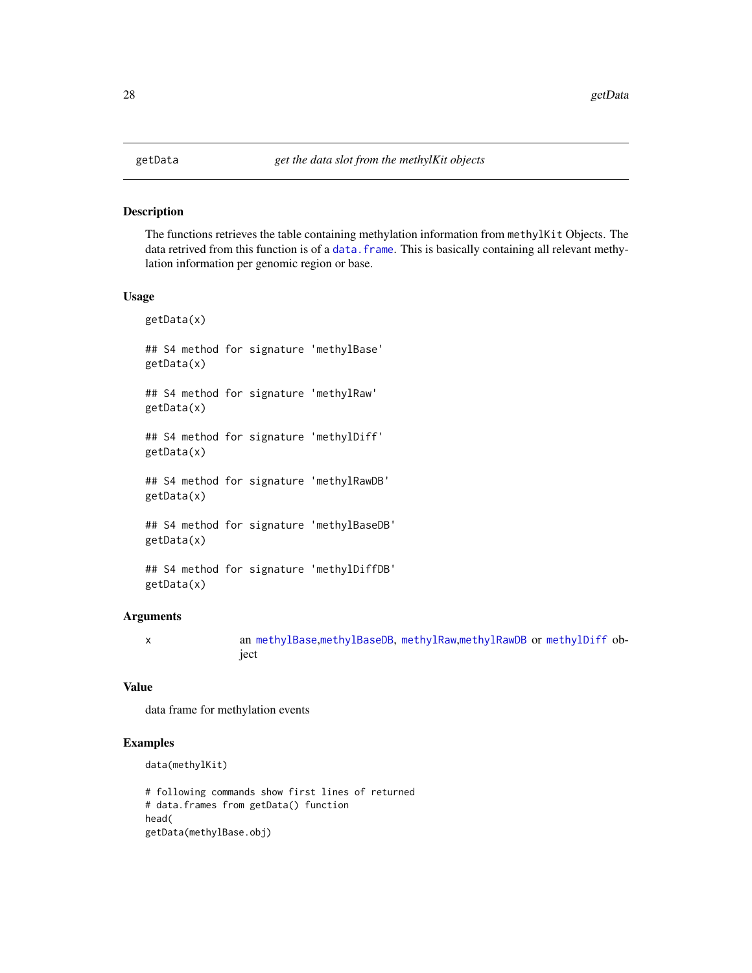#### <span id="page-27-1"></span><span id="page-27-0"></span>Description

The functions retrieves the table containing methylation information from methylKit Objects. The data retrived from this function is of a data. frame. This is basically containing all relevant methylation information per genomic region or base.

## Usage

getData(x) ## S4 method for signature 'methylBase' getData(x) ## S4 method for signature 'methylRaw' getData(x) ## S4 method for signature 'methylDiff' getData(x) ## S4 method for signature 'methylRawDB' getData(x) ## S4 method for signature 'methylBaseDB' getData(x)

## S4 method for signature 'methylDiffDB' getData(x)

## Arguments

x an [methylBase](#page-44-1),[methylBaseDB](#page-46-1), [methylRaw](#page-50-1),[methylRawDB](#page-52-1) or [methylDiff](#page-47-1) object

## Value

data frame for methylation events

#### Examples

```
data(methylKit)
```
# following commands show first lines of returned # data.frames from getData() function head( getData(methylBase.obj)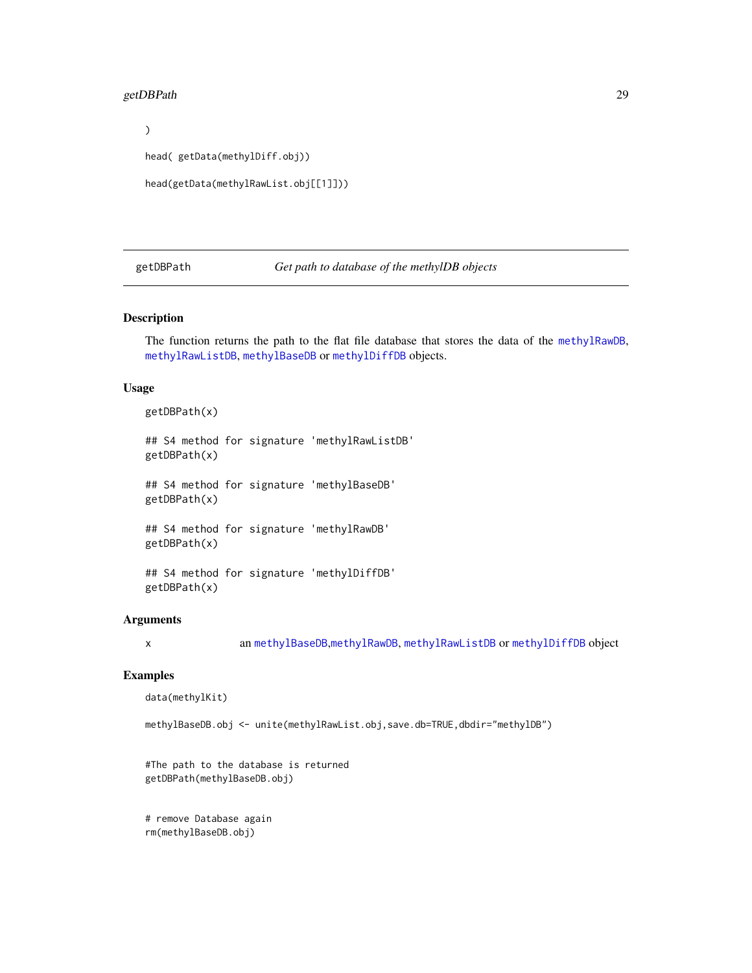#### <span id="page-28-0"></span>getDBPath 29

 $\mathcal{L}$ 

```
head( getData(methylDiff.obj))
```

```
head(getData(methylRawList.obj[[1]]))
```
getDBPath *Get path to database of the methylDB objects*

## Description

The function returns the path to the flat file database that stores the data of the [methylRawDB](#page-52-1), [methylRawListDB](#page-54-1), [methylBaseDB](#page-46-1) or [methylDiffDB](#page-48-1) objects.

### Usage

getDBPath(x)

## S4 method for signature 'methylRawListDB' getDBPath(x)

## S4 method for signature 'methylBaseDB' getDBPath(x)

## S4 method for signature 'methylRawDB' getDBPath(x)

```
## S4 method for signature 'methylDiffDB'
getDBPath(x)
```
## Arguments

x an [methylBaseDB](#page-46-1),[methylRawDB](#page-52-1), [methylRawListDB](#page-54-1) or [methylDiffDB](#page-48-1) object

## Examples

data(methylKit)

```
methylBaseDB.obj <- unite(methylRawList.obj,save.db=TRUE,dbdir="methylDB")
```
#The path to the database is returned getDBPath(methylBaseDB.obj)

# remove Database again rm(methylBaseDB.obj)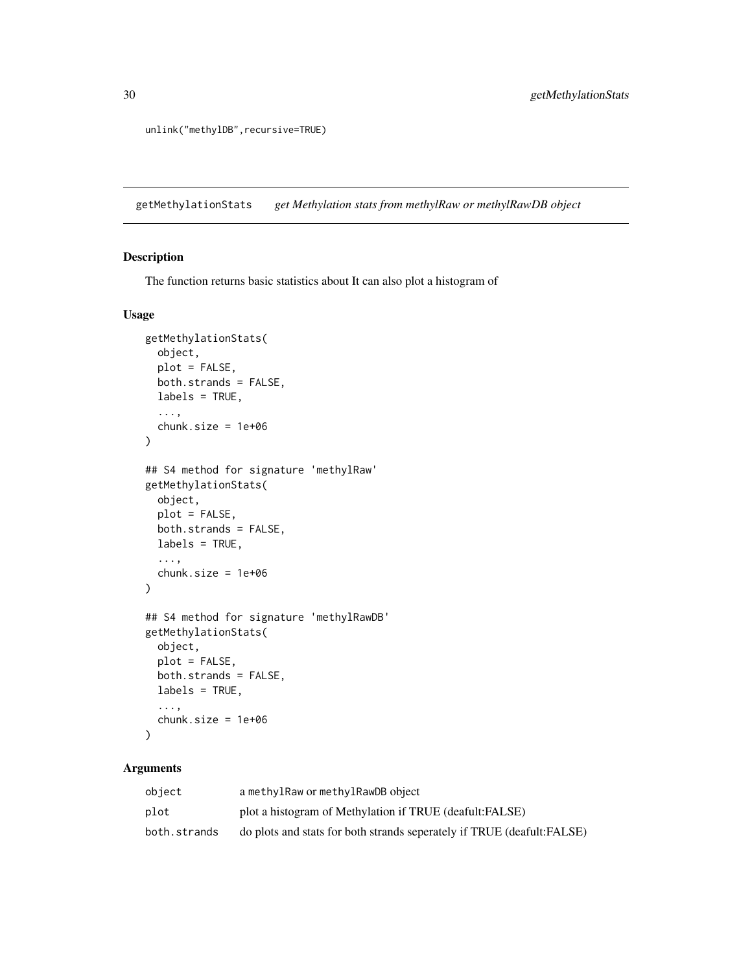unlink("methylDB", recursive=TRUE)

getMethylationStats *get Methylation stats from methylRaw or methylRawDB object*

## Description

The function returns basic statistics about It can also plot a histogram of

#### Usage

```
getMethylationStats(
 object,
 plot = FALSE,
 both.strands = FALSE,
 labels = TRUE,
  ...,
  chunk.size = 1e+06
)
## S4 method for signature 'methylRaw'
getMethylationStats(
 object,
 plot = FALSE,
 both.strands = FALSE,
  labels = TRUE,
  ...,
  chunk.size = 1e+06\mathcal{L}## S4 method for signature 'methylRawDB'
getMethylationStats(
 object,
 plot = FALSE,
 both.strands = FALSE,
  labels = TRUE,...,
  chunk.size = 1e+06)
```
## Arguments

| obiect       | a methylRaw or methylRawDB object                                      |
|--------------|------------------------------------------------------------------------|
| plot         | plot a histogram of Methylation if TRUE (deafult:FALSE)                |
| both.strands | do plots and stats for both strands seperately if TRUE (deafult:FALSE) |

<span id="page-29-0"></span>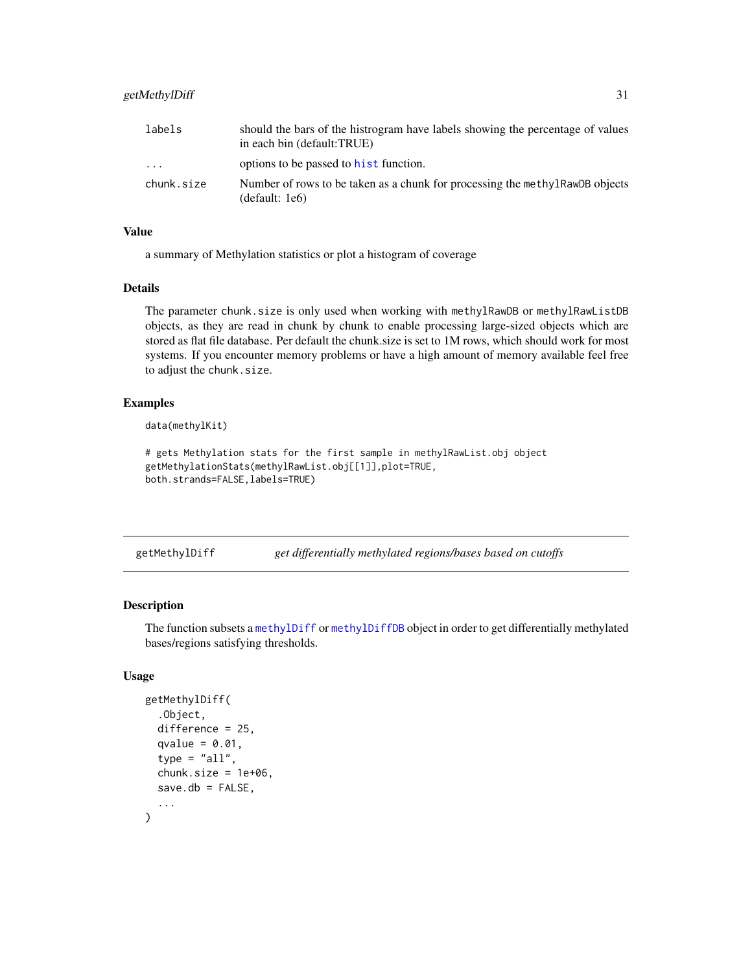<span id="page-30-0"></span>

| labels     | should the bars of the histrogram have labels showing the percentage of values<br>in each bin (default:TRUE) |
|------------|--------------------------------------------------------------------------------------------------------------|
| .          | options to be passed to hist function.                                                                       |
| chunk.size | Number of rows to be taken as a chunk for processing the methy IRawDB objects<br>(default: 1e6)              |

## Value

a summary of Methylation statistics or plot a histogram of coverage

#### Details

The parameter chunk.size is only used when working with methylRawDB or methylRawListDB objects, as they are read in chunk by chunk to enable processing large-sized objects which are stored as flat file database. Per default the chunk.size is set to 1M rows, which should work for most systems. If you encounter memory problems or have a high amount of memory available feel free to adjust the chunk.size.

## Examples

```
data(methylKit)
```

```
# gets Methylation stats for the first sample in methylRawList.obj object
getMethylationStats(methylRawList.obj[[1]],plot=TRUE,
both.strands=FALSE,labels=TRUE)
```
getMethylDiff *get differentially methylated regions/bases based on cutoffs*

## Description

The function subsets a [methylDiff](#page-47-1) or [methylDiffDB](#page-48-1) object in order to get differentially methylated bases/regions satisfying thresholds.

```
getMethylDiff(
  .Object,
  difference = 25,
  qvalue = 0.01,
  type = "all",chunk.size = 1e+06,save.db = FALSE....
)
```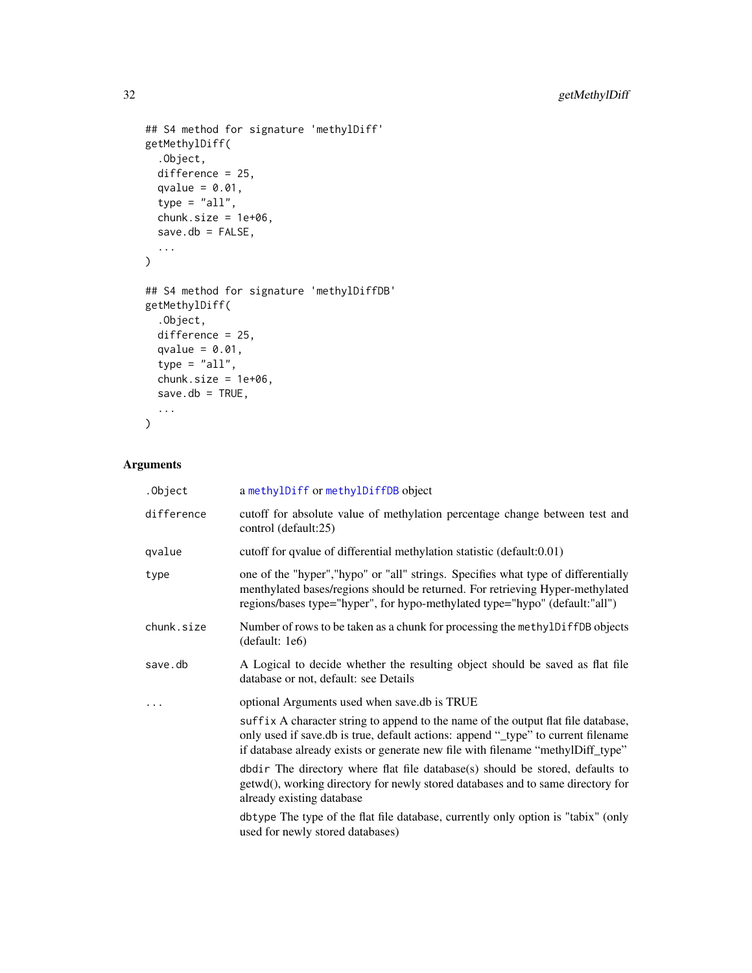```
## S4 method for signature 'methylDiff'
getMethylDiff(
  .Object,
  difference = 25,
  qvalue = 0.01,
  type = "all",chunk.size = 1e+06,
  save.db = FALSE,...
\lambda## S4 method for signature 'methylDiffDB'
getMethylDiff(
  .Object,
  difference = 25,
  qvalue = 0.01,
  type = "all",chunk.size = 1e+06,
  save.db = TRUE,
  ...
\mathcal{L}
```
## Arguments

| .Object    | a methylDiff or methylDiffDB object                                                                                                                                                                                                                       |
|------------|-----------------------------------------------------------------------------------------------------------------------------------------------------------------------------------------------------------------------------------------------------------|
| difference | cutoff for absolute value of methylation percentage change between test and<br>control (default:25)                                                                                                                                                       |
| qvalue     | cutoff for qvalue of differential methylation statistic (default:0.01)                                                                                                                                                                                    |
| type       | one of the "hyper", "hypo" or "all" strings. Specifies what type of differentially<br>menthylated bases/regions should be returned. For retrieving Hyper-methylated<br>regions/bases type="hyper", for hypo-methylated type="hypo" (default:"all")        |
| chunk.size | Number of rows to be taken as a chunk for processing the methylDiffDB objects<br>(default: 1e6)                                                                                                                                                           |
| save.db    | A Logical to decide whether the resulting object should be saved as flat file<br>database or not, default: see Details                                                                                                                                    |
|            | optional Arguments used when save.db is TRUE                                                                                                                                                                                                              |
|            | suffix A character string to append to the name of the output flat file database,<br>only used if save.db is true, default actions: append "_type" to current filename<br>if database already exists or generate new file with filename "methylDiff_type" |
|            | $dbdir$ The directory where flat file database $(s)$ should be stored, defaults to<br>getwd(), working directory for newly stored databases and to same directory for<br>already existing database                                                        |
|            | dbtype The type of the flat file database, currently only option is "tabix" (only<br>used for newly stored databases)                                                                                                                                     |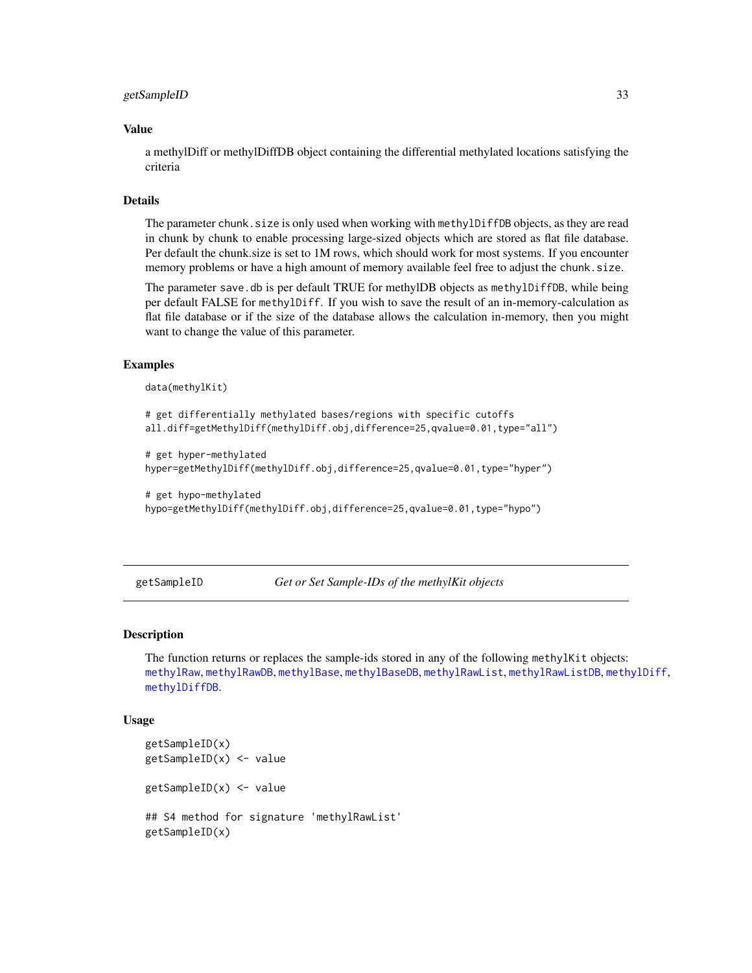#### <span id="page-32-0"></span>getSampleID 33

## Value

a methylDiff or methylDiffDB object containing the differential methylated locations satisfying the criteria

#### Details

The parameter chunk. size is only used when working with methylDiffDB objects, as they are read in chunk by chunk to enable processing large-sized objects which are stored as flat file database. Per default the chunk.size is set to 1M rows, which should work for most systems. If you encounter memory problems or have a high amount of memory available feel free to adjust the chunk.size.

The parameter save.db is per default TRUE for methylDB objects as methylDiffDB, while being per default FALSE for methylDiff. If you wish to save the result of an in-memory-calculation as flat file database or if the size of the database allows the calculation in-memory, then you might want to change the value of this parameter.

### Examples

```
data(methylKit)
```

```
# get differentially methylated bases/regions with specific cutoffs
all.diff=getMethylDiff(methylDiff.obj,difference=25,qvalue=0.01,type="all")
# get hyper-methylated
hyper=getMethylDiff(methylDiff.obj,difference=25,qvalue=0.01,type="hyper")
# get hypo-methylated
```

```
hypo=getMethylDiff(methylDiff.obj,difference=25,qvalue=0.01,type="hypo")
```
getSampleID *Get or Set Sample-IDs of the methylKit objects*

#### Description

The function returns or replaces the sample-ids stored in any of the following methylKit objects: [methylRaw](#page-50-1), [methylRawDB](#page-52-1), [methylBase](#page-44-1), [methylBaseDB](#page-46-1), [methylRawList](#page-53-1), [methylRawListDB](#page-54-1), [methylDiff](#page-47-1), [methylDiffDB](#page-48-1).

```
getSampleID(x)
getSampleID(x) <- value
getSampleID(x) <- value
## S4 method for signature 'methylRawList'
getSampleID(x)
```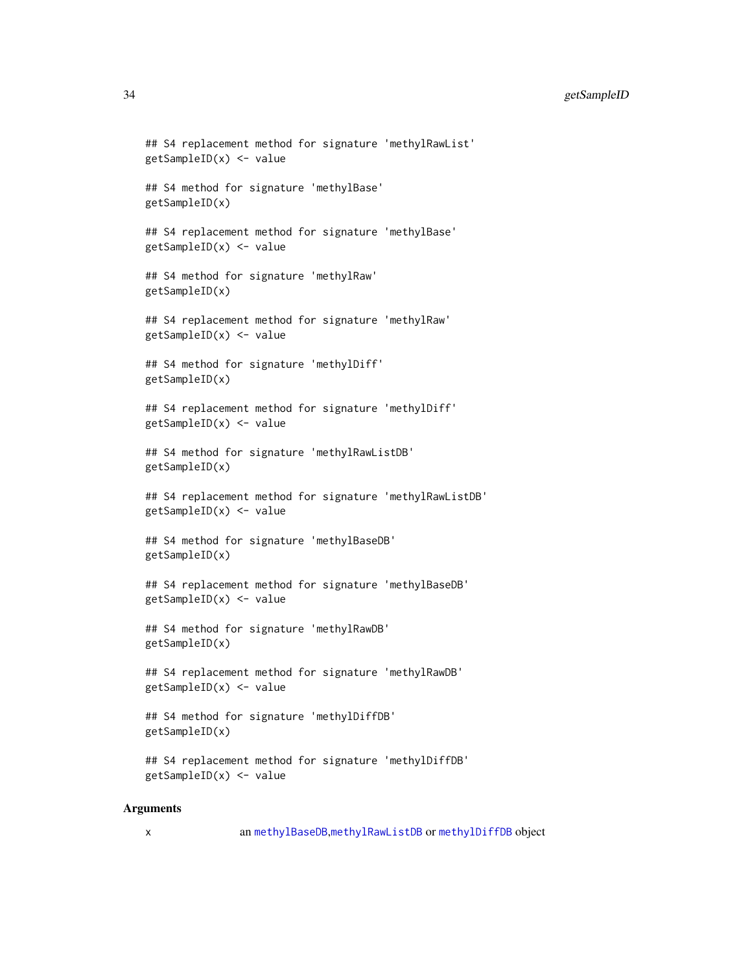## 34 getSampleID

```
## S4 replacement method for signature 'methylRawList'
getSampleID(x) <- value
## S4 method for signature 'methylBase'
getSampleID(x)
## S4 replacement method for signature 'methylBase'
getSampleID(x) <- value
## S4 method for signature 'methylRaw'
getSampleID(x)
## S4 replacement method for signature 'methylRaw'
getSampleID(x) <- value
## S4 method for signature 'methylDiff'
getSampleID(x)
## S4 replacement method for signature 'methylDiff'
getSampleID(x) <- value
## S4 method for signature 'methylRawListDB'
getSampleID(x)
## S4 replacement method for signature 'methylRawListDB'
getSampleID(x) <- value
## S4 method for signature 'methylBaseDB'
getSampleID(x)
## S4 replacement method for signature 'methylBaseDB'
getSampleID(x) <- value
## S4 method for signature 'methylRawDB'
getSampleID(x)
## S4 replacement method for signature 'methylRawDB'
getSampleID(x) <- value
## S4 method for signature 'methylDiffDB'
getSampleID(x)
## S4 replacement method for signature 'methylDiffDB'
getSampleID(x) <- value
```
## Arguments

x an [methylBaseDB](#page-46-1),[methylRawListDB](#page-54-1) or [methylDiffDB](#page-48-1) object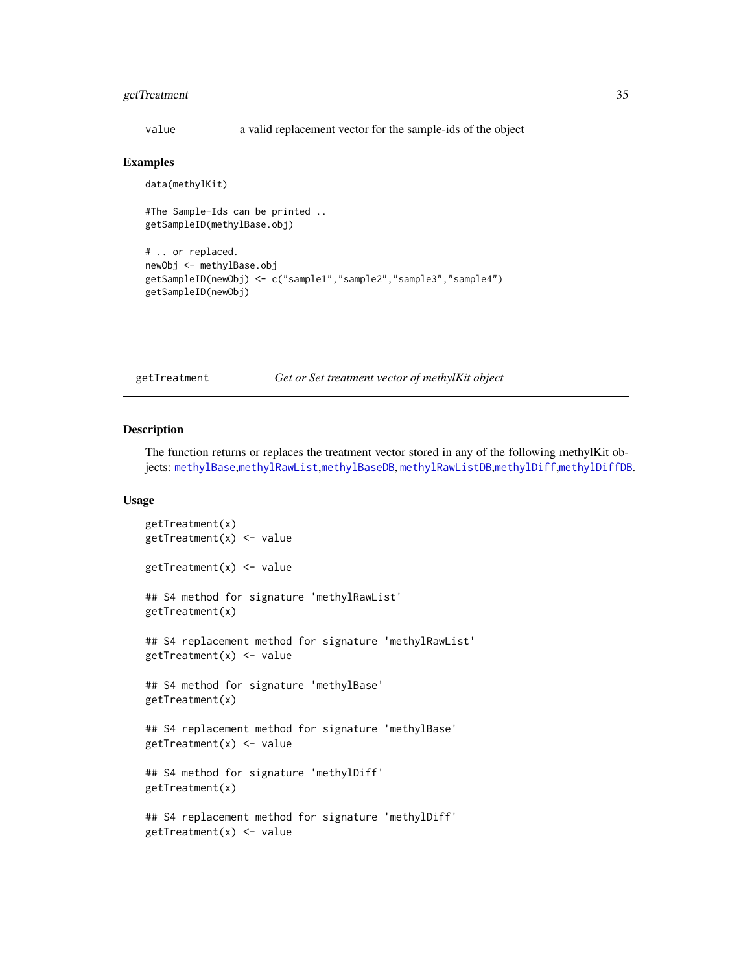## <span id="page-34-0"></span>getTreatment 35

value a valid replacement vector for the sample-ids of the object

#### Examples

data(methylKit)

```
#The Sample-Ids can be printed ..
getSampleID(methylBase.obj)
# .. or replaced.
newObj <- methylBase.obj
getSampleID(newObj) <- c("sample1","sample2","sample3","sample4")
getSampleID(newObj)
```
getTreatment *Get or Set treatment vector of methylKit object*

## Description

The function returns or replaces the treatment vector stored in any of the following methylKit objects: [methylBase](#page-44-1),[methylRawList](#page-53-1),[methylBaseDB](#page-46-1), [methylRawListDB](#page-54-1),[methylDiff](#page-47-1),[methylDiffDB](#page-48-1).

```
getTreatment(x)
getTreatment(x) <- value
getTreatment(x) <- value
## S4 method for signature 'methylRawList'
getTreatment(x)
## S4 replacement method for signature 'methylRawList'
getTreatment(x) <- value
## S4 method for signature 'methylBase'
getTreatment(x)
## S4 replacement method for signature 'methylBase'
getTreatment(x) <- value
## S4 method for signature 'methylDiff'
getTreatment(x)
## S4 replacement method for signature 'methylDiff'
getTreatment(x) <- value
```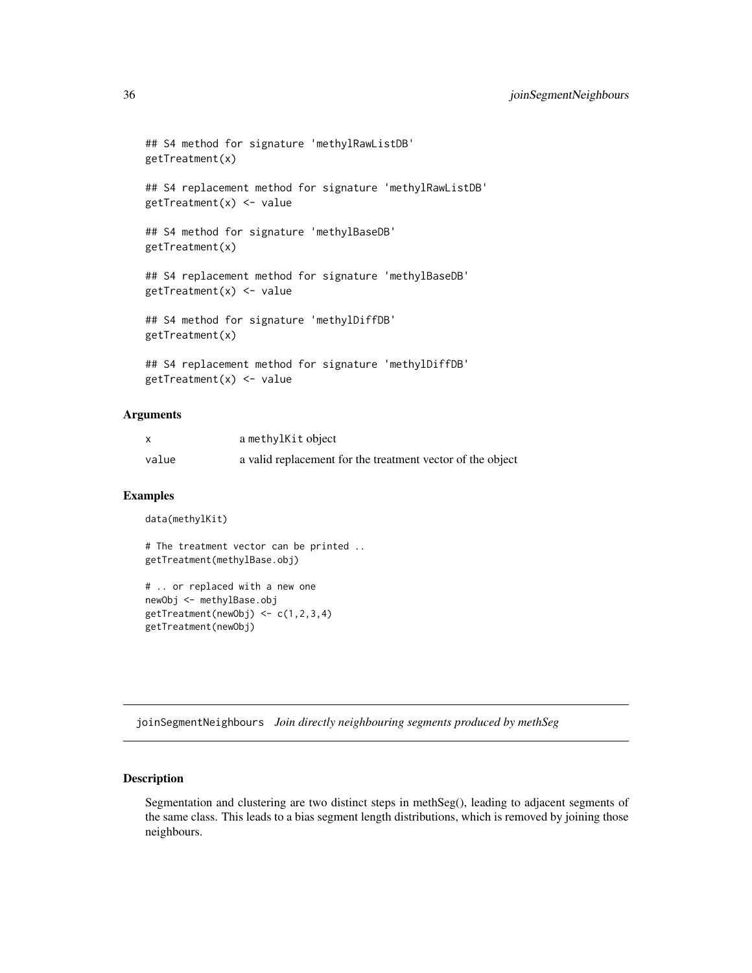```
## S4 method for signature 'methylRawListDB'
getTreatment(x)
## S4 replacement method for signature 'methylRawListDB'
getTreatment(x) <- value
## S4 method for signature 'methylBaseDB'
getTreatment(x)
## S4 replacement method for signature 'methylBaseDB'
getTreatment(x) <- value
## S4 method for signature 'methylDiffDB'
getTreatment(x)
## S4 replacement method for signature 'methylDiffDB'
getTreatment(x) <- value
```
## Arguments

|       | a methylKit object                                         |
|-------|------------------------------------------------------------|
| value | a valid replacement for the treatment vector of the object |

#### Examples

```
data(methylKit)
```
# The treatment vector can be printed .. getTreatment(methylBase.obj)

```
# .. or replaced with a new one
newObj <- methylBase.obj
getTreatment(newObj) <- c(1,2,3,4)
getTreatment(newObj)
```
joinSegmentNeighbours *Join directly neighbouring segments produced by methSeg*

## Description

Segmentation and clustering are two distinct steps in methSeg(), leading to adjacent segments of the same class. This leads to a bias segment length distributions, which is removed by joining those neighbours.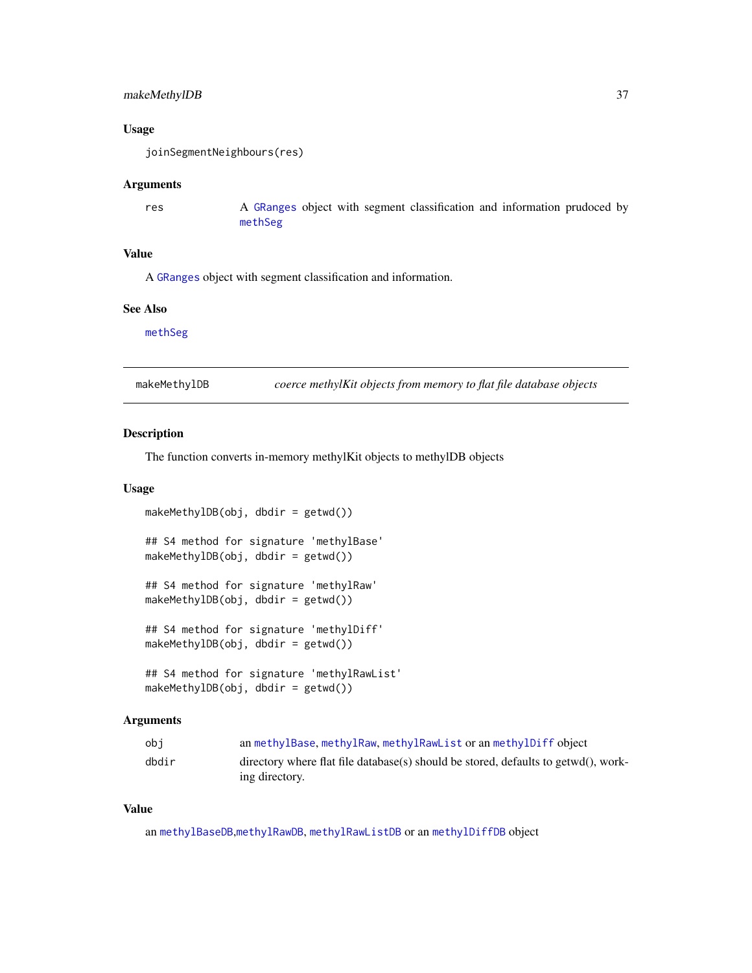# makeMethylDB 37

### Usage

```
joinSegmentNeighbours(res)
```
### Arguments

res A [GRanges](#page-0-0) object with segment classification and information prudoced by [methSeg](#page-41-0)

# Value

A [GRanges](#page-0-0) object with segment classification and information.

### See Also

[methSeg](#page-41-0)

makeMethylDB *coerce methylKit objects from memory to flat file database objects*

### Description

The function converts in-memory methylKit objects to methylDB objects

#### Usage

```
makeMethylDB(obj, dbdir = getwd())
## S4 method for signature 'methylBase'
makeMethylDB(obj, dbdir = getwd())
## S4 method for signature 'methylRaw'
makeMethylDB(obj, dbdir = getwd())## S4 method for signature 'methylDiff'
makeMethylDB(obj, dbdir = getwd())
## S4 method for signature 'methylRawList'
makeMethylDB(obj, dbdir = getwd())
```
### Arguments

| obi   | an methylBase, methylRaw, methylRawList or an methylDiff object                                      |
|-------|------------------------------------------------------------------------------------------------------|
| dbdir | directory where flat file database(s) should be stored, defaults to getwd(), work-<br>ing directory. |

# Value

an [methylBaseDB](#page-46-0),[methylRawDB](#page-52-0), [methylRawListDB](#page-54-0) or an [methylDiffDB](#page-48-0) object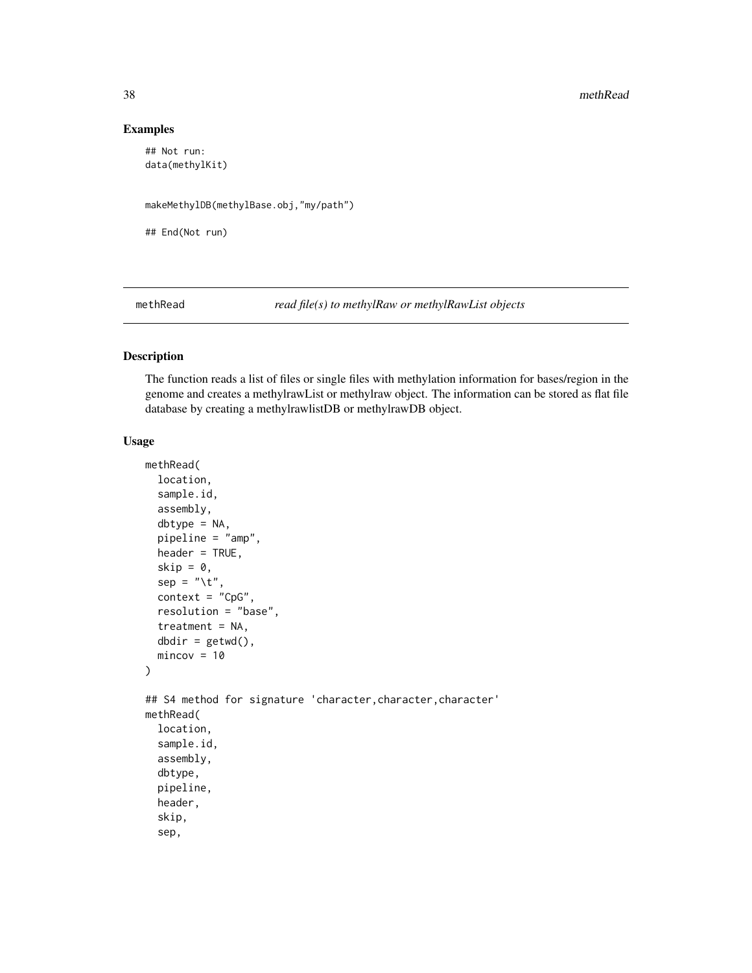# Examples

```
## Not run:
data(methylKit)
```
makeMethylDB(methylBase.obj,"my/path")

## End(Not run)

<span id="page-37-0"></span>methRead *read file(s) to methylRaw or methylRawList objects*

# Description

The function reads a list of files or single files with methylation information for bases/region in the genome and creates a methylrawList or methylraw object. The information can be stored as flat file database by creating a methylrawlistDB or methylrawDB object.

### Usage

```
methRead(
  location,
  sample.id,
  assembly,
  dbtype = NA,
  pipeline = "amp",
  header = TRUE,skip = 0,sep = "\t",
  context = "CpG",resolution = "base",
  treatment = NA,
  dbdir = getwd(),mincov = 10)
## S4 method for signature 'character,character,character'
methRead(
  location,
  sample.id,
  assembly,
  dbtype,
  pipeline,
  header,
  skip,
  sep,
```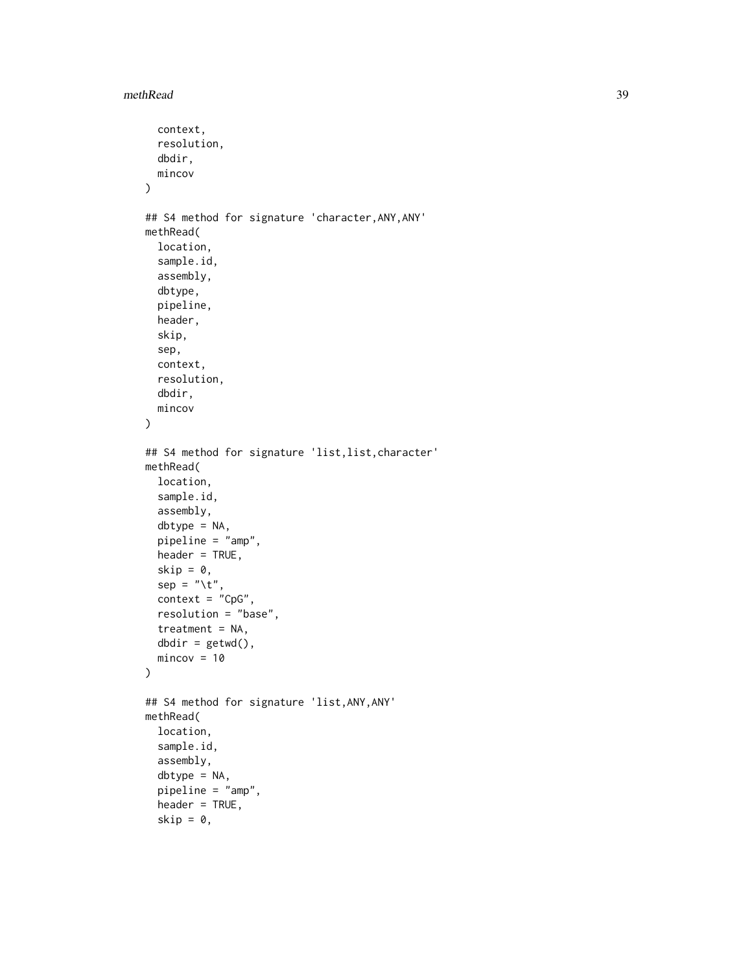```
context,
  resolution,
 dbdir,
 mincov
\mathcal{L}## S4 method for signature 'character,ANY,ANY'
methRead(
  location,
  sample.id,
  assembly,
  dbtype,
 pipeline,
 header,
  skip,
  sep,
  context,
  resolution,
 dbdir,
 mincov
)
## S4 method for signature 'list,list,character'
methRead(
 location,
  sample.id,
  assembly,
  dbtype = NA,
  pipeline = "amp",
  header = TRUE,skip = 0,sep = "\t",
  context = "CpG",resolution = "base",
  treatment = NA,
 dbdir = getwd(),mincov = 10\mathcal{L}## S4 method for signature 'list,ANY,ANY'
methRead(
  location,
  sample.id,
  assembly,
  dbtype = NA,
  pipeline = "amp",
  header = TRUE,skip = 0,
```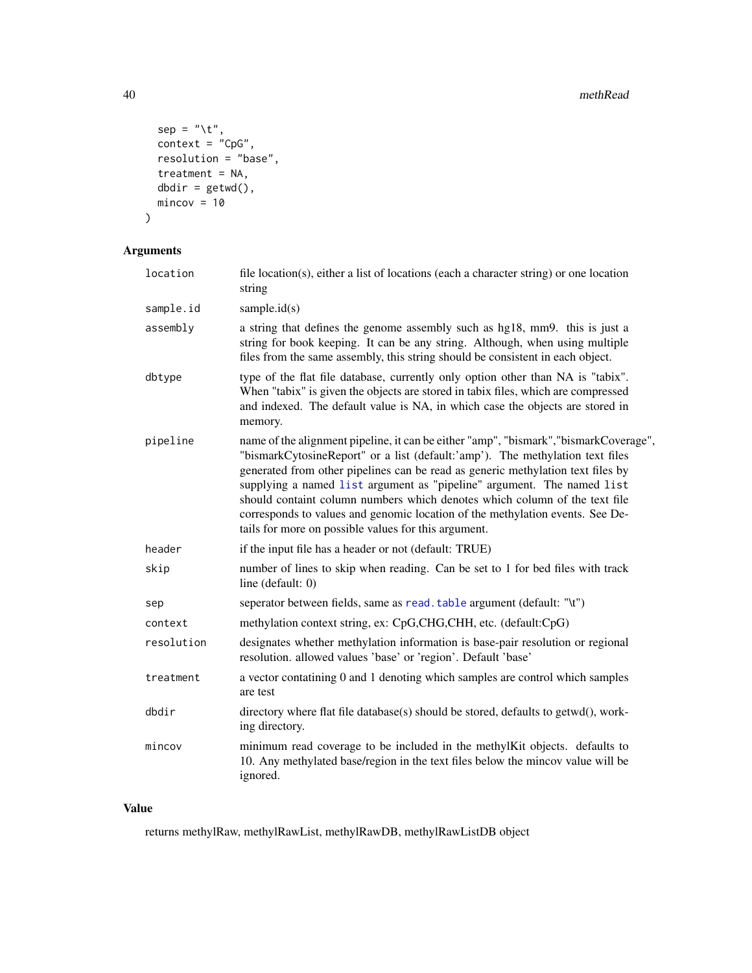```
sep = "\t",
  context = "CpG",resolution = "base",
 treatment = NA,
 dbdir = getwd(),
 mincov = 10)
```
# Arguments

| location   | file location(s), either a list of locations (each a character string) or one location<br>string                                                                                                                                                                                                                                                                                                                                                                                                                                                           |  |  |  |  |
|------------|------------------------------------------------------------------------------------------------------------------------------------------------------------------------------------------------------------------------------------------------------------------------------------------------------------------------------------------------------------------------------------------------------------------------------------------------------------------------------------------------------------------------------------------------------------|--|--|--|--|
| sample.id  | sample. $id(s)$                                                                                                                                                                                                                                                                                                                                                                                                                                                                                                                                            |  |  |  |  |
| assembly   | a string that defines the genome assembly such as hg18, mm9. this is just a<br>string for book keeping. It can be any string. Although, when using multiple<br>files from the same assembly, this string should be consistent in each object.                                                                                                                                                                                                                                                                                                              |  |  |  |  |
| dbtype     | type of the flat file database, currently only option other than NA is "tabix".<br>When "tabix" is given the objects are stored in tabix files, which are compressed<br>and indexed. The default value is NA, in which case the objects are stored in<br>memory.                                                                                                                                                                                                                                                                                           |  |  |  |  |
| pipeline   | name of the alignment pipeline, it can be either "amp", "bismark", "bismarkCoverage",<br>"bismarkCytosineReport" or a list (default:'amp'). The methylation text files<br>generated from other pipelines can be read as generic methylation text files by<br>supplying a named list argument as "pipeline" argument. The named list<br>should containt column numbers which denotes which column of the text file<br>corresponds to values and genomic location of the methylation events. See De-<br>tails for more on possible values for this argument. |  |  |  |  |
| header     | if the input file has a header or not (default: TRUE)                                                                                                                                                                                                                                                                                                                                                                                                                                                                                                      |  |  |  |  |
| skip       | number of lines to skip when reading. Can be set to 1 for bed files with track<br>line (default: 0)                                                                                                                                                                                                                                                                                                                                                                                                                                                        |  |  |  |  |
| sep        | seperator between fields, same as read. table argument (default: "\t")                                                                                                                                                                                                                                                                                                                                                                                                                                                                                     |  |  |  |  |
| context    | methylation context string, ex: CpG,CHG,CHH, etc. (default:CpG)                                                                                                                                                                                                                                                                                                                                                                                                                                                                                            |  |  |  |  |
| resolution | designates whether methylation information is base-pair resolution or regional<br>resolution. allowed values 'base' or 'region'. Default 'base'                                                                                                                                                                                                                                                                                                                                                                                                            |  |  |  |  |
| treatment  | a vector contatining 0 and 1 denoting which samples are control which samples<br>are test                                                                                                                                                                                                                                                                                                                                                                                                                                                                  |  |  |  |  |
| dbdir      | directory where flat file database(s) should be stored, defaults to getwd(), work-<br>ing directory.                                                                                                                                                                                                                                                                                                                                                                                                                                                       |  |  |  |  |
| mincov     | minimum read coverage to be included in the methylKit objects. defaults to<br>10. Any methylated base/region in the text files below the mincov value will be<br>ignored.                                                                                                                                                                                                                                                                                                                                                                                  |  |  |  |  |

# Value

returns methylRaw, methylRawList, methylRawDB, methylRawListDB object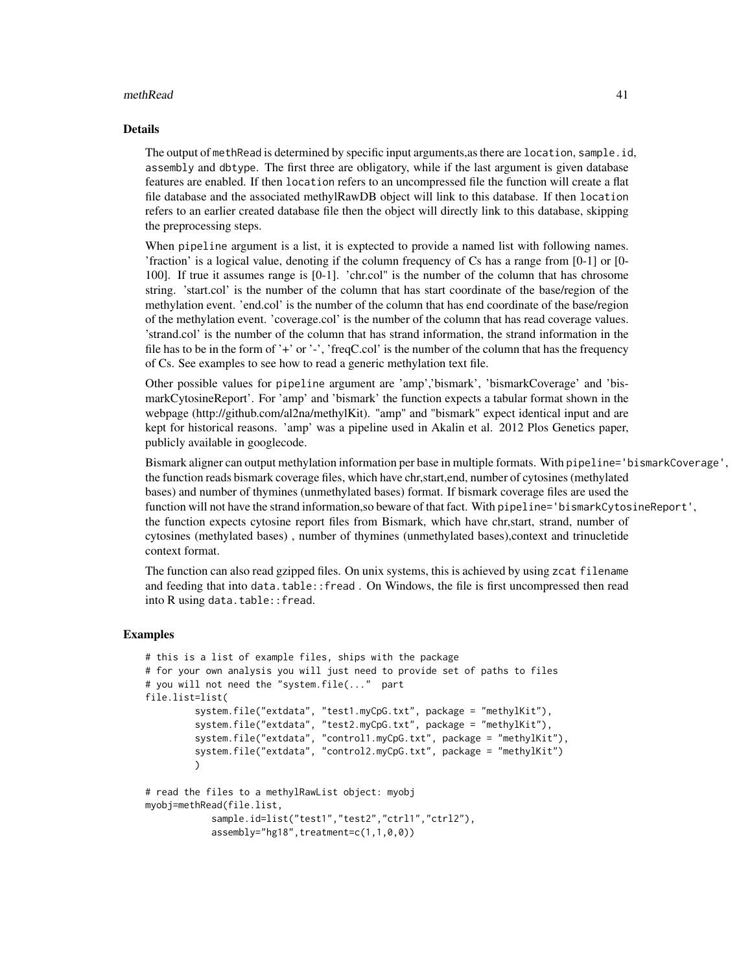### methRead 41

### Details

The output of methRead is determined by specific input arguments,as there are location, sample.id, assembly and dbtype. The first three are obligatory, while if the last argument is given database features are enabled. If then location refers to an uncompressed file the function will create a flat file database and the associated methylRawDB object will link to this database. If then location refers to an earlier created database file then the object will directly link to this database, skipping the preprocessing steps.

When pipeline argument is a list, it is exptected to provide a named list with following names. 'fraction' is a logical value, denoting if the column frequency of Cs has a range from [0-1] or [0- 100]. If true it assumes range is [0-1]. 'chr.col" is the number of the column that has chrosome string. 'start.col' is the number of the column that has start coordinate of the base/region of the methylation event. 'end.col' is the number of the column that has end coordinate of the base/region of the methylation event. 'coverage.col' is the number of the column that has read coverage values. 'strand.col' is the number of the column that has strand information, the strand information in the file has to be in the form of '+' or '-', 'freqC.col' is the number of the column that has the frequency of Cs. See examples to see how to read a generic methylation text file.

Other possible values for pipeline argument are 'amp','bismark', 'bismarkCoverage' and 'bismarkCytosineReport'. For 'amp' and 'bismark' the function expects a tabular format shown in the webpage (http://github.com/al2na/methylKit). "amp" and "bismark" expect identical input and are kept for historical reasons. 'amp' was a pipeline used in Akalin et al. 2012 Plos Genetics paper, publicly available in googlecode.

Bismark aligner can output methylation information per base in multiple formats. With pipeline='bismarkCoverage', the function reads bismark coverage files, which have chr,start,end, number of cytosines (methylated bases) and number of thymines (unmethylated bases) format. If bismark coverage files are used the function will not have the strand information,so beware of that fact. With pipeline='bismarkCytosineReport', the function expects cytosine report files from Bismark, which have chr,start, strand, number of cytosines (methylated bases) , number of thymines (unmethylated bases),context and trinucletide context format.

The function can also read gzipped files. On unix systems, this is achieved by using zcat filename and feeding that into data.table::fread . On Windows, the file is first uncompressed then read into R using data.table:: fread.

### Examples

```
# this is a list of example files, ships with the package
# for your own analysis you will just need to provide set of paths to files
# you will not need the "system.file(..." part
file.list=list(
         system.file("extdata", "test1.myCpG.txt", package = "methylKit"),
         system.file("extdata", "test2.myCpG.txt", package = "methylKit"),
         system.file("extdata", "control1.myCpG.txt", package = "methylKit"),
         system.file("extdata", "control2.myCpG.txt", package = "methylKit")
         )
# read the files to a methylRawList object: myobj
myobj=methRead(file.list,
```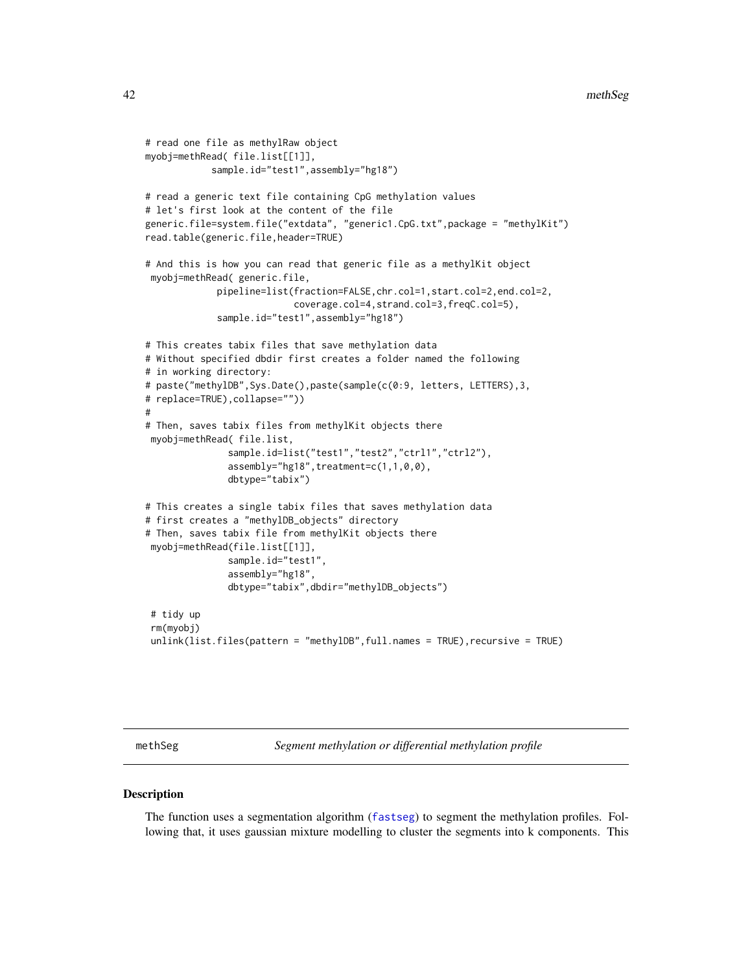```
# read one file as methylRaw object
myobj=methRead( file.list[[1]],
            sample.id="test1",assembly="hg18")
# read a generic text file containing CpG methylation values
# let's first look at the content of the file
generic.file=system.file("extdata", "generic1.CpG.txt",package = "methylKit")
read.table(generic.file,header=TRUE)
# And this is how you can read that generic file as a methylKit object
myobj=methRead( generic.file,
             pipeline=list(fraction=FALSE,chr.col=1,start.col=2,end.col=2,
                           coverage.col=4,strand.col=3,freqC.col=5),
             sample.id="test1",assembly="hg18")
# This creates tabix files that save methylation data
# Without specified dbdir first creates a folder named the following
# in working directory:
# paste("methylDB", Sys.Date(), paste(sample(c(0:9, letters, LETTERS), 3,
# replace=TRUE),collapse=""))
#
# Then, saves tabix files from methylKit objects there
myobj=methRead( file.list,
               sample.id=list("test1","test2","ctrl1","ctrl2"),
               assembly="hg18",treatment=c(1,1,0,0),
               dbtype="tabix")
# This creates a single tabix files that saves methylation data
# first creates a "methylDB_objects" directory
# Then, saves tabix file from methylKit objects there
myobj=methRead(file.list[[1]],
              sample.id="test1",
               assembly="hg18",
               dbtype="tabix",dbdir="methylDB_objects")
 # tidy up
 rm(myobj)
 unlink(list.files(pattern = "methylDB",full.names = TRUE), recursive = TRUE)
```
<span id="page-41-0"></span>methSeg *Segment methylation or differential methylation profile*

#### **Description**

The function uses a segmentation algorithm ([fastseg](#page-0-0)) to segment the methylation profiles. Following that, it uses gaussian mixture modelling to cluster the segments into k components. This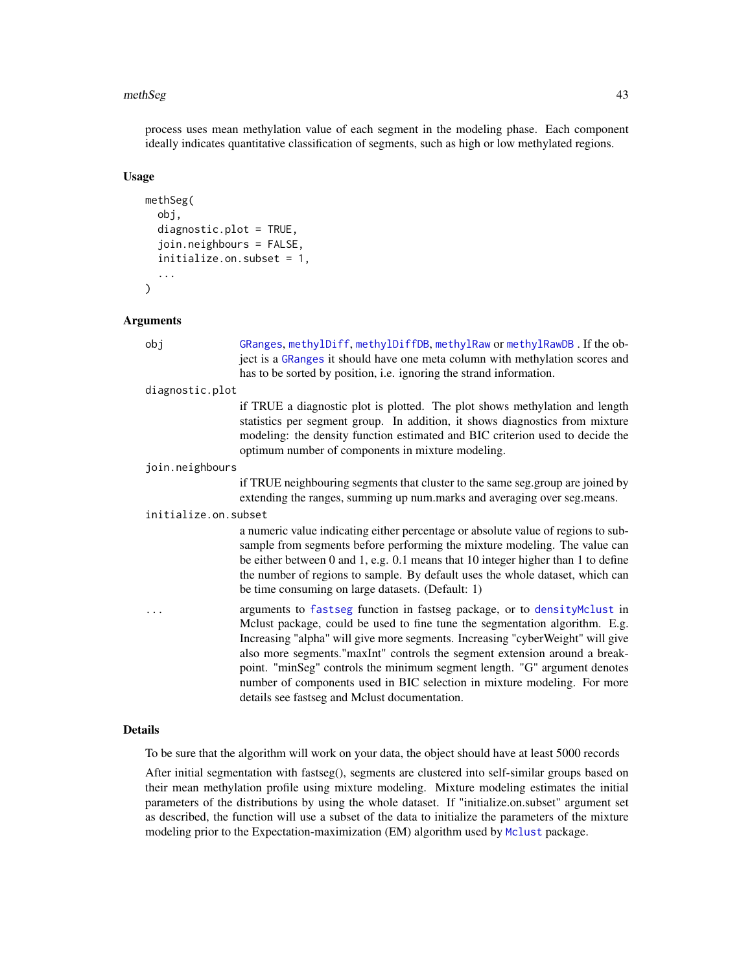### methSeg 43

process uses mean methylation value of each segment in the modeling phase. Each component ideally indicates quantitative classification of segments, such as high or low methylated regions.

#### Usage

```
methSeg(
  obj,
  diagnostic.plot = TRUE,
  join.neighbours = FALSE,
  initialize.on.subset = 1,
  ...
)
```
### Arguments

obj [GRanges](#page-0-0), [methylDiff](#page-47-0), [methylDiffDB](#page-48-0), [methylRaw](#page-50-0) or [methylRawDB](#page-52-0) . If the object is a [GRanges](#page-0-0) it should have one meta column with methylation scores and has to be sorted by position, i.e. ignoring the strand information.

```
diagnostic.plot
```
if TRUE a diagnostic plot is plotted. The plot shows methylation and length statistics per segment group. In addition, it shows diagnostics from mixture modeling: the density function estimated and BIC criterion used to decide the optimum number of components in mixture modeling.

join.neighbours

if TRUE neighbouring segments that cluster to the same seg.group are joined by extending the ranges, summing up num.marks and averaging over seg.means.

#### initialize.on.subset

a numeric value indicating either percentage or absolute value of regions to subsample from segments before performing the mixture modeling. The value can be either between 0 and 1, e.g. 0.1 means that 10 integer higher than 1 to define the number of regions to sample. By default uses the whole dataset, which can be time consuming on large datasets. (Default: 1)

... arguments to [fastseg](#page-0-0) function in fastseg package, or to [densityMclust](#page-0-0) in Mclust package, could be used to fine tune the segmentation algorithm. E.g. Increasing "alpha" will give more segments. Increasing "cyberWeight" will give also more segments."maxInt" controls the segment extension around a breakpoint. "minSeg" controls the minimum segment length. "G" argument denotes number of components used in BIC selection in mixture modeling. For more details see fastseg and Mclust documentation.

# Details

To be sure that the algorithm will work on your data, the object should have at least 5000 records

After initial segmentation with fastseg(), segments are clustered into self-similar groups based on their mean methylation profile using mixture modeling. Mixture modeling estimates the initial parameters of the distributions by using the whole dataset. If "initialize.on.subset" argument set as described, the function will use a subset of the data to initialize the parameters of the mixture modeling prior to the Expectation-maximization (EM) algorithm used by [Mclust](#page-0-0) package.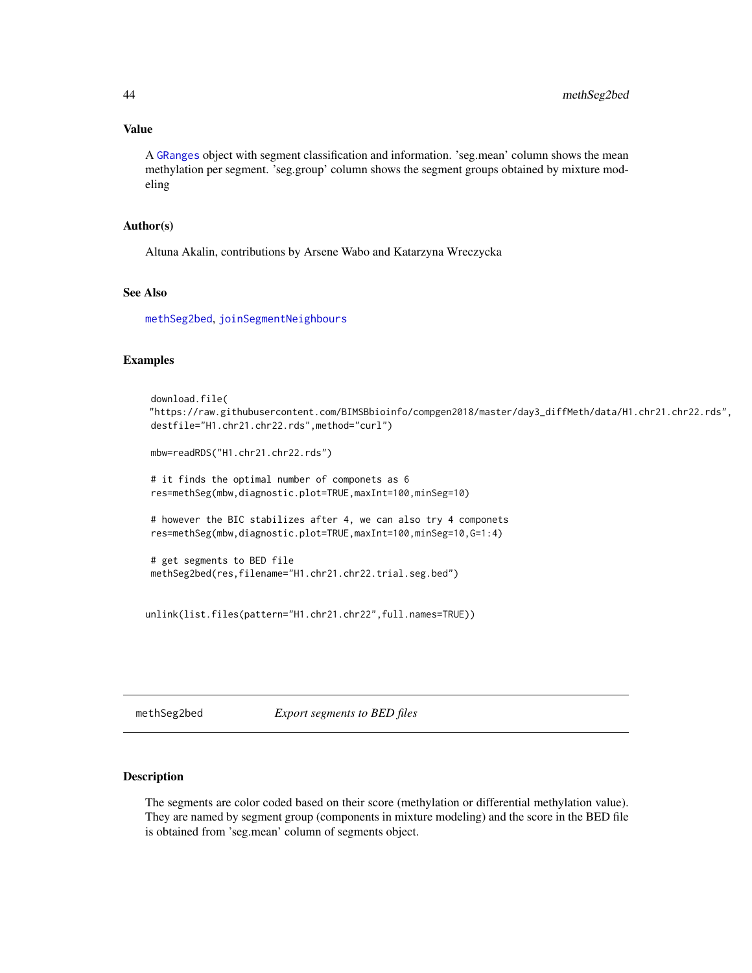# Value

A [GRanges](#page-0-0) object with segment classification and information. 'seg.mean' column shows the mean methylation per segment. 'seg.group' column shows the segment groups obtained by mixture modeling

### Author(s)

Altuna Akalin, contributions by Arsene Wabo and Katarzyna Wreczycka

# See Also

[methSeg2bed](#page-43-0), [joinSegmentNeighbours](#page-35-0)

### Examples

```
download.file(
"https://raw.githubusercontent.com/BIMSBbioinfo/compgen2018/master/day3_diffMeth/data/H1.chr21.chr22.rds",
destfile="H1.chr21.chr22.rds",method="curl")
mbw=readRDS("H1.chr21.chr22.rds")
# it finds the optimal number of componets as 6
res=methSeg(mbw,diagnostic.plot=TRUE,maxInt=100,minSeg=10)
# however the BIC stabilizes after 4, we can also try 4 componets
res=methSeg(mbw,diagnostic.plot=TRUE,maxInt=100,minSeg=10,G=1:4)
# get segments to BED file
methSeg2bed(res,filename="H1.chr21.chr22.trial.seg.bed")
```

```
unlink(list.files(pattern="H1.chr21.chr22",full.names=TRUE))
```
<span id="page-43-0"></span>methSeg2bed *Export segments to BED files*

### Description

The segments are color coded based on their score (methylation or differential methylation value). They are named by segment group (components in mixture modeling) and the score in the BED file is obtained from 'seg.mean' column of segments object.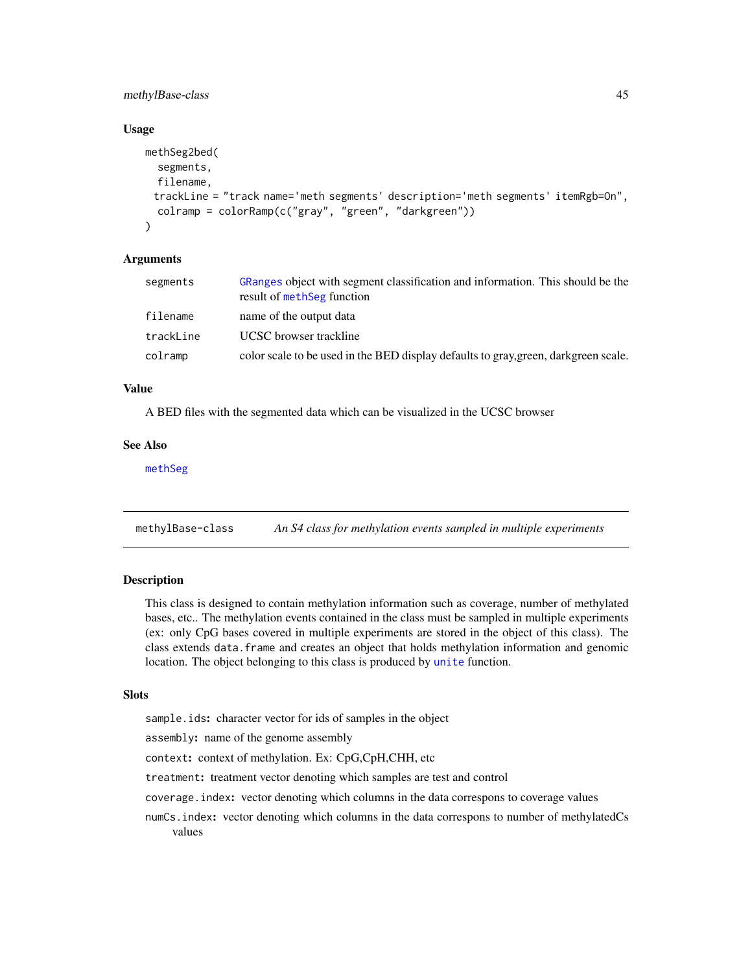# methylBase-class 45

### Usage

```
methSeg2bed(
  segments,
  filename,
 trackLine = "track name='meth segments' description='meth segments' itemRgb=On",
  colramp = colorRamp(c("gray", "green", "darkgreen"))
\lambda
```
### Arguments

| segments  | GRanges object with segment classification and information. This should be the<br>result of methSeg function |
|-----------|--------------------------------------------------------------------------------------------------------------|
| filename  | name of the output data                                                                                      |
| trackLine | UCSC browser trackline                                                                                       |
| colramp   | color scale to be used in the BED display defaults to gray, green, darkgreen scale.                          |

# Value

A BED files with the segmented data which can be visualized in the UCSC browser

# See Also

[methSeg](#page-41-0)

methylBase-class *An S4 class for methylation events sampled in multiple experiments*

# <span id="page-44-0"></span>Description

This class is designed to contain methylation information such as coverage, number of methylated bases, etc.. The methylation events contained in the class must be sampled in multiple experiments (ex: only CpG bases covered in multiple experiments are stored in the object of this class). The class extends data.frame and creates an object that holds methylation information and genomic location. The object belonging to this class is produced by [unite](#page-83-0) function.

### Slots

sample.ids: character vector for ids of samples in the object

assembly: name of the genome assembly

context: context of methylation. Ex: CpG,CpH,CHH, etc

treatment: treatment vector denoting which samples are test and control

coverage.index: vector denoting which columns in the data correspons to coverage values

numCs.index: vector denoting which columns in the data correspons to number of methylatedCs values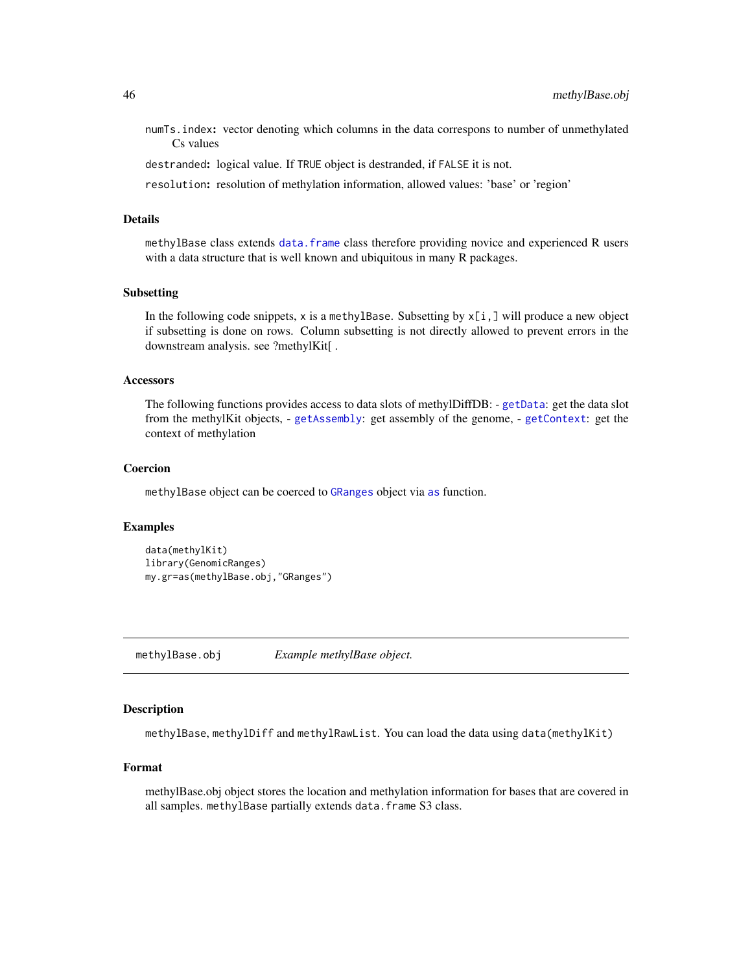numTs.index: vector denoting which columns in the data correspons to number of unmethylated Cs values

destranded: logical value. If TRUE object is destranded, if FALSE it is not.

resolution: resolution of methylation information, allowed values: 'base' or 'region'

# Details

methylBase class extends [data.frame](#page-0-0) class therefore providing novice and experienced R users with a data structure that is well known and ubiquitous in many R packages.

### Subsetting

In the following code snippets, x is a methylBase. Subsetting by  $x[i, j]$  will produce a new object if subsetting is done on rows. Column subsetting is not directly allowed to prevent errors in the downstream analysis. see ?methylKit[ .

### Accessors

The following functions provides access to data slots of methylDiffDB: - [getData](#page-27-0): get the data slot from the methylKit objects, - [getAssembly](#page-21-0): get assembly of the genome, - [getContext](#page-23-0): get the context of methylation

# Coercion

methylBase object can be coerced to [GRanges](#page-0-0) object via [as](#page-0-0) function.

# Examples

```
data(methylKit)
library(GenomicRanges)
my.gr=as(methylBase.obj,"GRanges")
```
methylBase.obj *Example methylBase object.*

# Description

methylBase, methylDiff and methylRawList. You can load the data using data(methylKit)

### Format

methylBase.obj object stores the location and methylation information for bases that are covered in all samples. methylBase partially extends data. frame S3 class.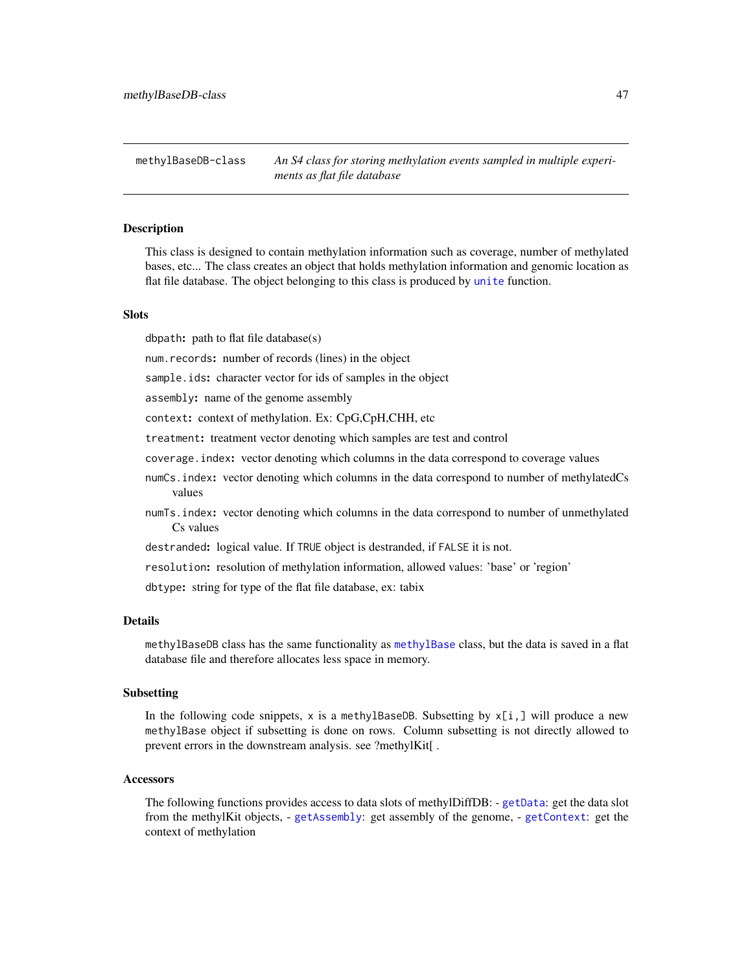methylBaseDB-class *An S4 class for storing methylation events sampled in multiple experiments as flat file database*

### <span id="page-46-0"></span>Description

This class is designed to contain methylation information such as coverage, number of methylated bases, etc... The class creates an object that holds methylation information and genomic location as flat file database. The object belonging to this class is produced by [unite](#page-83-0) function.

### **Slots**

dbpath: path to flat file database(s)

num.records: number of records (lines) in the object

sample.ids: character vector for ids of samples in the object

assembly: name of the genome assembly

context: context of methylation. Ex: CpG,CpH,CHH, etc

treatment: treatment vector denoting which samples are test and control

coverage.index: vector denoting which columns in the data correspond to coverage values

- numCs.index: vector denoting which columns in the data correspond to number of methylatedCs values
- numTs.index: vector denoting which columns in the data correspond to number of unmethylated Cs values

destranded: logical value. If TRUE object is destranded, if FALSE it is not.

resolution: resolution of methylation information, allowed values: 'base' or 'region'

dbtype: string for type of the flat file database, ex: tabix

## **Details**

methylBaseDB class has the same functionality as [methylBase](#page-44-0) class, but the data is saved in a flat database file and therefore allocates less space in memory.

#### Subsetting

In the following code snippets, x is a methylBaseDB. Subsetting by  $x[i, j]$  will produce a new methylBase object if subsetting is done on rows. Column subsetting is not directly allowed to prevent errors in the downstream analysis. see ?methylKit[ .

### **Accessors**

The following functions provides access to data slots of methylDiffDB: - [getData](#page-27-0): get the data slot from the methylKit objects, - [getAssembly](#page-21-0): get assembly of the genome, - [getContext](#page-23-0): get the context of methylation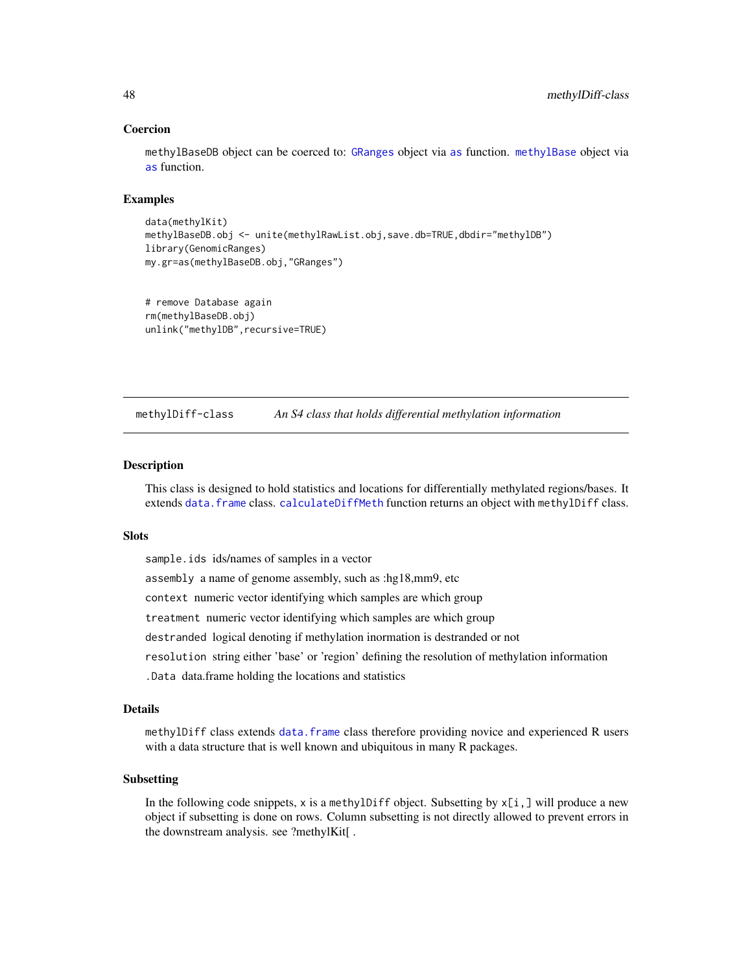### Coercion

methylBaseDB object can be coerced to: [GRanges](#page-0-0) object via [as](#page-0-0) function. [methylBase](#page-44-0) object via [as](#page-0-0) function.

# Examples

```
data(methylKit)
methylBaseDB.obj <- unite(methylRawList.obj,save.db=TRUE,dbdir="methylDB")
library(GenomicRanges)
my.gr=as(methylBaseDB.obj,"GRanges")
```

```
# remove Database again
rm(methylBaseDB.obj)
unlink("methylDB",recursive=TRUE)
```
methylDiff-class *An S4 class that holds differential methylation information*

# <span id="page-47-0"></span>Description

This class is designed to hold statistics and locations for differentially methylated regions/bases. It extends [data.frame](#page-0-0) class. [calculateDiffMeth](#page-8-0) function returns an object with methylDiff class.

#### **Slots**

sample.ids ids/names of samples in a vector assembly a name of genome assembly, such as :hg18,mm9, etc context numeric vector identifying which samples are which group treatment numeric vector identifying which samples are which group destranded logical denoting if methylation inormation is destranded or not resolution string either 'base' or 'region' defining the resolution of methylation information .Data data.frame holding the locations and statistics

# Details

methylDiff class extends [data.frame](#page-0-0) class therefore providing novice and experienced R users with a data structure that is well known and ubiquitous in many R packages.

### Subsetting

In the following code snippets, x is a methylDiff object. Subsetting by  $x[i, j]$  will produce a new object if subsetting is done on rows. Column subsetting is not directly allowed to prevent errors in the downstream analysis. see ?methylKit[ .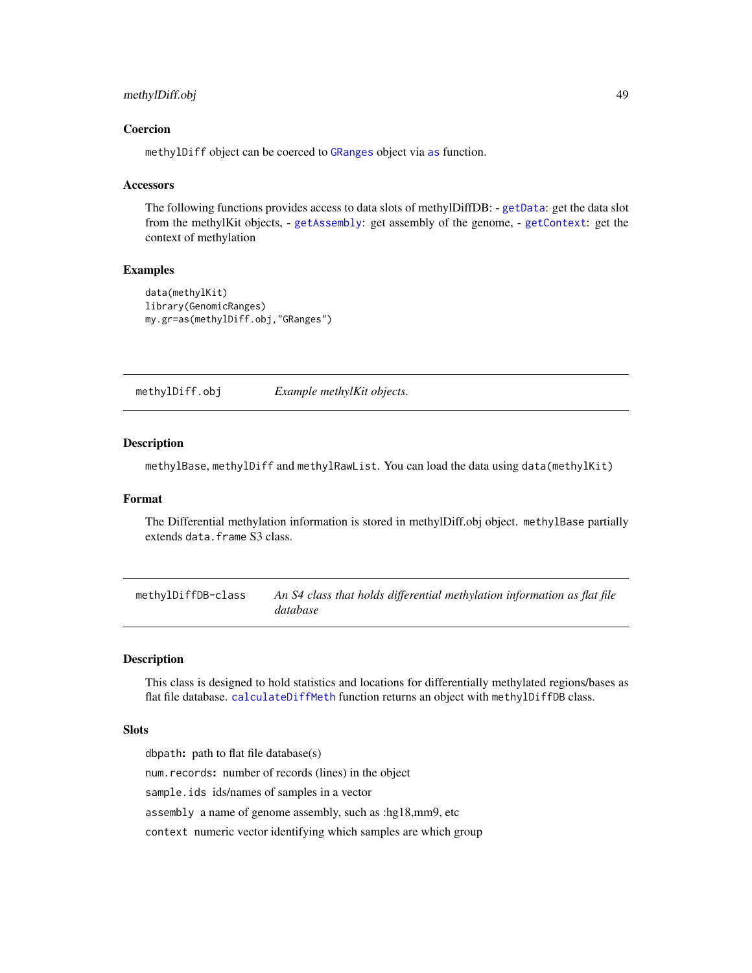# methylDiff.obj 49

### Coercion

methylDiff object can be coerced to [GRanges](#page-0-0) object via [as](#page-0-0) function.

### **Accessors**

The following functions provides access to data slots of methylDiffDB: - [getData](#page-27-0): get the data slot from the methylKit objects, - [getAssembly](#page-21-0): get assembly of the genome, - [getContext](#page-23-0): get the context of methylation

# Examples

```
data(methylKit)
library(GenomicRanges)
my.gr=as(methylDiff.obj,"GRanges")
```
methylDiff.obj *Example methylKit objects.*

### **Description**

methylBase, methylDiff and methylRawList. You can load the data using data(methylKit)

## Format

The Differential methylation information is stored in methylDiff.obj object. methylBase partially extends data.frame S3 class.

methylDiffDB-class *An S4 class that holds differential methylation information as flat file database*

# <span id="page-48-0"></span>Description

This class is designed to hold statistics and locations for differentially methylated regions/bases as flat file database. [calculateDiffMeth](#page-8-0) function returns an object with methylDiffDB class.

# **Slots**

dbpath: path to flat file database(s)

num.records: number of records (lines) in the object

sample.ids ids/names of samples in a vector

assembly a name of genome assembly, such as :hg18,mm9, etc

context numeric vector identifying which samples are which group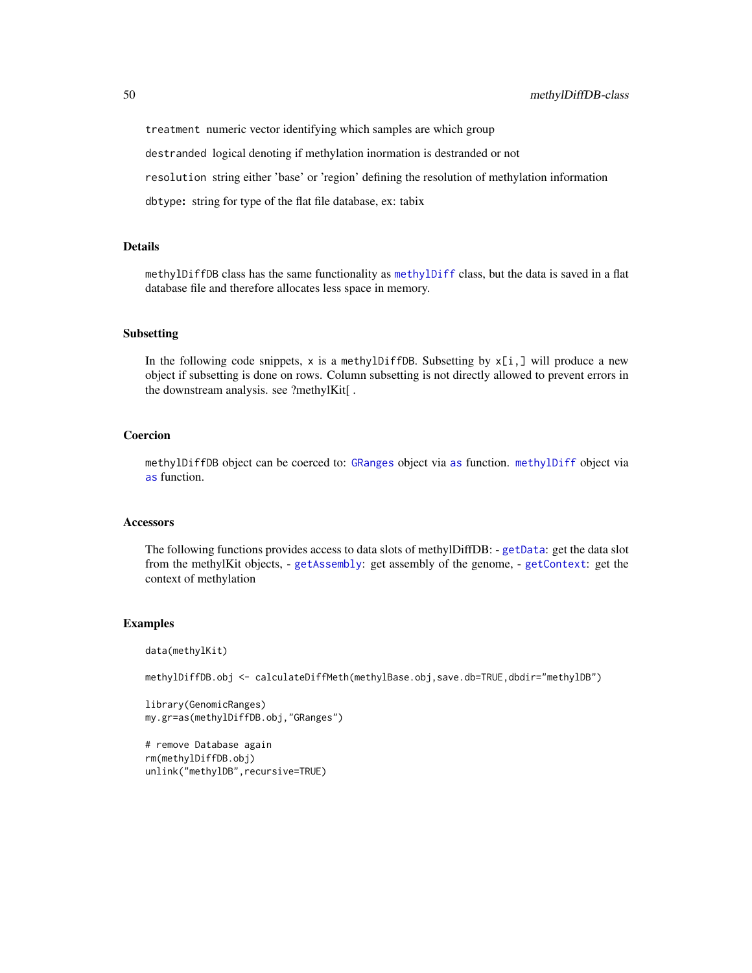treatment numeric vector identifying which samples are which group

destranded logical denoting if methylation inormation is destranded or not

resolution string either 'base' or 'region' defining the resolution of methylation information

dbtype: string for type of the flat file database, ex: tabix

### Details

methylDiffDB class has the same functionality as [methylDiff](#page-47-0) class, but the data is saved in a flat database file and therefore allocates less space in memory.

### Subsetting

In the following code snippets, x is a methylDiffDB. Subsetting by  $x[i, j]$  will produce a new object if subsetting is done on rows. Column subsetting is not directly allowed to prevent errors in the downstream analysis. see ?methylKit[ .

# Coercion

methylDiffDB object can be coerced to: [GRanges](#page-0-0) object via [as](#page-0-0) function. [methylDiff](#page-47-0) object via [as](#page-0-0) function.

### **Accessors**

The following functions provides access to data slots of methylDiffDB: - [getData](#page-27-0): get the data slot from the methylKit objects, - [getAssembly](#page-21-0): get assembly of the genome, - [getContext](#page-23-0): get the context of methylation

### Examples

data(methylKit)

methylDiffDB.obj <- calculateDiffMeth(methylBase.obj,save.db=TRUE,dbdir="methylDB")

```
library(GenomicRanges)
my.gr=as(methylDiffDB.obj,"GRanges")
```

```
# remove Database again
rm(methylDiffDB.obj)
unlink("methylDB",recursive=TRUE)
```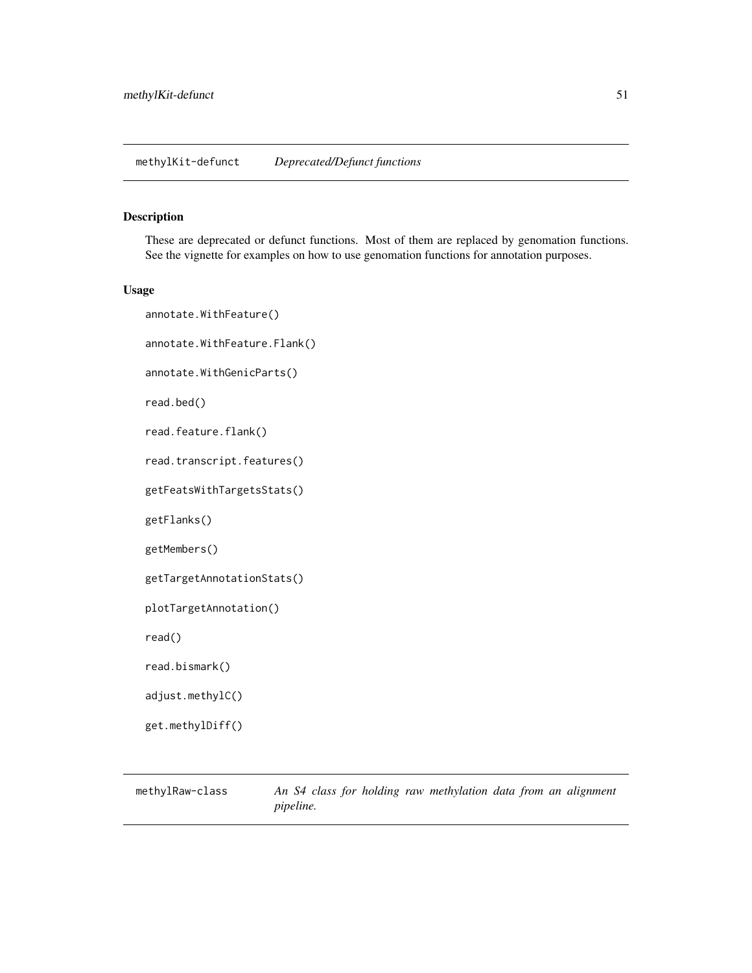# <span id="page-50-1"></span>Description

These are deprecated or defunct functions. Most of them are replaced by genomation functions. See the vignette for examples on how to use genomation functions for annotation purposes.

# Usage

annotate.WithFeature() annotate.WithFeature.Flank() annotate.WithGenicParts() read.bed() read.feature.flank() read.transcript.features() getFeatsWithTargetsStats() getFlanks() getMembers() getTargetAnnotationStats() plotTargetAnnotation() read() read.bismark() adjust.methylC() get.methylDiff()

<span id="page-50-0"></span>methylRaw-class *An S4 class for holding raw methylation data from an alignment pipeline.*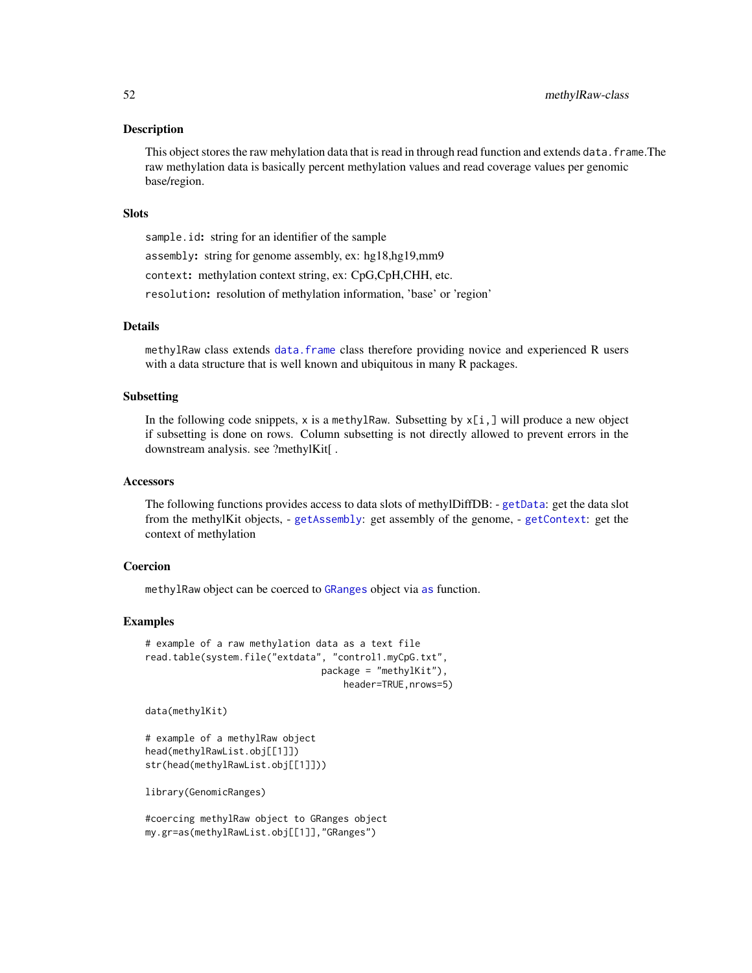### **Description**

This object stores the raw mehylation data that is read in through read function and extends data. frame. The raw methylation data is basically percent methylation values and read coverage values per genomic base/region.

### **Slots**

sample.id: string for an identifier of the sample assembly: string for genome assembly, ex: hg18,hg19,mm9 context: methylation context string, ex: CpG,CpH,CHH, etc. resolution: resolution of methylation information, 'base' or 'region'

### Details

methylRaw class extends [data.frame](#page-0-0) class therefore providing novice and experienced R users with a data structure that is well known and ubiquitous in many R packages.

# Subsetting

In the following code snippets,  $x$  is a methylRaw. Subsetting by  $x[i, j]$  will produce a new object if subsetting is done on rows. Column subsetting is not directly allowed to prevent errors in the downstream analysis. see ?methylKit[ .

#### Accessors

The following functions provides access to data slots of methylDiffDB: - [getData](#page-27-0): get the data slot from the methylKit objects, - [getAssembly](#page-21-0): get assembly of the genome, - [getContext](#page-23-0): get the context of methylation

### Coercion

methylRaw object can be coerced to [GRanges](#page-0-0) object via [as](#page-0-0) function.

### Examples

```
# example of a raw methylation data as a text file
read.table(system.file("extdata", "control1.myCpG.txt",
                                package = "methylKit"),
                                    header=TRUE,nrows=5)
```
data(methylKit)

```
# example of a methylRaw object
head(methylRawList.obj[[1]])
str(head(methylRawList.obj[[1]]))
```
library(GenomicRanges)

#coercing methylRaw object to GRanges object my.gr=as(methylRawList.obj[[1]],"GRanges")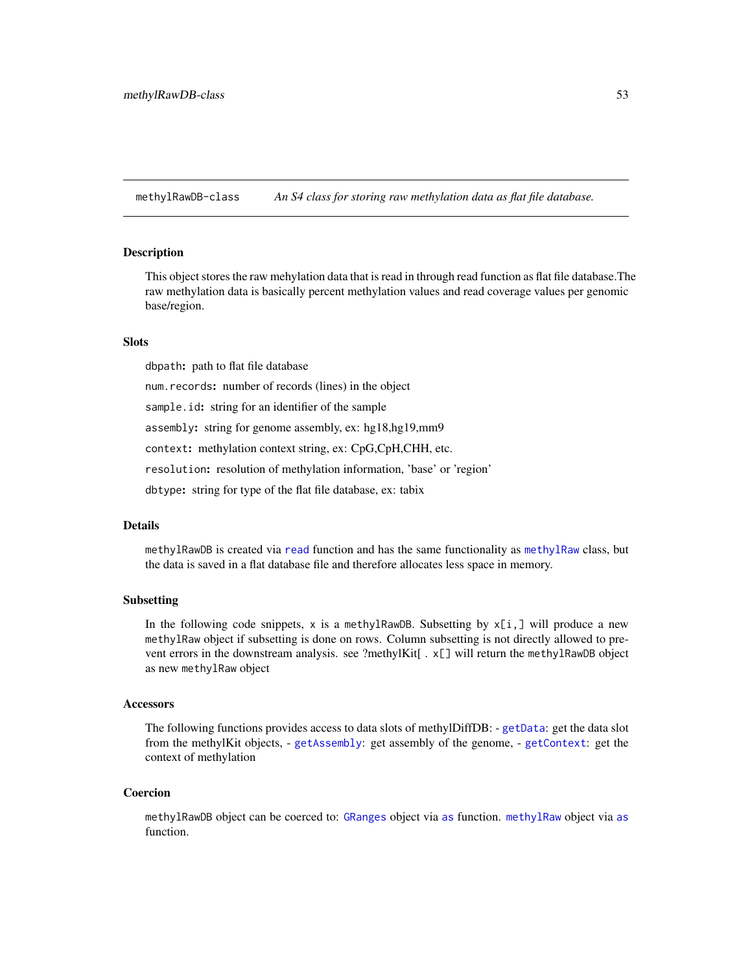methylRawDB-class *An S4 class for storing raw methylation data as flat file database.*

### <span id="page-52-0"></span>Description

This object stores the raw mehylation data that is read in through read function as flat file database.The raw methylation data is basically percent methylation values and read coverage values per genomic base/region.

### **Slots**

dbpath: path to flat file database

num.records: number of records (lines) in the object

sample.id: string for an identifier of the sample

assembly: string for genome assembly, ex: hg18,hg19,mm9

context: methylation context string, ex: CpG,CpH,CHH, etc.

resolution: resolution of methylation information, 'base' or 'region'

dbtype: string for type of the flat file database, ex: tabix

### Details

methylRawDB is created via [read](#page-50-1) function and has the same functionality as [methylRaw](#page-50-0) class, but the data is saved in a flat database file and therefore allocates less space in memory.

# Subsetting

In the following code snippets, x is a methylRawDB. Subsetting by  $x[i, j]$  will produce a new methylRaw object if subsetting is done on rows. Column subsetting is not directly allowed to prevent errors in the downstream analysis. see ?methylKit[. x[] will return the methylRawDB object as new methylRaw object

#### Accessors

The following functions provides access to data slots of methylDiffDB: - [getData](#page-27-0): get the data slot from the methylKit objects, - [getAssembly](#page-21-0): get assembly of the genome, - [getContext](#page-23-0): get the context of methylation

### Coercion

methylRawDB object can be coerced to: [GRanges](#page-0-0) object via [as](#page-0-0) function. [methylRaw](#page-50-0) object via [as](#page-0-0) function.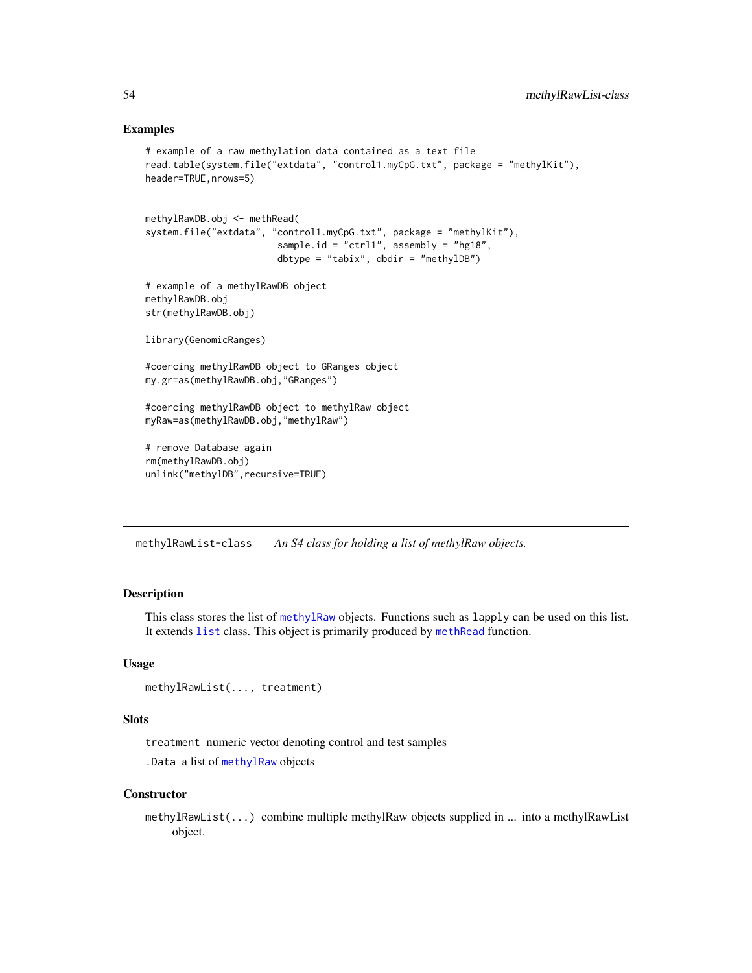# Examples

```
# example of a raw methylation data contained as a text file
read.table(system.file("extdata", "control1.myCpG.txt", package = "methylKit"),
header=TRUE,nrows=5)
methylRawDB.obj <- methRead(
system.file("extdata", "control1.myCpG.txt", package = "methylKit"),
                        sample.id = "ctrl1", assembly = "hg18",
                        dbtype = "tabix", dbdir = "methylDB")
# example of a methylRawDB object
methylRawDB.obj
str(methylRawDB.obj)
library(GenomicRanges)
#coercing methylRawDB object to GRanges object
my.gr=as(methylRawDB.obj,"GRanges")
#coercing methylRawDB object to methylRaw object
myRaw=as(methylRawDB.obj,"methylRaw")
# remove Database again
rm(methylRawDB.obj)
unlink("methylDB", recursive=TRUE)
```
methylRawList-class *An S4 class for holding a list of methylRaw objects.*

# <span id="page-53-0"></span>Description

This class stores the list of [methylRaw](#page-50-0) objects. Functions such as lapply can be used on this list. It extends [list](#page-0-0) class. This object is primarily produced by [methRead](#page-37-0) function.

# Usage

```
methylRawList(..., treatment)
```
### **Slots**

treatment numeric vector denoting control and test samples

.Data a list of [methylRaw](#page-50-0) objects

#### **Constructor**

methylRawList(...) combine multiple methylRaw objects supplied in ... into a methylRawList object.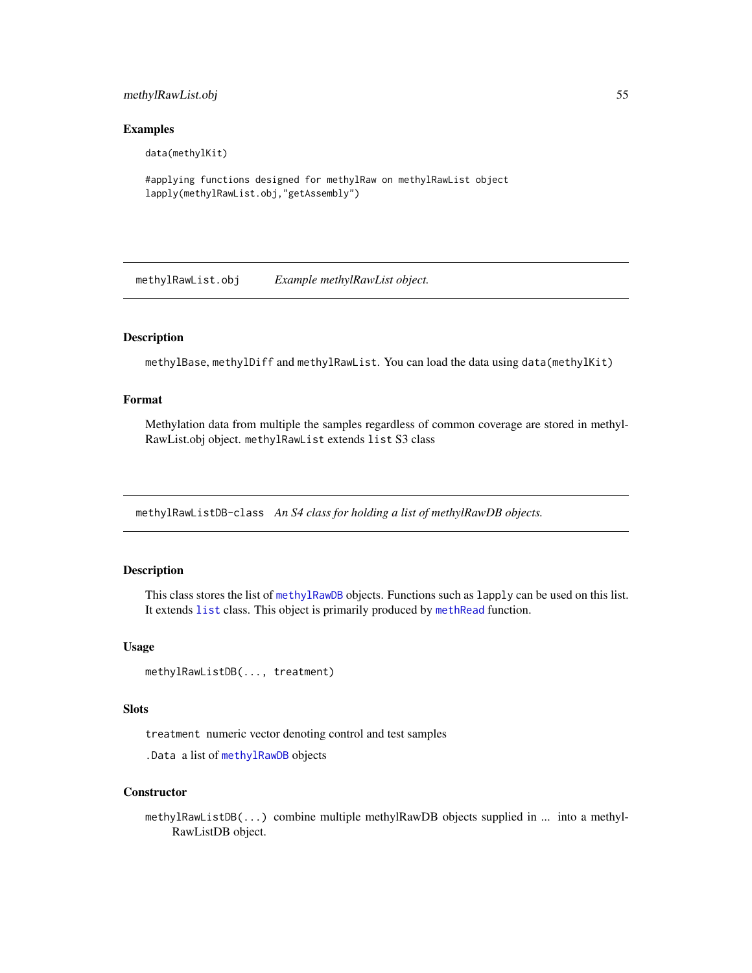# methylRawList.obj 55

### Examples

data(methylKit)

#applying functions designed for methylRaw on methylRawList object lapply(methylRawList.obj,"getAssembly")

methylRawList.obj *Example methylRawList object.*

# Description

methylBase, methylDiff and methylRawList. You can load the data using data(methylKit)

# Format

Methylation data from multiple the samples regardless of common coverage are stored in methyl-RawList.obj object. methylRawList extends list S3 class

methylRawListDB-class *An S4 class for holding a list of methylRawDB objects.*

### <span id="page-54-0"></span>Description

This class stores the list of [methylRawDB](#page-52-0) objects. Functions such as lapply can be used on this list. It extends [list](#page-0-0) class. This object is primarily produced by [methRead](#page-37-0) function.

# Usage

methylRawListDB(..., treatment)

# Slots

treatment numeric vector denoting control and test samples

.Data a list of [methylRawDB](#page-52-0) objects

# **Constructor**

methylRawListDB(...) combine multiple methylRawDB objects supplied in ... into a methyl-RawListDB object.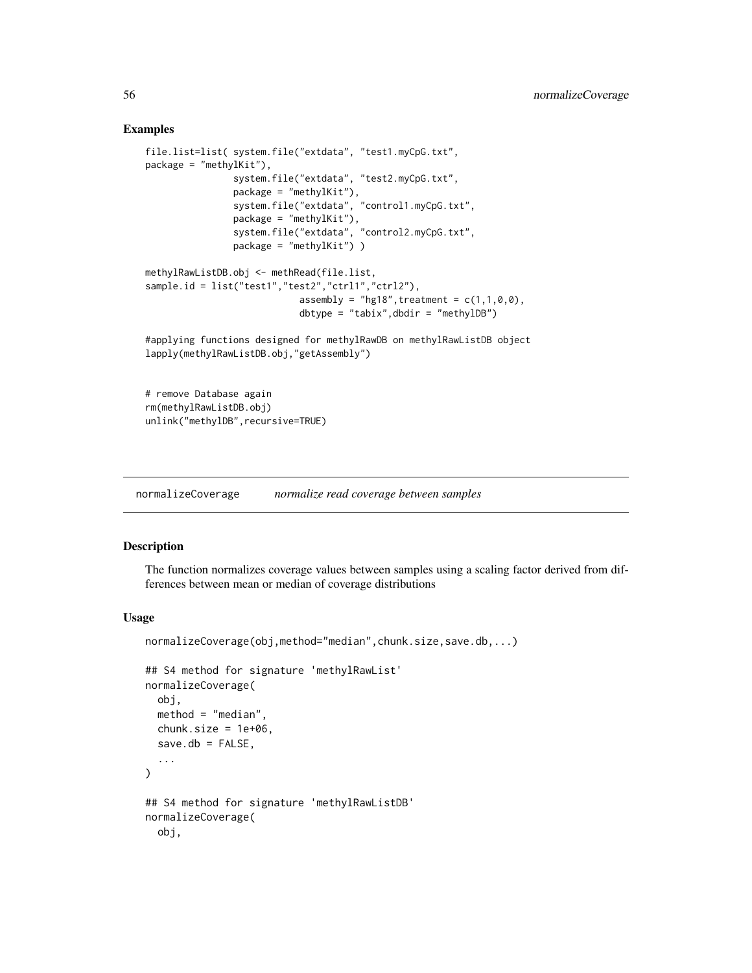# Examples

```
file.list=list( system.file("extdata", "test1.myCpG.txt",
package = "methylKit"),
                system.file("extdata", "test2.myCpG.txt",
                package = "methylKit"),
                system.file("extdata", "control1.myCpG.txt",
                package = "methylKit"),
                system.file("extdata", "control2.myCpG.txt",
                package = "methylKit") )
methylRawListDB.obj <- methRead(file.list,
sample.id = list("test1","test2","ctrl1","ctrl2"),
                            assembly = "hg18", treatment = c(1,1,0,0),
                            dbtype = "tabix",dbdir = "methylDB")
#applying functions designed for methylRawDB on methylRawListDB object
lapply(methylRawListDB.obj,"getAssembly")
```
# remove Database again rm(methylRawListDB.obj) unlink("methylDB", recursive=TRUE)

normalizeCoverage *normalize read coverage between samples*

# Description

The function normalizes coverage values between samples using a scaling factor derived from differences between mean or median of coverage distributions

### Usage

```
normalizeCoverage(obj,method="median",chunk.size,save.db,...)
```

```
## S4 method for signature 'methylRawList'
normalizeCoverage(
  obj,
  method = "median",chunk.size = 1e+06,
  save.db = FALSE,...
\lambda## S4 method for signature 'methylRawListDB'
normalizeCoverage(
  obj,
```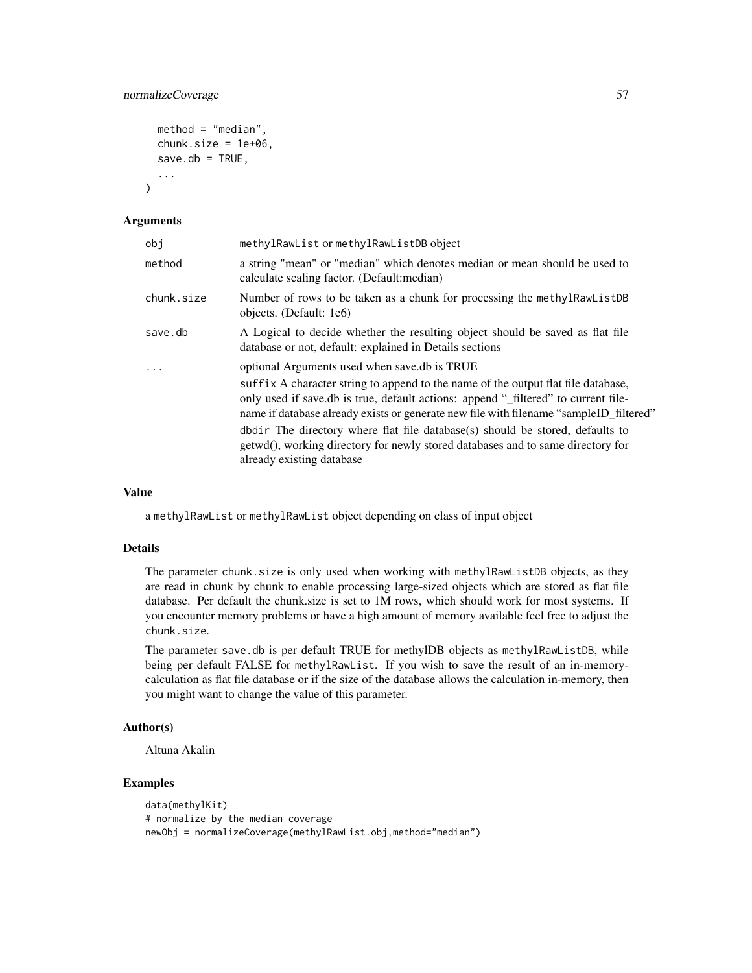# normalizeCoverage 57

```
method = "median",
chunk.size = 1e+06,
save.db = TRUE,
...
```
### Arguments

)

| obj        | methylRawList or methylRawListDB object                                                                                                                                                                                                                                                                                                                                                                                                                                                                             |  |  |  |
|------------|---------------------------------------------------------------------------------------------------------------------------------------------------------------------------------------------------------------------------------------------------------------------------------------------------------------------------------------------------------------------------------------------------------------------------------------------------------------------------------------------------------------------|--|--|--|
| method     | a string "mean" or "median" which denotes median or mean should be used to<br>calculate scaling factor. (Default: median)                                                                                                                                                                                                                                                                                                                                                                                           |  |  |  |
| chunk.size | Number of rows to be taken as a chunk for processing the methylRawListDB<br>objects. (Default: 1e6)                                                                                                                                                                                                                                                                                                                                                                                                                 |  |  |  |
| save.db    | A Logical to decide whether the resulting object should be saved as flat file<br>database or not, default: explained in Details sections                                                                                                                                                                                                                                                                                                                                                                            |  |  |  |
| $\cdot$    | optional Arguments used when save.db is TRUE<br>suffix A character string to append to the name of the output flat file database,<br>only used if save.db is true, default actions: append "_filtered" to current file-<br>name if database already exists or generate new file with filename "sampleID_filtered"<br>dbdir. The directory where flat file database(s) should be stored, defaults to<br>getwd(), working directory for newly stored databases and to same directory for<br>already existing database |  |  |  |

### Value

a methylRawList or methylRawList object depending on class of input object

# Details

The parameter chunk.size is only used when working with methylRawListDB objects, as they are read in chunk by chunk to enable processing large-sized objects which are stored as flat file database. Per default the chunk.size is set to 1M rows, which should work for most systems. If you encounter memory problems or have a high amount of memory available feel free to adjust the chunk.size.

The parameter save.db is per default TRUE for methylDB objects as methylRawListDB, while being per default FALSE for methylRawList. If you wish to save the result of an in-memorycalculation as flat file database or if the size of the database allows the calculation in-memory, then you might want to change the value of this parameter.

# Author(s)

Altuna Akalin

# Examples

```
data(methylKit)
# normalize by the median coverage
newObj = normalizeCoverage(methylRawList.obj,method="median")
```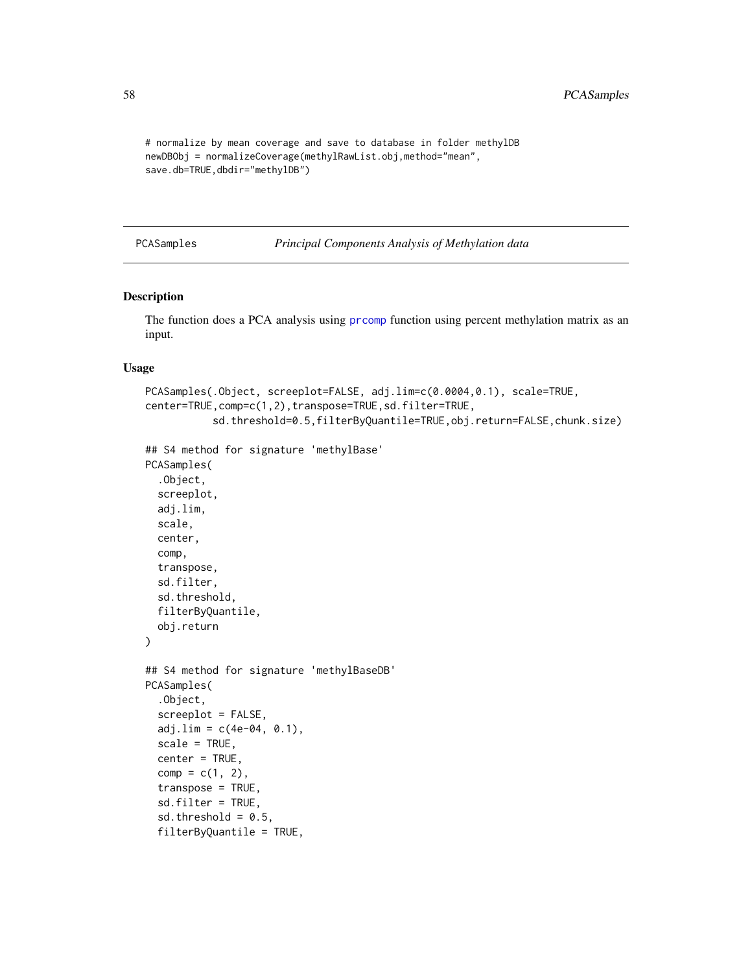```
# normalize by mean coverage and save to database in folder methylDB
newDBObj = normalizeCoverage(methylRawList.obj,method="mean",
save.db=TRUE,dbdir="methylDB")
```
 $comp = c(1, 2)$ , transpose = TRUE, sd.filter = TRUE, sd.threshold =  $0.5$ , filterByQuantile = TRUE,

PCASamples *Principal Components Analysis of Methylation data*

# Description

The function does a PCA analysis using [prcomp](#page-0-0) function using percent methylation matrix as an input.

### Usage

```
PCASamples(.Object, screeplot=FALSE, adj.lim=c(0.0004,0.1), scale=TRUE,
center=TRUE,comp=c(1,2),transpose=TRUE,sd.filter=TRUE,
           sd.threshold=0.5,filterByQuantile=TRUE,obj.return=FALSE,chunk.size)
## S4 method for signature 'methylBase'
PCASamples(
  .Object,
  screeplot,
  adj.lim,
  scale,
  center,
  comp,
  transpose,
  sd.filter,
  sd.threshold,
  filterByQuantile,
  obj.return
)
## S4 method for signature 'methylBaseDB'
PCASamples(
  .Object,
  screeplot = FALSE,
  adj.lim = c(4e-04, 0.1),
  scale = TRUE,
  center = TRUE,
```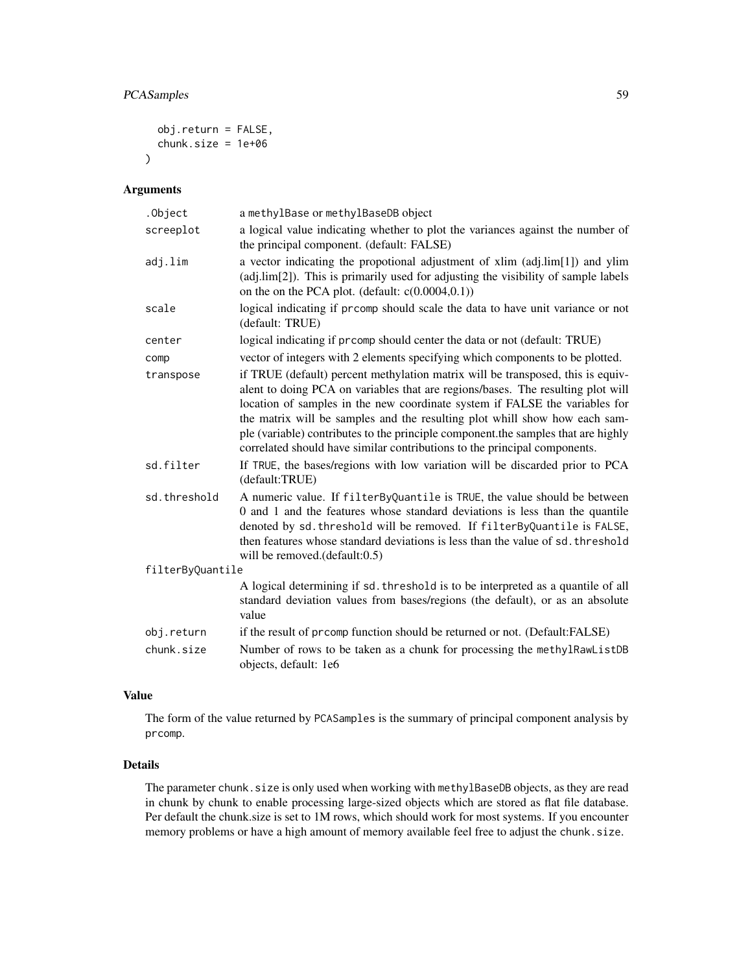# PCASamples 59

```
obj.return = FALSE,
  chunk.size = 1e+06
\lambda
```
# Arguments

| .Object          | a methylBase or methylBaseDB object                                                                                                                                                                                                                                                                                                                                                                                                                                                               |
|------------------|---------------------------------------------------------------------------------------------------------------------------------------------------------------------------------------------------------------------------------------------------------------------------------------------------------------------------------------------------------------------------------------------------------------------------------------------------------------------------------------------------|
| screeplot        | a logical value indicating whether to plot the variances against the number of<br>the principal component. (default: FALSE)                                                                                                                                                                                                                                                                                                                                                                       |
| adj.lim          | a vector indicating the propotional adjustment of xlim (adj.lim[1]) and ylim<br>(adj.lim[2]). This is primarily used for adjusting the visibility of sample labels<br>on the on the PCA plot. (default: $c(0.0004,0.1)$ )                                                                                                                                                                                                                                                                         |
| scale            | logical indicating if promp should scale the data to have unit variance or not<br>(default: TRUE)                                                                                                                                                                                                                                                                                                                                                                                                 |
| center           | logical indicating if prcomp should center the data or not (default: TRUE)                                                                                                                                                                                                                                                                                                                                                                                                                        |
| comp             | vector of integers with 2 elements specifying which components to be plotted.                                                                                                                                                                                                                                                                                                                                                                                                                     |
| transpose        | if TRUE (default) percent methylation matrix will be transposed, this is equiv-<br>alent to doing PCA on variables that are regions/bases. The resulting plot will<br>location of samples in the new coordinate system if FALSE the variables for<br>the matrix will be samples and the resulting plot whill show how each sam-<br>ple (variable) contributes to the principle component.the samples that are highly<br>correlated should have similar contributions to the principal components. |
| sd.filter        | If TRUE, the bases/regions with low variation will be discarded prior to PCA<br>(default:TRUE)                                                                                                                                                                                                                                                                                                                                                                                                    |
| sd.threshold     | A numeric value. If filterByQuantile is TRUE, the value should be between<br>0 and 1 and the features whose standard deviations is less than the quantile<br>denoted by sd. threshold will be removed. If filterByQuantile is FALSE,<br>then features whose standard deviations is less than the value of sd. threshold<br>will be removed.(default:0.5)                                                                                                                                          |
| filterByQuantile |                                                                                                                                                                                                                                                                                                                                                                                                                                                                                                   |
|                  | A logical determining if sd. threshold is to be interpreted as a quantile of all<br>standard deviation values from bases/regions (the default), or as an absolute<br>value                                                                                                                                                                                                                                                                                                                        |
| obj.return       | if the result of prcomp function should be returned or not. (Default:FALSE)                                                                                                                                                                                                                                                                                                                                                                                                                       |
| chunk.size       | Number of rows to be taken as a chunk for processing the methylRawListDB<br>objects, default: 1e6                                                                                                                                                                                                                                                                                                                                                                                                 |

# Value

The form of the value returned by PCASamples is the summary of principal component analysis by prcomp.

# Details

The parameter chunk.size is only used when working with methylBaseDB objects, as they are read in chunk by chunk to enable processing large-sized objects which are stored as flat file database. Per default the chunk.size is set to 1M rows, which should work for most systems. If you encounter memory problems or have a high amount of memory available feel free to adjust the chunk.size.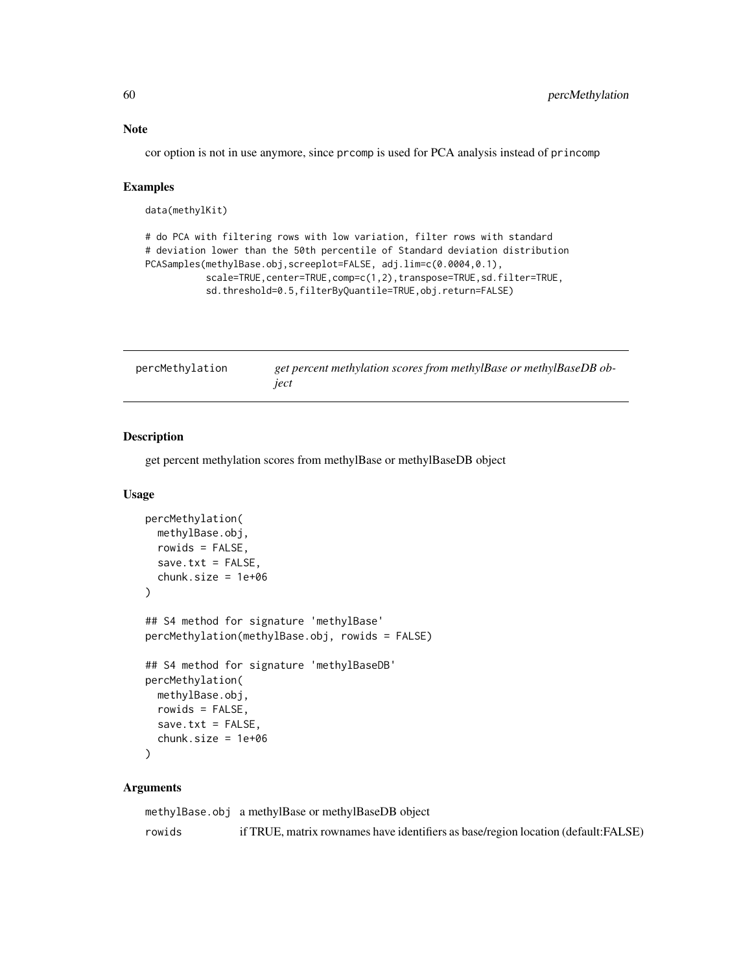# Note

cor option is not in use anymore, since prcomp is used for PCA analysis instead of princomp

### Examples

```
data(methylKit)
```
# do PCA with filtering rows with low variation, filter rows with standard # deviation lower than the 50th percentile of Standard deviation distribution PCASamples(methylBase.obj,screeplot=FALSE, adj.lim=c(0.0004,0.1), scale=TRUE,center=TRUE,comp=c(1,2),transpose=TRUE,sd.filter=TRUE, sd.threshold=0.5,filterByQuantile=TRUE,obj.return=FALSE)

| percMethylation | get percent methylation scores from methylBase or methylBaseDB ob- |
|-----------------|--------------------------------------------------------------------|
|                 | ject                                                               |

# Description

get percent methylation scores from methylBase or methylBaseDB object

# Usage

```
percMethylation(
  methylBase.obj,
  rowids = FALSE,
  save.txt = FALSE,chunk.size = 1e+06)
## S4 method for signature 'methylBase'
percMethylation(methylBase.obj, rowids = FALSE)
## S4 method for signature 'methylBaseDB'
percMethylation(
  methylBase.obj,
  rowids = FALSE,
  save.txt = FALSE,chunk.size = 1e+06)
```
# Arguments

|        | methylBase.obj a methylBase or methylBaseDB object                                |
|--------|-----------------------------------------------------------------------------------|
| rowids | if TRUE, matrix rownames have identifiers as base/region location (default:FALSE) |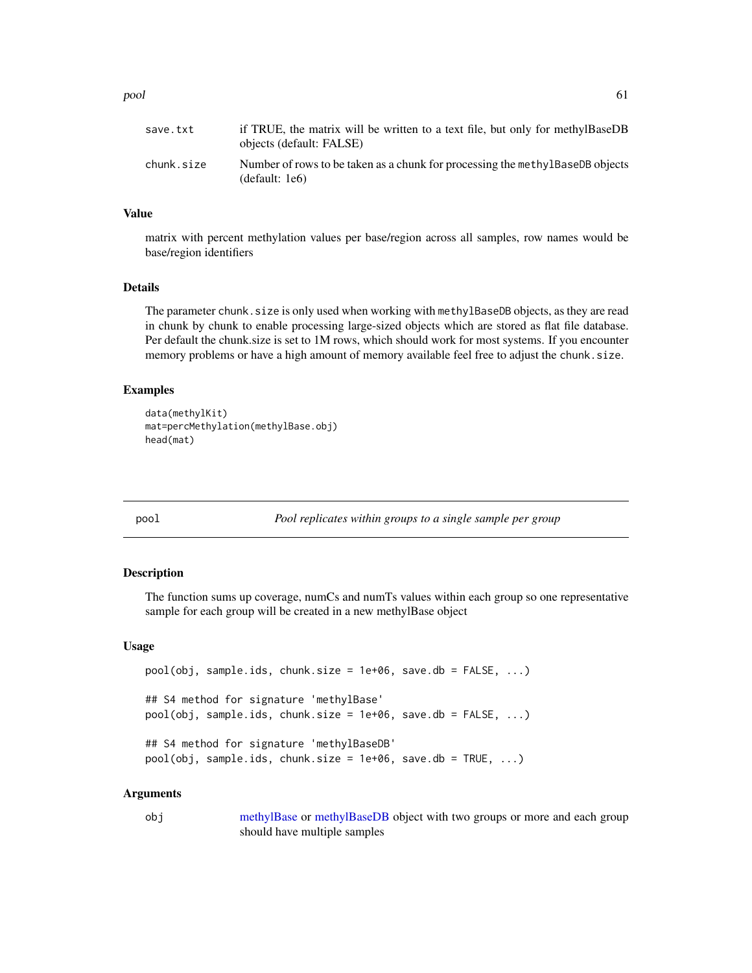### pool 61

| save.txt   | if TRUE, the matrix will be written to a text file, but only for methylBaseDB<br>objects (default: FALSE) |
|------------|-----------------------------------------------------------------------------------------------------------|
| chunk.size | Number of rows to be taken as a chunk for processing the methy also be objects<br>(default: 1e6)          |

## Value

matrix with percent methylation values per base/region across all samples, row names would be base/region identifiers

### Details

The parameter chunk. size is only used when working with methylBaseDB objects, as they are read in chunk by chunk to enable processing large-sized objects which are stored as flat file database. Per default the chunk.size is set to 1M rows, which should work for most systems. If you encounter memory problems or have a high amount of memory available feel free to adjust the chunk.size.

### Examples

```
data(methylKit)
mat=percMethylation(methylBase.obj)
head(mat)
```
pool *Pool replicates within groups to a single sample per group*

### Description

The function sums up coverage, numCs and numTs values within each group so one representative sample for each group will be created in a new methylBase object

### Usage

```
pool(obj, sample.ids, chunk.size = 1e+06, save.db = FALSE, ...)## S4 method for signature 'methylBase'
pool(obj, sample.ids, chunk.size = 1e+06, save.db = FALSE, ...)## S4 method for signature 'methylBaseDB'
pool(obj, sample.ids, chunk.size = 1e+06, save.db = TRUE, ...)
```
### Arguments

obj [methylBase](#page-44-0) or [methylBaseDB](#page-46-0) object with two groups or more and each group should have multiple samples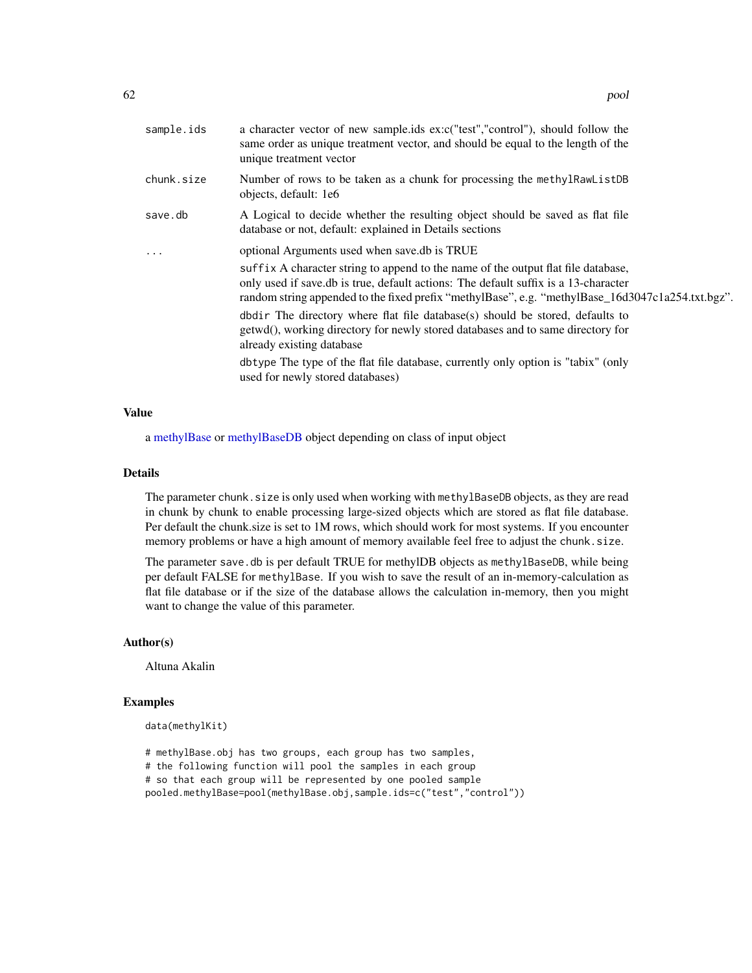| sample.ids | a character vector of new sample.ids ex:c("test","control"), should follow the<br>same order as unique treatment vector, and should be equal to the length of the<br>unique treatment vector                                                                                  |
|------------|-------------------------------------------------------------------------------------------------------------------------------------------------------------------------------------------------------------------------------------------------------------------------------|
| chunk.size | Number of rows to be taken as a chunk for processing the methylRawListDB<br>objects, default: 1e6                                                                                                                                                                             |
| save.db    | A Logical to decide whether the resulting object should be saved as flat file<br>database or not, default: explained in Details sections                                                                                                                                      |
| $\cdots$   | optional Arguments used when save.db is TRUE                                                                                                                                                                                                                                  |
|            | suffix A character string to append to the name of the output flat file database,<br>only used if save.db is true, default actions: The default suffix is a 13-character<br>random string appended to the fixed prefix "methylBase", e.g. "methylBase_16d3047c1a254.txt.bgz". |
|            | dbdir. The directory where flat file database(s) should be stored, defaults to<br>getwd(), working directory for newly stored databases and to same directory for<br>already existing database                                                                                |
|            | dbtype The type of the flat file database, currently only option is "tabix" (only<br>used for newly stored databases)                                                                                                                                                         |
|            |                                                                                                                                                                                                                                                                               |

# Value

a [methylBase](#page-44-0) or [methylBaseDB](#page-46-0) object depending on class of input object

# Details

The parameter chunk. size is only used when working with methylBaseDB objects, as they are read in chunk by chunk to enable processing large-sized objects which are stored as flat file database. Per default the chunk.size is set to 1M rows, which should work for most systems. If you encounter memory problems or have a high amount of memory available feel free to adjust the chunk.size.

The parameter save. db is per default TRUE for methylDB objects as methylBaseDB, while being per default FALSE for methylBase. If you wish to save the result of an in-memory-calculation as flat file database or if the size of the database allows the calculation in-memory, then you might want to change the value of this parameter.

### Author(s)

Altuna Akalin

### Examples

```
data(methylKit)
```
# methylBase.obj has two groups, each group has two samples, # the following function will pool the samples in each group

# so that each group will be represented by one pooled sample

pooled.methylBase=pool(methylBase.obj,sample.ids=c("test","control"))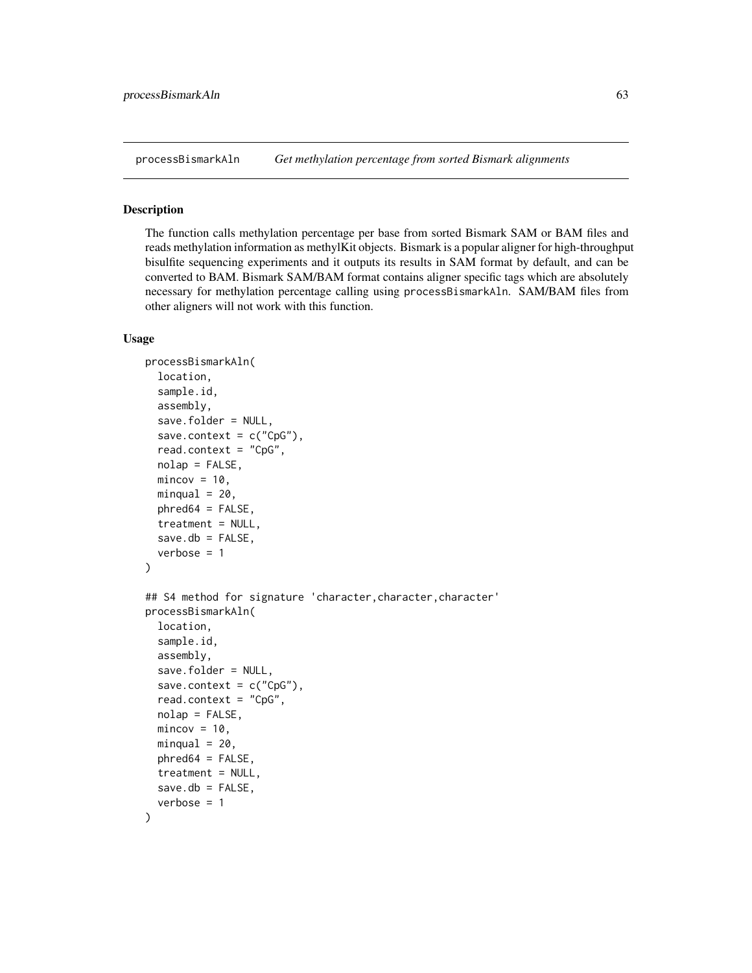processBismarkAln *Get methylation percentage from sorted Bismark alignments*

### Description

The function calls methylation percentage per base from sorted Bismark SAM or BAM files and reads methylation information as methylKit objects. Bismark is a popular aligner for high-throughput bisulfite sequencing experiments and it outputs its results in SAM format by default, and can be converted to BAM. Bismark SAM/BAM format contains aligner specific tags which are absolutely necessary for methylation percentage calling using processBismarkAln. SAM/BAM files from other aligners will not work with this function.

### Usage

```
processBismarkAln(
  location,
  sample.id,
  assembly,
  save.folder = NULL,
  save.context = c("CpG"),read.context = "CpG",nolap = FALSE,
  mincov = 10,
 minqual = 20,
 phred64 = FALSE,
  treatment = NULL,
  save.db = FALSE.verbose = 1)
## S4 method for signature 'character,character,character'
processBismarkAln(
  location,
  sample.id,
  assembly,
  save.folder = NULL,
  save.context = c("CpG"),read.context = "CpG",nolap = FALSE,mincov = 10,
 minqual = 20,
 phred64 = FALSE,
  treatment = NULL,
  save.db = FALSE.verbose = 1
```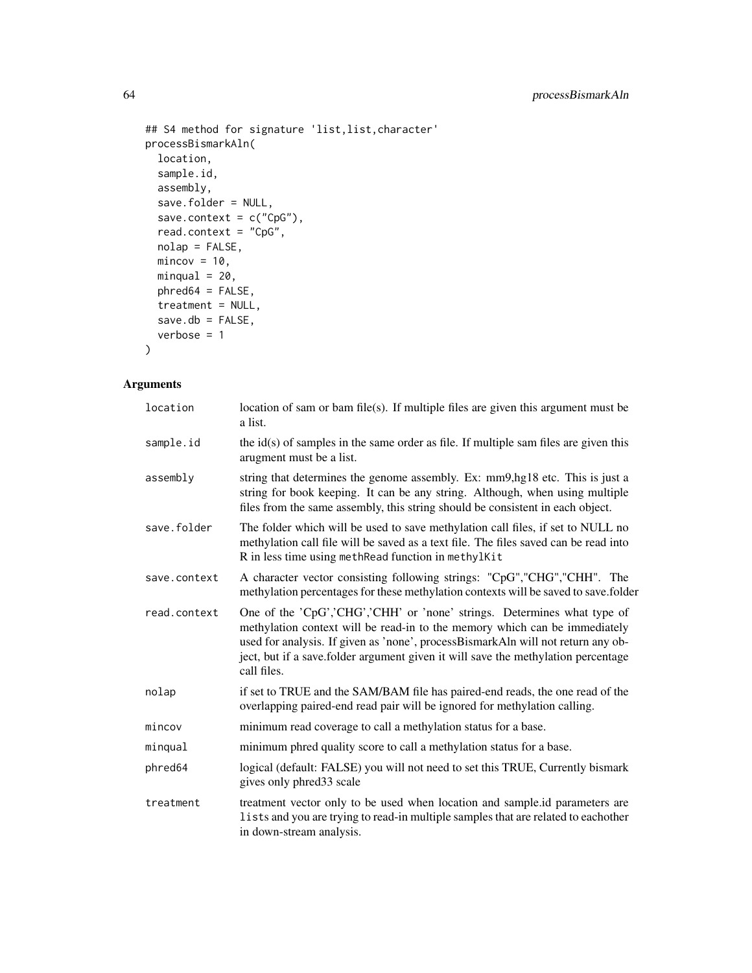```
## S4 method for signature 'list,list,character'
processBismarkAln(
 location,
 sample.id,
 assembly,
  save.folder = NULL,
 save.context = c("CpG"),
 read.context = "CpG",
 nolap = FALSE,
 mincov = 10,
 minqual = 20,
 phred64 = FALSE,treatment = NULL,
 save.db = FALSE,verbose = 1
\mathcal{L}
```
# Arguments

| location     | location of sam or bam file(s). If multiple files are given this argument must be<br>a list.                                                                                                                                                                                                                                                  |  |  |  |  |
|--------------|-----------------------------------------------------------------------------------------------------------------------------------------------------------------------------------------------------------------------------------------------------------------------------------------------------------------------------------------------|--|--|--|--|
| sample.id    | the $id(s)$ of samples in the same order as file. If multiple sam files are given this<br>arugment must be a list.                                                                                                                                                                                                                            |  |  |  |  |
| assembly     | string that determines the genome assembly. Ex: mm9, hg18 etc. This is just a<br>string for book keeping. It can be any string. Although, when using multiple<br>files from the same assembly, this string should be consistent in each object.                                                                                               |  |  |  |  |
| save.folder  | The folder which will be used to save methylation call files, if set to NULL no<br>methylation call file will be saved as a text file. The files saved can be read into<br>R in less time using methRead function in methylKit                                                                                                                |  |  |  |  |
| save.context | A character vector consisting following strings: "CpG", "CHG", "CHH". The<br>methylation percentages for these methylation contexts will be saved to save.folder                                                                                                                                                                              |  |  |  |  |
| read.context | One of the 'CpG','CHG','CHH' or 'none' strings. Determines what type of<br>methylation context will be read-in to the memory which can be immediately<br>used for analysis. If given as 'none', processBismarkAln will not return any ob-<br>ject, but if a save folder argument given it will save the methylation percentage<br>call files. |  |  |  |  |
| nolap        | if set to TRUE and the SAM/BAM file has paired-end reads, the one read of the<br>overlapping paired-end read pair will be ignored for methylation calling.                                                                                                                                                                                    |  |  |  |  |
| mincov       | minimum read coverage to call a methylation status for a base.                                                                                                                                                                                                                                                                                |  |  |  |  |
| minqual      | minimum phred quality score to call a methylation status for a base.                                                                                                                                                                                                                                                                          |  |  |  |  |
| phred64      | logical (default: FALSE) you will not need to set this TRUE, Currently bismark<br>gives only phred 33 scale                                                                                                                                                                                                                                   |  |  |  |  |
| treatment    | treatment vector only to be used when location and sample.id parameters are<br>lists and you are trying to read-in multiple samples that are related to each other<br>in down-stream analysis.                                                                                                                                                |  |  |  |  |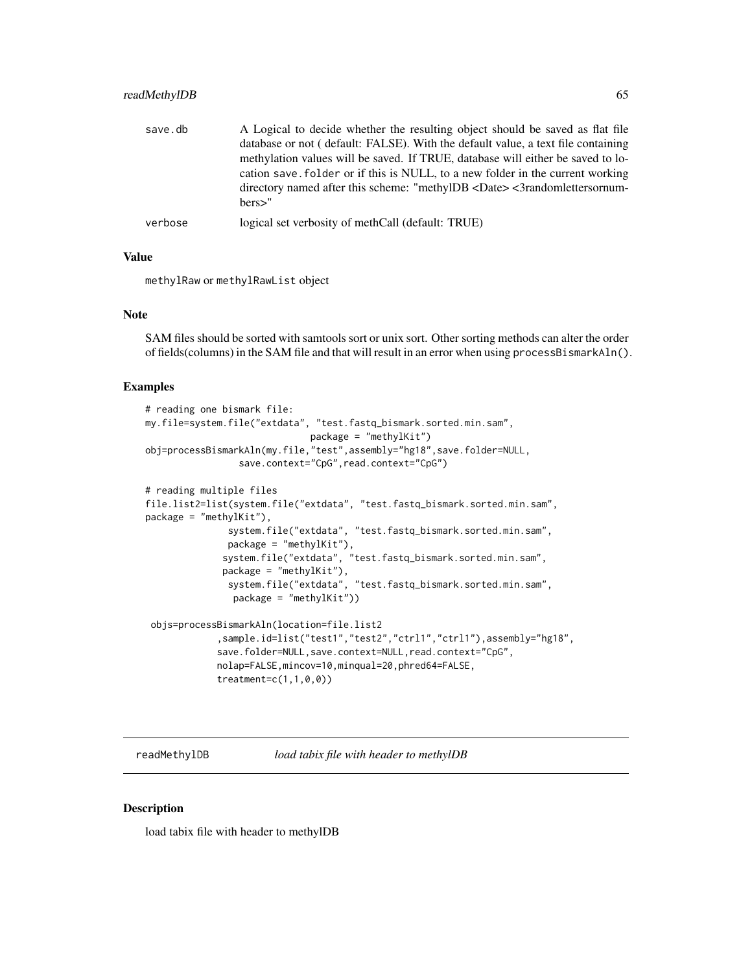# readMethylDB 65

| save.db | A Logical to decide whether the resulting object should be saved as flat file<br>database or not (default: FALSE). With the default value, a text file containing<br>methylation values will be saved. If TRUE, database will either be saved to lo-<br>cation save. Folder or if this is NULL, to a new folder in the current working<br>directory named after this scheme: "methylDB <date> &lt;3randomlettersornum-<br/>hers</date> |
|---------|----------------------------------------------------------------------------------------------------------------------------------------------------------------------------------------------------------------------------------------------------------------------------------------------------------------------------------------------------------------------------------------------------------------------------------------|
| verbose | logical set verbosity of methCall (default: TRUE)                                                                                                                                                                                                                                                                                                                                                                                      |

# Value

methylRaw or methylRawList object

### Note

SAM files should be sorted with samtools sort or unix sort. Other sorting methods can alter the order of fields(columns) in the SAM file and that will result in an error when using processBismarkAln().

### Examples

```
# reading one bismark file:
my.file=system.file("extdata", "test.fastq_bismark.sorted.min.sam",
                              package = "methylKit")
obj=processBismarkAln(my.file,"test",assembly="hg18",save.folder=NULL,
                 save.context="CpG",read.context="CpG")
# reading multiple files
file.list2=list(system.file("extdata", "test.fastq_bismark.sorted.min.sam",
package = "methylKit"),
               system.file("extdata", "test.fastq_bismark.sorted.min.sam",
               package = "methylKit"),
              system.file("extdata", "test.fastq_bismark.sorted.min.sam",
              package = "methylKit"),
               system.file("extdata", "test.fastq_bismark.sorted.min.sam",
                package = "methylKit"))
 objs=processBismarkAln(location=file.list2
             ,sample.id=list("test1","test2","ctrl1","ctrl1"),assembly="hg18",
             save.folder=NULL,save.context=NULL,read.context="CpG",
```
nolap=FALSE,mincov=10,minqual=20,phred64=FALSE, treatment=c(1,1,0,0))

readMethylDB *load tabix file with header to methylDB*

### Description

load tabix file with header to methylDB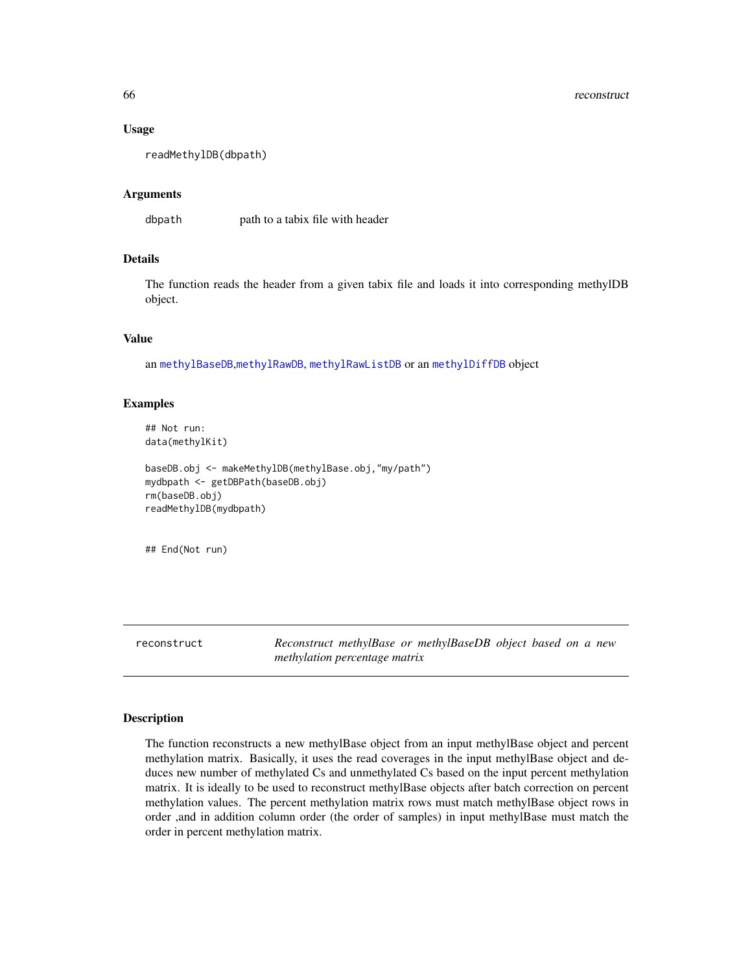### 66 reconstruction of the construction of the construction of the construction of the construction of the construction of the construction of the construction of the construction of the construction of the construction of t

### Usage

```
readMethylDB(dbpath)
```
### Arguments

dbpath path to a tabix file with header

# Details

The function reads the header from a given tabix file and loads it into corresponding methylDB object.

# Value

an [methylBaseDB](#page-46-0),[methylRawDB](#page-52-0), [methylRawListDB](#page-54-0) or an [methylDiffDB](#page-48-0) object

### Examples

## Not run: data(methylKit)

```
baseDB.obj <- makeMethylDB(methylBase.obj,"my/path")
mydbpath <- getDBPath(baseDB.obj)
rm(baseDB.obj)
readMethylDB(mydbpath)
```
## End(Not run)

reconstruct *Reconstruct methylBase or methylBaseDB object based on a new methylation percentage matrix*

### Description

The function reconstructs a new methylBase object from an input methylBase object and percent methylation matrix. Basically, it uses the read coverages in the input methylBase object and deduces new number of methylated Cs and unmethylated Cs based on the input percent methylation matrix. It is ideally to be used to reconstruct methylBase objects after batch correction on percent methylation values. The percent methylation matrix rows must match methylBase object rows in order ,and in addition column order (the order of samples) in input methylBase must match the order in percent methylation matrix.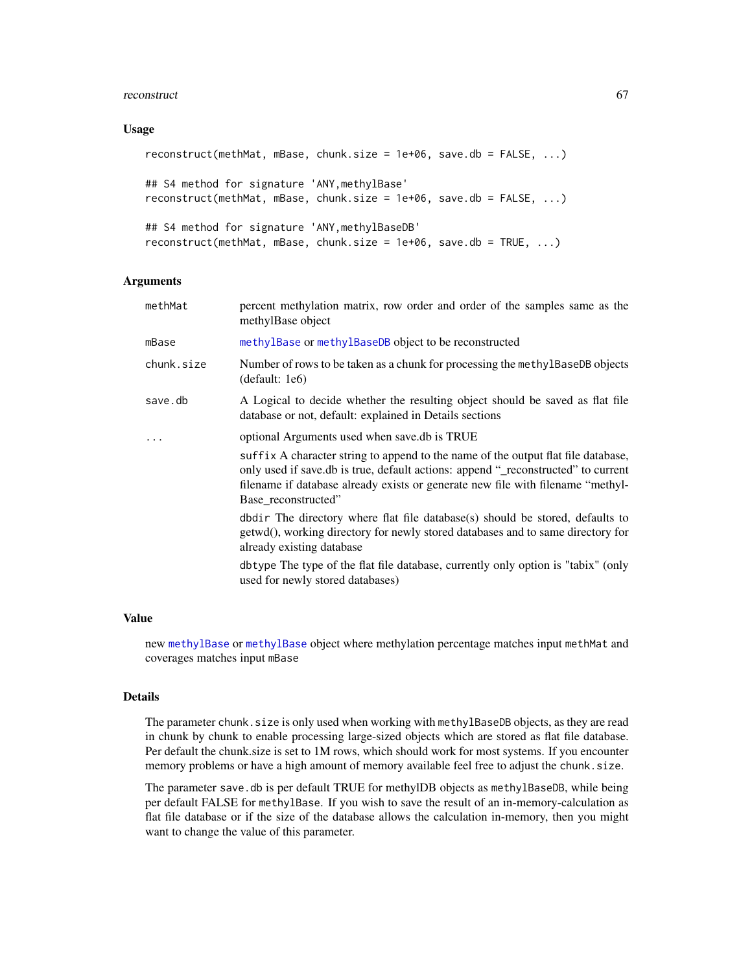### reconstruct 67

#### Usage

```
reconstruct(methMat, mBase, chunk.size = 1e+06, save.db = FALSE, ...)
## S4 method for signature 'ANY,methylBase'
reconstruct(methMat, mBase, chunk.size = 1e+06, save.db = FALSE, ...)
## S4 method for signature 'ANY,methylBaseDB'
reconstruct(methMat, mBase, chunk.size = 1e+06, save.db = TRUE, ...)
```
#### Arguments

- methMat percent methylation matrix, row order and order of the samples same as the methylBase object
- mBase [methylBase](#page-44-0) or [methylBaseDB](#page-46-0) object to be reconstructed
- chunk.size Number of rows to be taken as a chunk for processing the methylBaseDB objects (default: 1e6)
- save.db A Logical to decide whether the resulting object should be saved as flat file database or not, default: explained in Details sections
- ... optional Arguments used when save.db is TRUE

suffix A character string to append to the name of the output flat file database, only used if save.db is true, default actions: append "\_reconstructed" to current filename if database already exists or generate new file with filename "methyl-Base\_reconstructed"

dbdir The directory where flat file database(s) should be stored, defaults to getwd(), working directory for newly stored databases and to same directory for already existing database

dbtype The type of the flat file database, currently only option is "tabix" (only used for newly stored databases)

#### Value

new [methylBase](#page-44-0) or [methylBase](#page-44-0) object where methylation percentage matches input methMat and coverages matches input mBase

### Details

The parameter chunk. size is only used when working with methylBaseDB objects, as they are read in chunk by chunk to enable processing large-sized objects which are stored as flat file database. Per default the chunk.size is set to 1M rows, which should work for most systems. If you encounter memory problems or have a high amount of memory available feel free to adjust the chunk.size.

The parameter save.db is per default TRUE for methylDB objects as methylBaseDB, while being per default FALSE for methylBase. If you wish to save the result of an in-memory-calculation as flat file database or if the size of the database allows the calculation in-memory, then you might want to change the value of this parameter.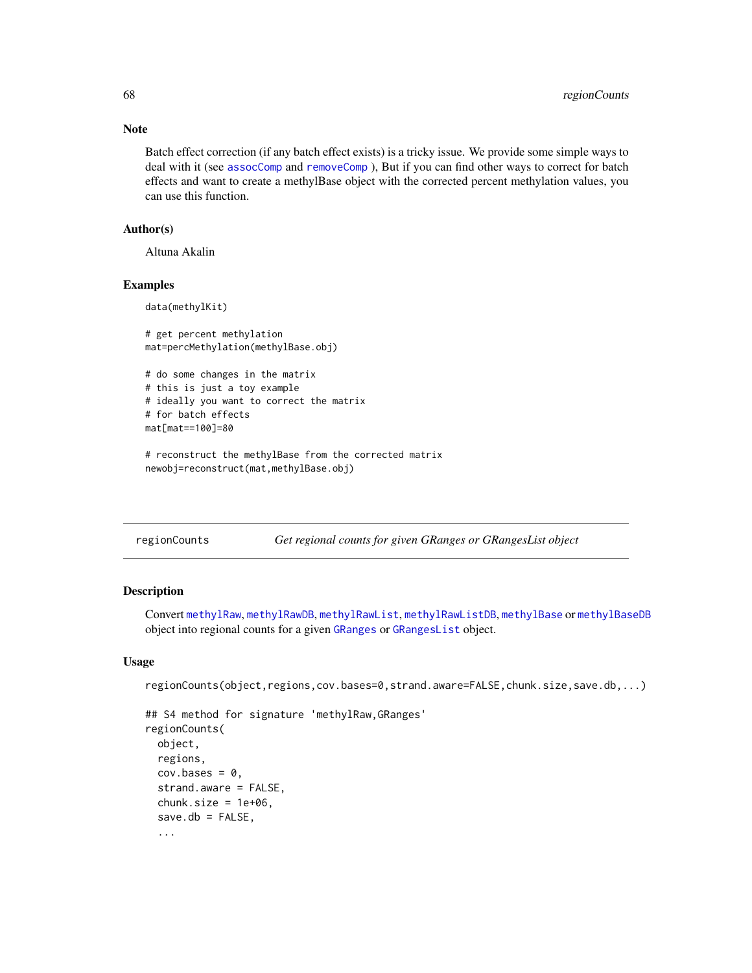Note

Batch effect correction (if any batch effect exists) is a tricky issue. We provide some simple ways to deal with it (see [assocComp](#page-4-0) and [removeComp](#page-72-0) ), But if you can find other ways to correct for batch effects and want to create a methylBase object with the corrected percent methylation values, you can use this function.

# Author(s)

Altuna Akalin

### Examples

data(methylKit)

```
# get percent methylation
mat=percMethylation(methylBase.obj)
```

```
# do some changes in the matrix
# this is just a toy example
# ideally you want to correct the matrix
# for batch effects
mat[mat==100]=80
```

```
# reconstruct the methylBase from the corrected matrix
newobj=reconstruct(mat,methylBase.obj)
```

| regionCounts | Get regional counts for given GRanges or GRangesList object |  |  |  |
|--------------|-------------------------------------------------------------|--|--|--|
|              |                                                             |  |  |  |

### Description

Convert [methylRaw](#page-50-0), [methylRawDB](#page-52-0), [methylRawList](#page-53-0), [methylRawListDB](#page-54-0), [methylBase](#page-44-0) or [methylBaseDB](#page-46-0) object into regional counts for a given [GRanges](#page-0-0) or [GRangesList](#page-0-0) object.

# Usage

```
regionCounts(object,regions,cov.bases=0,strand.aware=FALSE,chunk.size,save.db,...)
```

```
## S4 method for signature 'methylRaw,GRanges'
regionCounts(
 object,
  regions,
 cov.bases = 0,
  strand.aware = FALSE,
  chunk.size = 1e+06,save.db = FALSE,...
```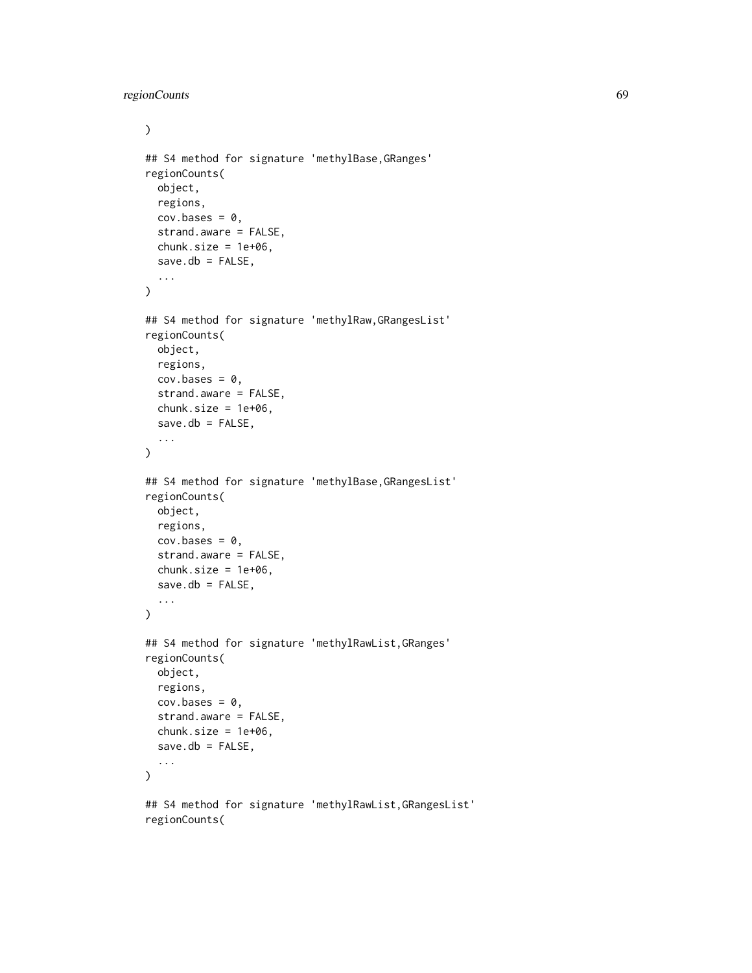regionCounts 69

```
\mathcal{L}## S4 method for signature 'methylBase,GRanges'
regionCounts(
  object,
 regions,
 cov.bases = 0,strand.aware = FALSE,
  chunk.size = 1e+06,save.db = FALSE,...
\mathcal{L}## S4 method for signature 'methylRaw,GRangesList'
regionCounts(
  object,
 regions,
 cov.bases = 0,
  strand.aware = FALSE,
  chunk.size = 1e+06,
  save.db = FALSE,...
\mathcal{L}## S4 method for signature 'methylBase,GRangesList'
regionCounts(
  object,
 regions,
 cov.bases = 0,strand.aware = FALSE,
  chunk.size = 1e+06,
  save.db = FALSE,...
\lambda## S4 method for signature 'methylRawList,GRanges'
regionCounts(
 object,
  regions,
 cov.bases = 0,strand.aware = FALSE,
  chunk.size = 1e+06,save.db = FALSE,...
\mathcal{L}## S4 method for signature 'methylRawList,GRangesList'
regionCounts(
```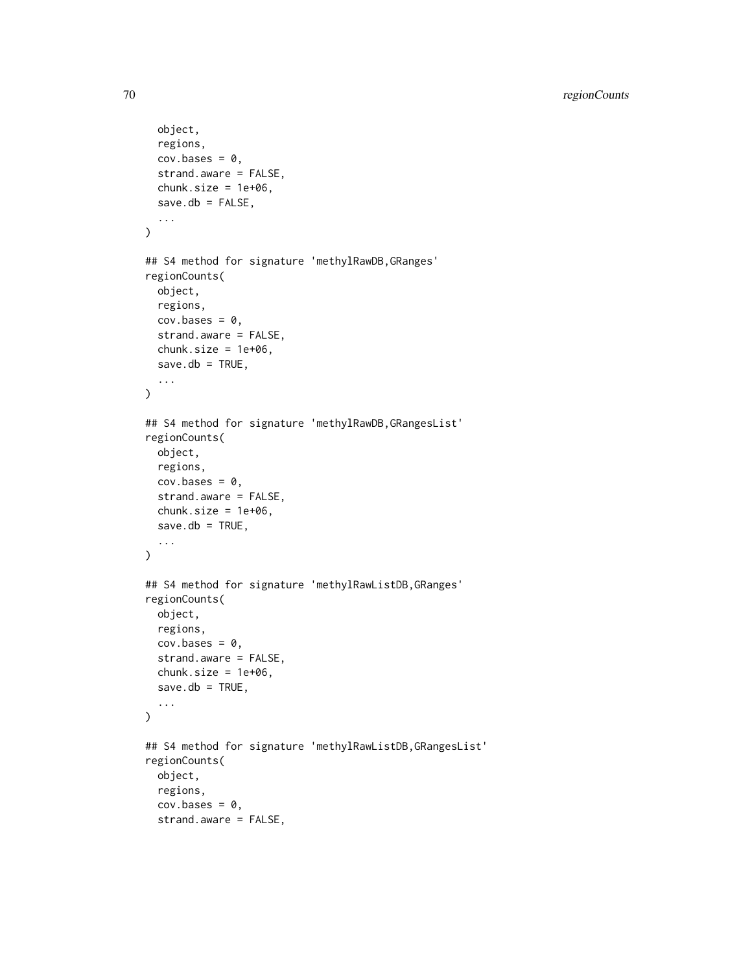```
object,
  regions,
  cov.bases = 0,
  strand.aware = FALSE,
  chunk.size = 1e+06,save.db = FALSE,...
\lambda## S4 method for signature 'methylRawDB,GRanges'
regionCounts(
 object,
 regions,
 cov.bases = 0,strand.aware = FALSE,
  chunk.size = 1e+06,
 save.db = TRUE,
  ...
\lambda## S4 method for signature 'methylRawDB,GRangesList'
regionCounts(
 object,
  regions,
 cov.bases = 0,strand.aware = FALSE,
  chunk.size = 1e+06,save.db = TRUE,
  ...
\mathcal{L}## S4 method for signature 'methylRawListDB,GRanges'
regionCounts(
 object,
 regions,
 cov.bases = 0,
  strand.aware = FALSE,
 chunk.size = 1e+06,save.db = TRUE,
  ...
\mathcal{L}## S4 method for signature 'methylRawListDB,GRangesList'
regionCounts(
 object,
  regions,
  cov.bases = 0,
  strand.aware = FALSE,
```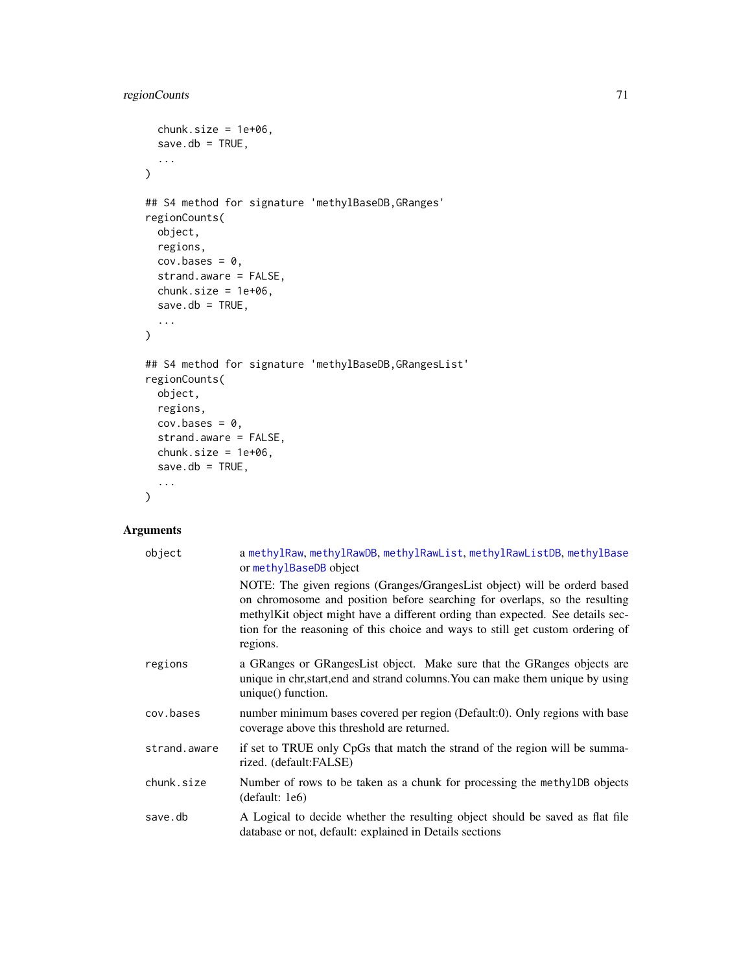```
chunk.size = 1e+06,save.db = TRUE,
  ...
\mathcal{L}## S4 method for signature 'methylBaseDB,GRanges'
regionCounts(
 object,
 regions,
 cov.bases = 0,strand.aware = FALSE,
  chunk.size = 1e+06,save.db = TRUE,
  ...
\mathcal{L}## S4 method for signature 'methylBaseDB,GRangesList'
regionCounts(
 object,
 regions,
 cov.bases = 0,strand.aware = FALSE,
 chunk.size = 1e+06,
 save.db = TRUE,...
\mathcal{L}
```
# Arguments

| object       | a methylRaw, methylRawDB, methylRawList, methylRawListDB, methylBase<br>or methylBaseDB object                                                                                                                                                                                                                                          |
|--------------|-----------------------------------------------------------------------------------------------------------------------------------------------------------------------------------------------------------------------------------------------------------------------------------------------------------------------------------------|
|              | NOTE: The given regions (Granges/GrangesList object) will be orderd based<br>on chromosome and position before searching for overlaps, so the resulting<br>methylKit object might have a different ording than expected. See details sec-<br>tion for the reasoning of this choice and ways to still get custom ordering of<br>regions. |
| regions      | a GRanges or GRangesList object. Make sure that the GRanges objects are<br>unique in chr, start, end and strand columns. You can make them unique by using<br>unique() function.                                                                                                                                                        |
| cov.bases    | number minimum bases covered per region (Default:0). Only regions with base<br>coverage above this threshold are returned.                                                                                                                                                                                                              |
| strand.aware | if set to TRUE only CpGs that match the strand of the region will be summa-<br>rized. (default:FALSE)                                                                                                                                                                                                                                   |
| chunk.size   | Number of rows to be taken as a chunk for processing the methy LDB objects<br>(default: 1e6)                                                                                                                                                                                                                                            |
| save.db      | A Logical to decide whether the resulting object should be saved as flat file<br>database or not, default: explained in Details sections                                                                                                                                                                                                |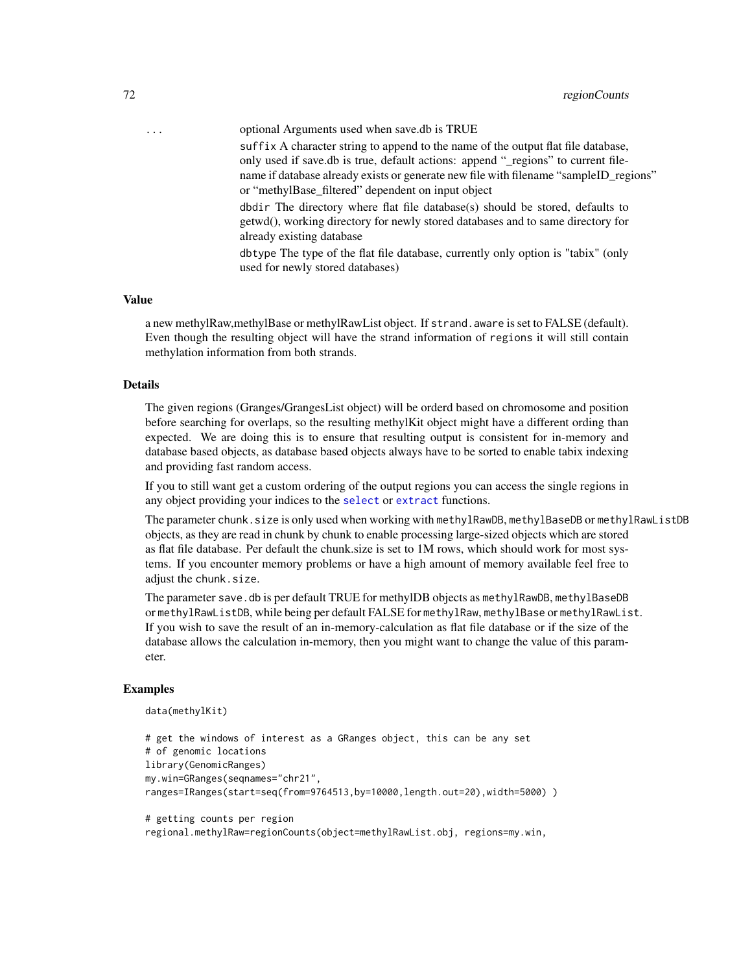... optional Arguments used when save.db is TRUE suffix A character string to append to the name of the output flat file database, only used if save.db is true, default actions: append "\_regions" to current filename if database already exists or generate new file with filename "sampleID\_regions" or "methylBase\_filtered" dependent on input object dbdir The directory where flat file database(s) should be stored, defaults to

getwd(), working directory for newly stored databases and to same directory for already existing database

dbtype The type of the flat file database, currently only option is "tabix" (only used for newly stored databases)

# Value

a new methylRaw,methylBase or methylRawList object. If strand.aware is set to FALSE (default). Even though the resulting object will have the strand information of regions it will still contain methylation information from both strands.

### Details

The given regions (Granges/GrangesList object) will be orderd based on chromosome and position before searching for overlaps, so the resulting methylKit object might have a different ording than expected. We are doing this is to ensure that resulting output is consistent for in-memory and database based objects, as database based objects always have to be sorted to enable tabix indexing and providing fast random access.

If you to still want get a custom ordering of the output regions you can access the single regions in any object providing your indices to the [select](#page-76-0) or [extract](#page-17-0) functions.

The parameter chunk.size is only used when working with methylRawDB, methylBaseDB or methylRawListDB objects, as they are read in chunk by chunk to enable processing large-sized objects which are stored as flat file database. Per default the chunk.size is set to 1M rows, which should work for most systems. If you encounter memory problems or have a high amount of memory available feel free to adjust the chunk.size.

The parameter save.db is per default TRUE for methylDB objects as methylRawDB, methylBaseDB or methylRawListDB, while being per default FALSE for methylRaw, methylBase or methylRawList. If you wish to save the result of an in-memory-calculation as flat file database or if the size of the database allows the calculation in-memory, then you might want to change the value of this parameter.

### Examples

```
data(methylKit)
```

```
# get the windows of interest as a GRanges object, this can be any set
# of genomic locations
library(GenomicRanges)
my.win=GRanges(seqnames="chr21",
ranges=IRanges(start=seq(from=9764513,by=10000,length.out=20),width=5000) )
# getting counts per region
```
regional.methylRaw=regionCounts(object=methylRawList.obj, regions=my.win,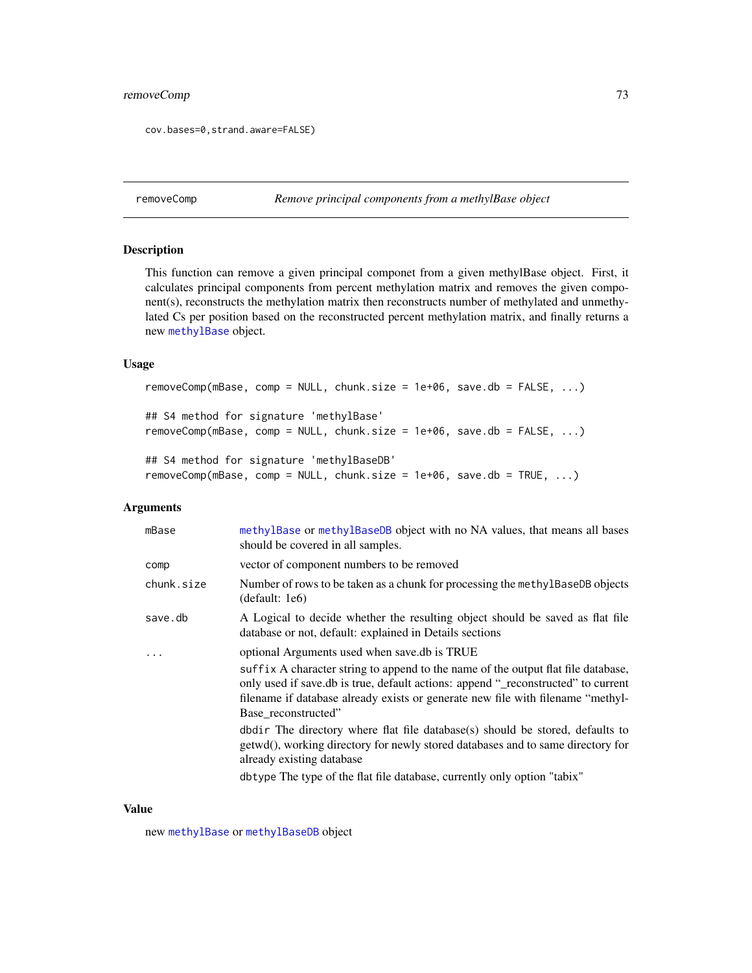# <span id="page-72-0"></span>removeComp 73

```
cov.bases=0,strand.aware=FALSE)
```
removeComp *Remove principal components from a methylBase object*

# Description

This function can remove a given principal componet from a given methylBase object. First, it calculates principal components from percent methylation matrix and removes the given component(s), reconstructs the methylation matrix then reconstructs number of methylated and unmethylated Cs per position based on the reconstructed percent methylation matrix, and finally returns a new [methylBase](#page-44-0) object.

#### Usage

```
removeComp(mBase, comp = NULL, chunk.size = 1e+06, save.db = FALSE, ...)
## S4 method for signature 'methylBase'
removeComp(mBase, comp = NULL, chunk.size = 1e+06, save.db = FALSE, ...)
```

```
## S4 method for signature 'methylBaseDB'
removeComp(mBase, comp = NULL, chunk.size = 1e+06, save.db = TRUE, ...)
```
# Arguments

| mBase      | methylBase or methylBaseDB object with no NA values, that means all bases<br>should be covered in all samples.                                                                                                                                                                   |  |
|------------|----------------------------------------------------------------------------------------------------------------------------------------------------------------------------------------------------------------------------------------------------------------------------------|--|
| comp       | vector of component numbers to be removed                                                                                                                                                                                                                                        |  |
| chunk.size | Number of rows to be taken as a chunk for processing the methy IBaseDB objects<br>(detault: 1e6)                                                                                                                                                                                 |  |
| save.db    | A Logical to decide whether the resulting object should be saved as flat file<br>database or not, default: explained in Details sections                                                                                                                                         |  |
| .          | optional Arguments used when save.db is TRUE                                                                                                                                                                                                                                     |  |
|            | suffix A character string to append to the name of the output flat file database,<br>only used if save.db is true, default actions: append "_reconstructed" to current<br>filename if database already exists or generate new file with filename "methyl-<br>Base_reconstructed" |  |
|            | dbdir The directory where flat file database(s) should be stored, defaults to<br>getwd(), working directory for newly stored databases and to same directory for<br>already existing database                                                                                    |  |
|            | dbtype The type of the flat file database, currently only option "tabix"                                                                                                                                                                                                         |  |

#### Value

new [methylBase](#page-44-0) or [methylBaseDB](#page-46-0) object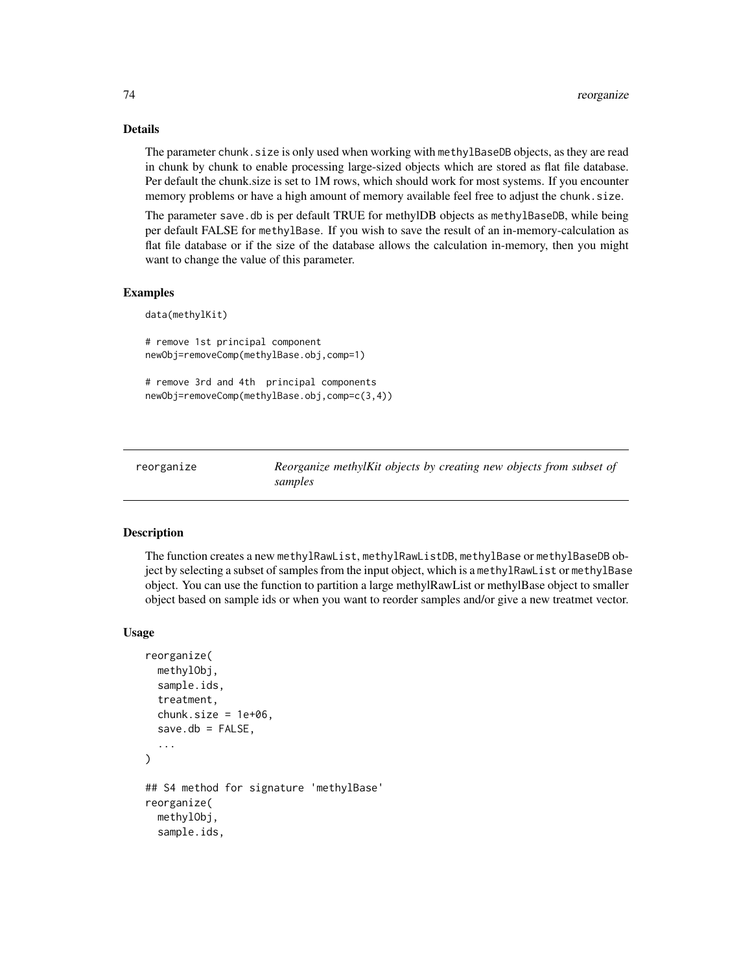#### Details

The parameter chunk, size is only used when working with methylBaseDB objects, as they are read in chunk by chunk to enable processing large-sized objects which are stored as flat file database. Per default the chunk.size is set to 1M rows, which should work for most systems. If you encounter memory problems or have a high amount of memory available feel free to adjust the chunk.size.

The parameter save.db is per default TRUE for methylDB objects as methylBaseDB, while being per default FALSE for methylBase. If you wish to save the result of an in-memory-calculation as flat file database or if the size of the database allows the calculation in-memory, then you might want to change the value of this parameter.

#### Examples

```
data(methylKit)
```

```
# remove 1st principal component
newObj=removeComp(methylBase.obj,comp=1)
```

```
# remove 3rd and 4th principal components
newObj=removeComp(methylBase.obj,comp=c(3,4))
```
reorganize *Reorganize methylKit objects by creating new objects from subset of samples*

# Description

The function creates a new methylRawList, methylRawListDB, methylBase or methylBaseDB object by selecting a subset of samples from the input object, which is a methylRawList or methylBase object. You can use the function to partition a large methylRawList or methylBase object to smaller object based on sample ids or when you want to reorder samples and/or give a new treatmet vector.

#### Usage

```
reorganize(
  methylObj,
  sample.ids,
  treatment,
  chunk.size = 1e+06,save.db = FALSE,...
)
## S4 method for signature 'methylBase'
reorganize(
  methylObj,
  sample.ids,
```
<span id="page-73-0"></span>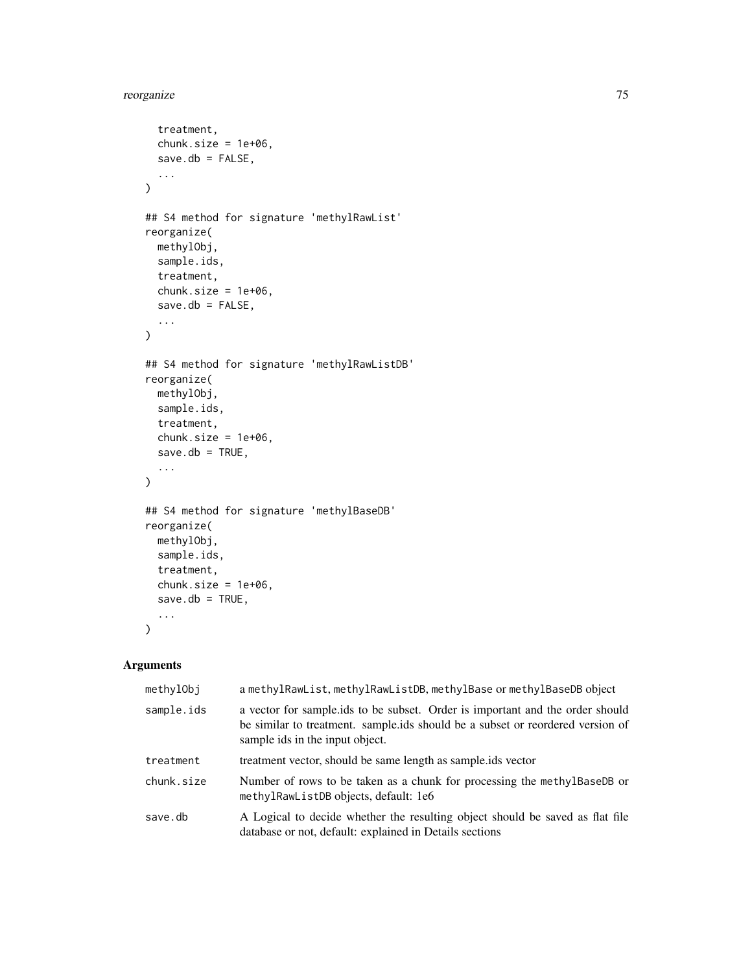# reorganize 75

```
treatment,
 chunk.size = 1e+06,save.db = FALSE,...
\mathcal{L}## S4 method for signature 'methylRawList'
reorganize(
 methylObj,
 sample.ids,
  treatment,
  chunk.size = 1e+06,save.db = FALSE,...
\mathcal{L}## S4 method for signature 'methylRawListDB'
reorganize(
 methylObj,
 sample.ids,
 treatment,
 chunk.size = 1e+06,save.db = TRUE,
  ...
\mathcal{L}## S4 method for signature 'methylBaseDB'
reorganize(
 methylObj,
 sample.ids,
  treatment,
 chunk.size = 1e+06,
 save.db = TRUE,
  ...
\mathcal{L}
```
## Arguments

| methylObj  | a methylRawList, methylRawListDB, methylBase or methylBaseDB object                                                                                                                                |  |
|------------|----------------------------------------------------------------------------------------------------------------------------------------------------------------------------------------------------|--|
| sample.ids | a vector for sample.ids to be subset. Order is important and the order should<br>be similar to treatment. sample.ids should be a subset or reordered version of<br>sample ids in the input object. |  |
| treatment  | treatment vector, should be same length as sample ids vector                                                                                                                                       |  |
| chunk.size | Number of rows to be taken as a chunk for processing the methylBaseDB or<br>methylRawListDB objects, default: 1e6                                                                                  |  |
| save.db    | A Logical to decide whether the resulting object should be saved as flat file<br>database or not, default: explained in Details sections                                                           |  |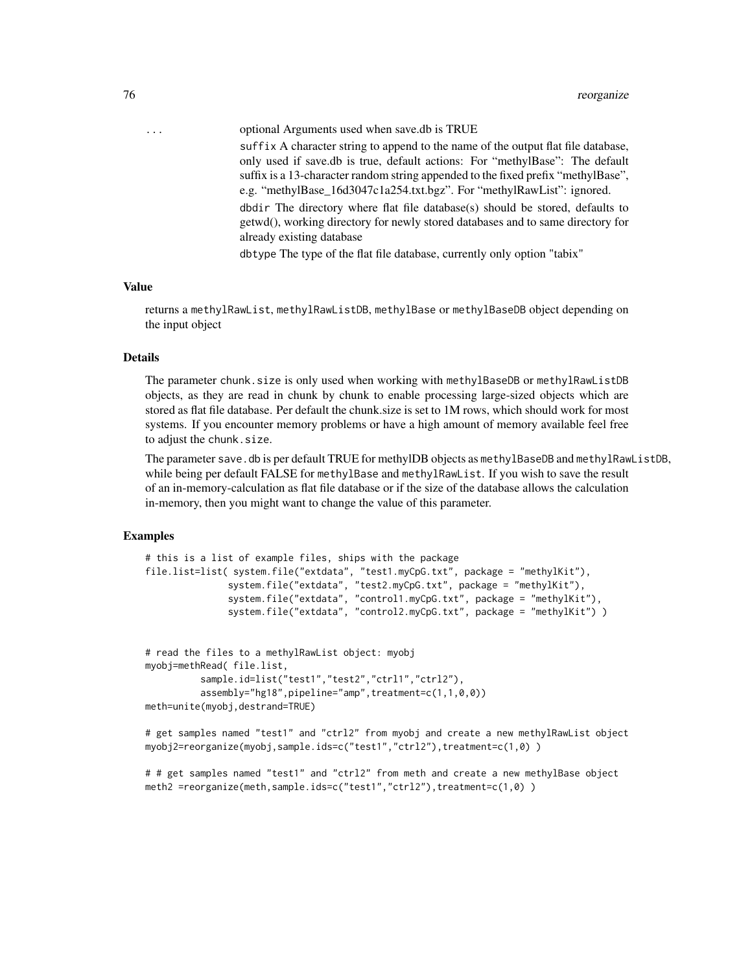... optional Arguments used when save.db is TRUE suffix A character string to append to the name of the output flat file database, only used if save.db is true, default actions: For "methylBase": The default suffix is a 13-character random string appended to the fixed prefix "methylBase", e.g. "methylBase\_16d3047c1a254.txt.bgz". For "methylRawList": ignored. dbdir The directory where flat file database(s) should be stored, defaults to getwd(), working directory for newly stored databases and to same directory for already existing database

dbtype The type of the flat file database, currently only option "tabix"

#### Value

returns a methylRawList, methylRawListDB, methylBase or methylBaseDB object depending on the input object

# Details

The parameter chunk.size is only used when working with methylBaseDB or methylRawListDB objects, as they are read in chunk by chunk to enable processing large-sized objects which are stored as flat file database. Per default the chunk.size is set to 1M rows, which should work for most systems. If you encounter memory problems or have a high amount of memory available feel free to adjust the chunk.size.

The parameter save.db is per default TRUE for methylDB objects as methylBaseDB and methylRawListDB, while being per default FALSE for methylBase and methylRawList. If you wish to save the result of an in-memory-calculation as flat file database or if the size of the database allows the calculation in-memory, then you might want to change the value of this parameter.

#### Examples

```
# this is a list of example files, ships with the package
file.list=list( system.file("extdata", "test1.myCpG.txt", package = "methylKit"),
               system.file("extdata", "test2.myCpG.txt", package = "methylKit"),
               system.file("extdata", "control1.myCpG.txt", package = "methylKit"),
               system.file("extdata", "control2.myCpG.txt", package = "methylKit") )
# read the files to a methylRawList object: myobj
myobj=methRead( file.list,
          sample.id=list("test1","test2","ctrl1","ctrl2"),
```

```
assembly="hg18",pipeline="amp",treatment=c(1,1,0,0))
meth=unite(myobj,destrand=TRUE)
```
# get samples named "test1" and "ctrl2" from myobj and create a new methylRawList object myobj2=reorganize(myobj,sample.ids=c("test1","ctrl2"),treatment=c(1,0))

```
# # get samples named "test1" and "ctrl2" from meth and create a new methylBase object
meth2 =reorganize(meth,sample.ids=c("test1","ctrl2"),treatment=c(1,0) )
```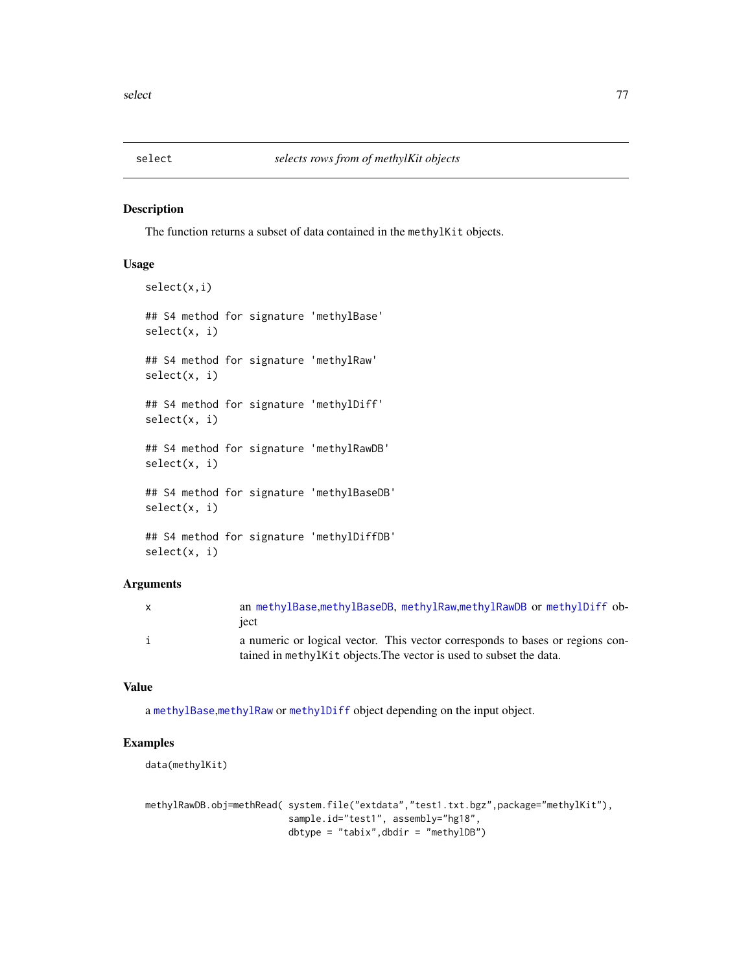<span id="page-76-0"></span>

# Description

The function returns a subset of data contained in the methylKit objects.

# Usage

```
select(x,i)
## S4 method for signature 'methylBase'
select(x, i)
## S4 method for signature 'methylRaw'
select(x, i)
## S4 method for signature 'methylDiff'
select(x, i)
## S4 method for signature 'methylRawDB'
select(x, i)
## S4 method for signature 'methylBaseDB'
select(x, i)
## S4 method for signature 'methylDiffDB'
select(x, i)
```
#### Arguments

| $\mathsf{x}$ | an methylBase, methylBaseDB, methylRaw, methylRawDB or methylDiff ob-         |
|--------------|-------------------------------------------------------------------------------|
|              | iect                                                                          |
|              | a numeric or logical vector. This vector corresponds to bases or regions con- |
|              | tained in methylkit objects. The vector is used to subset the data.           |

#### Value

a [methylBase](#page-44-0),[methylRaw](#page-50-0) or [methylDiff](#page-47-0) object depending on the input object.

# Examples

```
data(methylKit)
```
methylRawDB.obj=methRead( system.file("extdata","test1.txt.bgz",package="methylKit"), sample.id="test1", assembly="hg18", dbtype = "tabix",dbdir = "methylDB")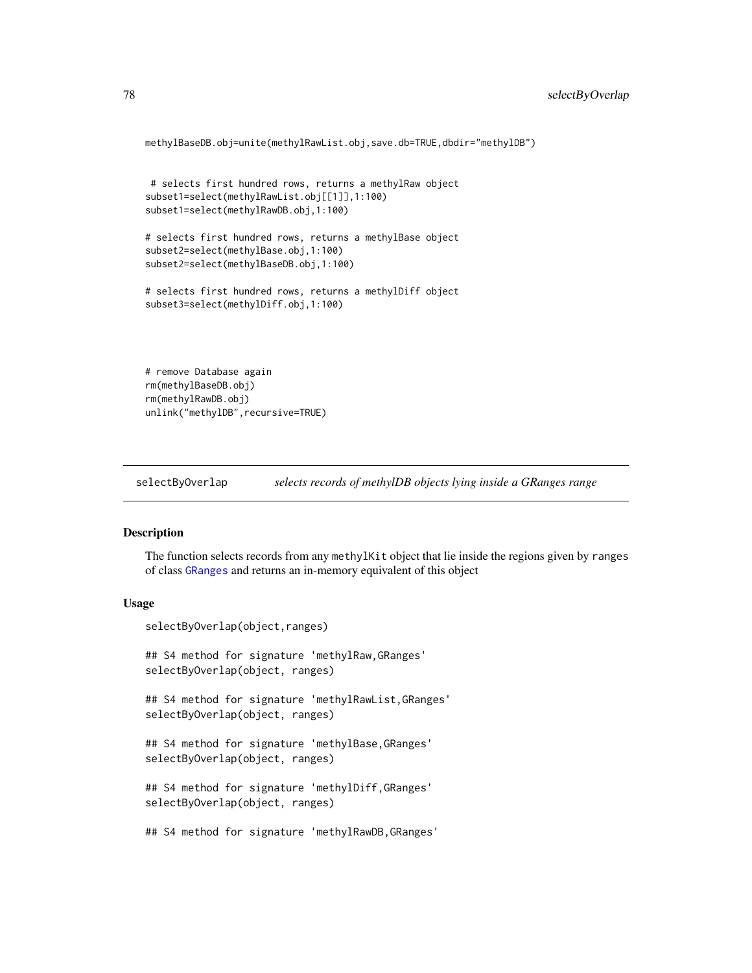```
methylBaseDB.obj=unite(methylRawList.obj,save.db=TRUE,dbdir="methylDB")
```

```
# selects first hundred rows, returns a methylRaw object
subset1=select(methylRawList.obj[[1]],1:100)
subset1=select(methylRawDB.obj,1:100)
```

```
# selects first hundred rows, returns a methylBase object
subset2=select(methylBase.obj,1:100)
subset2=select(methylBaseDB.obj,1:100)
```

```
# selects first hundred rows, returns a methylDiff object
subset3=select(methylDiff.obj,1:100)
```

```
# remove Database again
rm(methylBaseDB.obj)
rm(methylRawDB.obj)
unlink("methylDB", recursive=TRUE)
```
selectByOverlap *selects records of methylDB objects lying inside a GRanges range*

#### Description

The function selects records from any methylKit object that lie inside the regions given by ranges of class [GRanges](#page-0-0) and returns an in-memory equivalent of this object

#### Usage

```
selectByOverlap(object,ranges)
```
## S4 method for signature 'methylRaw,GRanges' selectByOverlap(object, ranges)

```
## S4 method for signature 'methylRawList,GRanges'
selectByOverlap(object, ranges)
```

```
## S4 method for signature 'methylBase,GRanges'
selectByOverlap(object, ranges)
```

```
## S4 method for signature 'methylDiff,GRanges'
selectByOverlap(object, ranges)
```
## S4 method for signature 'methylRawDB,GRanges'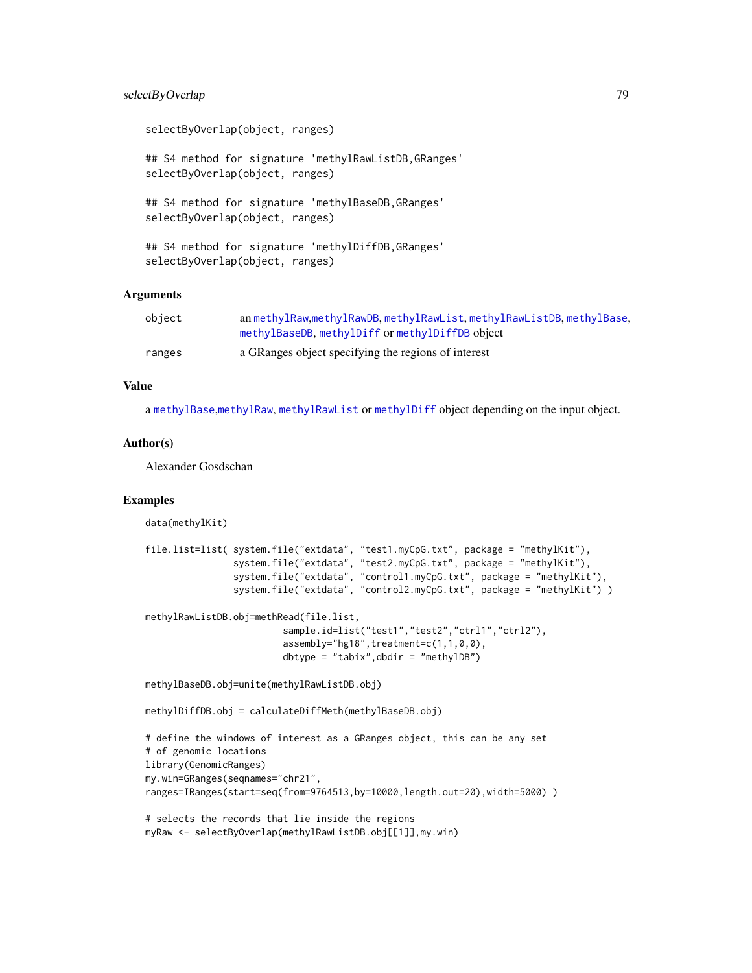# <span id="page-78-0"></span>selectByOverlap 79

selectByOverlap(object, ranges)

## S4 method for signature 'methylRawListDB,GRanges' selectByOverlap(object, ranges)

## S4 method for signature 'methylBaseDB,GRanges' selectByOverlap(object, ranges)

## S4 method for signature 'methylDiffDB,GRanges' selectByOverlap(object, ranges)

#### Arguments

| object | an methylRaw, methylRawDB, methylRawList, methylRawListDB, methylBase, |
|--------|------------------------------------------------------------------------|
|        | methylBaseDB, methylDiff or methylDiffDB object                        |
| ranges | a GRanges object specifying the regions of interest                    |

# Value

a [methylBase](#page-44-0),[methylRaw](#page-50-0), [methylRawList](#page-53-0) or [methylDiff](#page-47-0) object depending on the input object.

#### Author(s)

Alexander Gosdschan

# Examples

data(methylKit)

```
file.list=list( system.file("extdata", "test1.myCpG.txt", package = "methylKit"),
                system.file("extdata", "test2.myCpG.txt", package = "methylKit"),
                system.file("extdata", "control1.myCpG.txt", package = "methylKit"),
                system.file("extdata", "control2.myCpG.txt", package = "methylKit") )
methylRawListDB.obj=methRead(file.list,
                         sample.id=list("test1","test2","ctrl1","ctrl2"),
                         assembly="hg18", treatment=c(1,1,0,0),
                         dbtype = "tabix",dbdir = "methylDB")
methylBaseDB.obj=unite(methylRawListDB.obj)
methylDiffDB.obj = calculateDiffMeth(methylBaseDB.obj)
# define the windows of interest as a GRanges object, this can be any set
# of genomic locations
library(GenomicRanges)
my.win=GRanges(seqnames="chr21",
ranges=IRanges(start=seq(from=9764513,by=10000,length.out=20),width=5000) )
```

```
# selects the records that lie inside the regions
myRaw <- selectByOverlap(methylRawListDB.obj[[1]],my.win)
```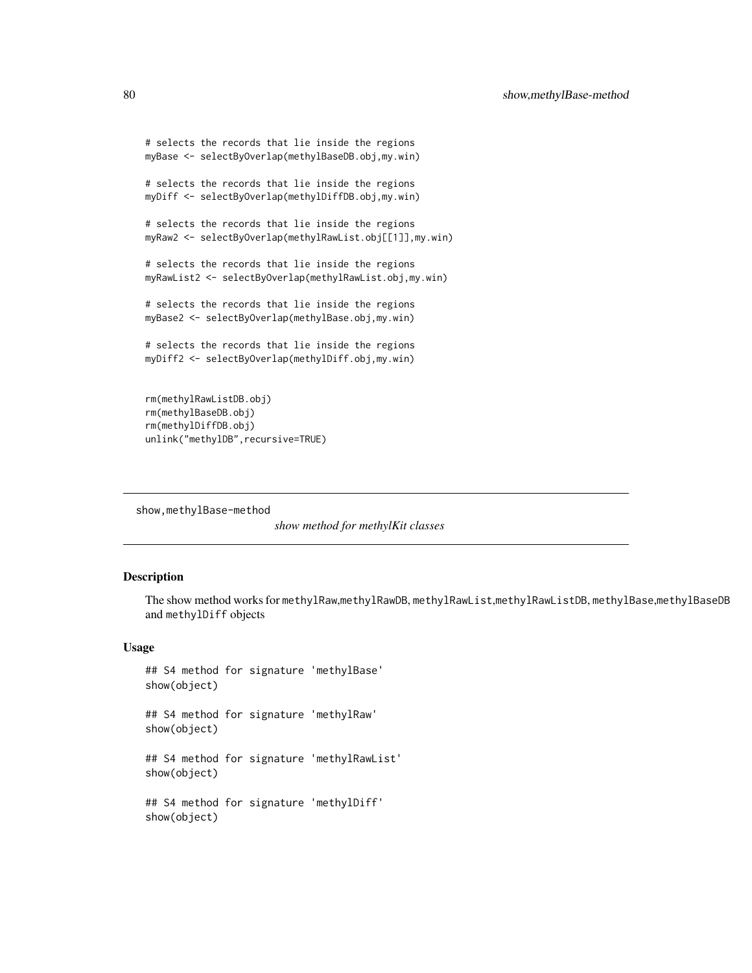```
# selects the records that lie inside the regions
myBase <- selectByOverlap(methylBaseDB.obj,my.win)
# selects the records that lie inside the regions
myDiff <- selectByOverlap(methylDiffDB.obj,my.win)
# selects the records that lie inside the regions
myRaw2 <- selectByOverlap(methylRawList.obj[[1]],my.win)
# selects the records that lie inside the regions
myRawList2 <- selectByOverlap(methylRawList.obj,my.win)
# selects the records that lie inside the regions
myBase2 <- selectByOverlap(methylBase.obj,my.win)
# selects the records that lie inside the regions
myDiff2 <- selectByOverlap(methylDiff.obj,my.win)
rm(methylRawListDB.obj)
rm(methylBaseDB.obj)
rm(methylDiffDB.obj)
```

```
unlink("methylDB", recursive=TRUE)
```
show,methylBase-method

*show method for methylKit classes*

#### Description

The show method works for methylRaw,methylRawDB, methylRawList,methylRawListDB, methylBase,methylBaseDB and methylDiff objects

#### Usage

```
## S4 method for signature 'methylBase'
show(object)
## S4 method for signature 'methylRaw'
show(object)
```
## S4 method for signature 'methylRawList' show(object)

```
## S4 method for signature 'methylDiff'
show(object)
```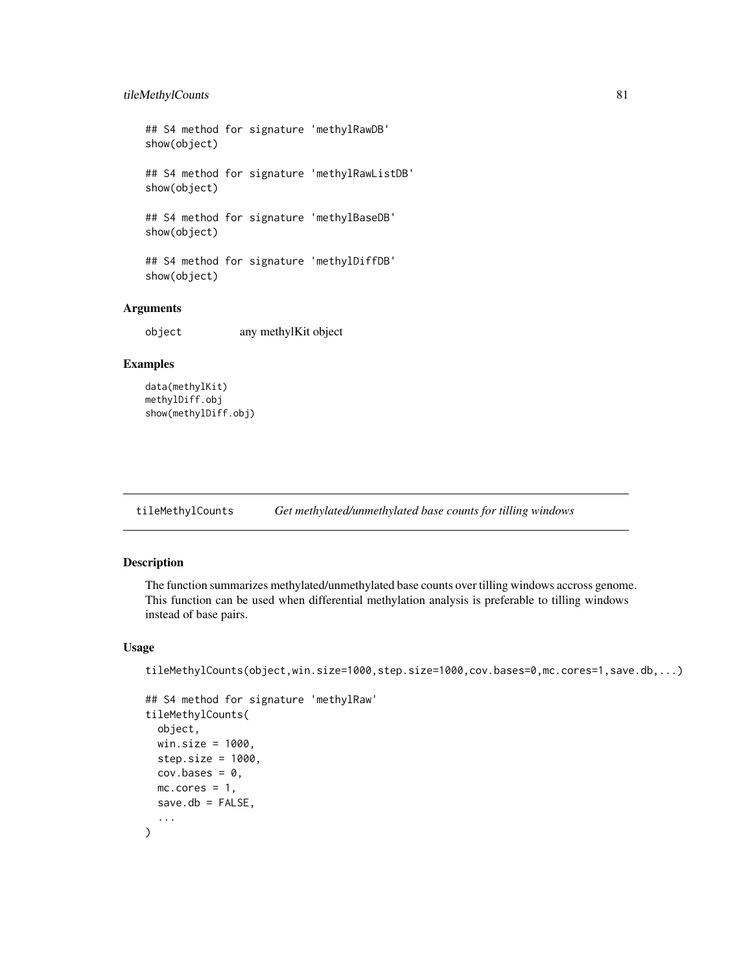# <span id="page-80-0"></span>tileMethylCounts 81

## S4 method for signature 'methylRawDB' show(object) ## S4 method for signature 'methylRawListDB' show(object)

## S4 method for signature 'methylBaseDB'

show(object)

## S4 method for signature 'methylDiffDB' show(object)

# Arguments

object any methylKit object

# Examples

```
data(methylKit)
methylDiff.obj
show(methylDiff.obj)
```
tileMethylCounts *Get methylated/unmethylated base counts for tilling windows*

# Description

The function summarizes methylated/unmethylated base counts over tilling windows accross genome. This function can be used when differential methylation analysis is preferable to tilling windows instead of base pairs.

#### Usage

tileMethylCounts(object,win.size=1000,step.size=1000,cov.bases=0,mc.cores=1,save.db,...)

```
## S4 method for signature 'methylRaw'
tileMethylCounts(
 object,
 win.size = 1000,
 step.size = 1000.
 cov.bases = 0,
 mc.core = 1,
 save.db = FALSE,...
)
```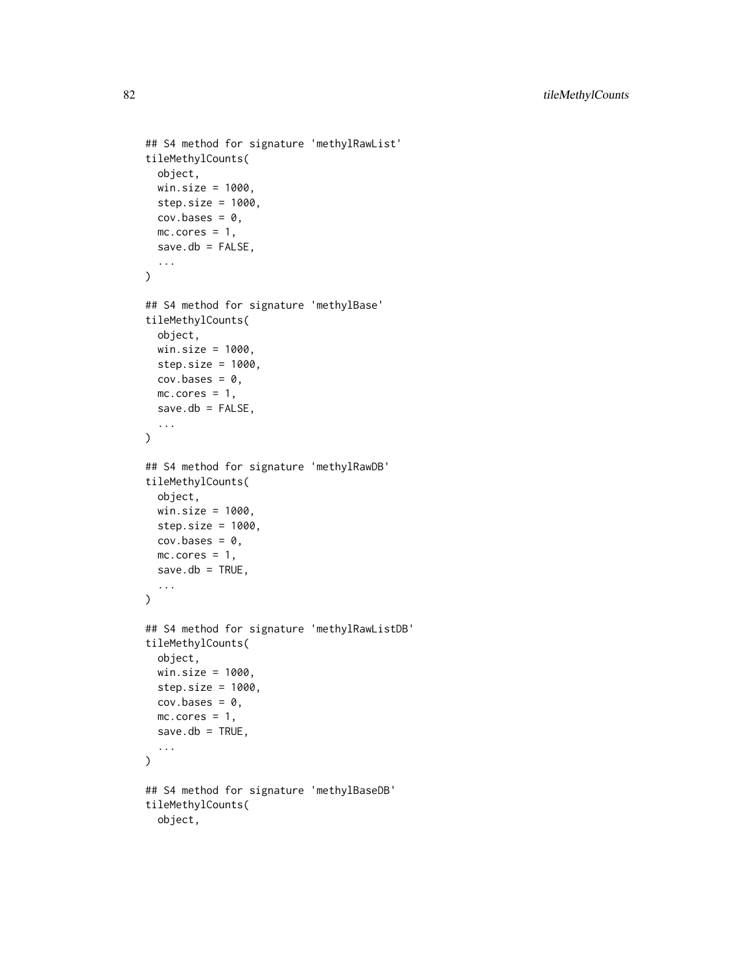```
## S4 method for signature 'methylRawList'
tileMethylCounts(
 object,
 win.size = 1000,
 step.size = 1000,
 cov.bases = 0,mc.cores = 1,
 save.db = FALSE,...
)
## S4 method for signature 'methylBase'
tileMethylCounts(
 object,
 win.size = 1000,
 step.size = 1000,
 cov.bases = 0,
 mc.cores = 1,
  save.db = FALSE,...
\mathcal{L}## S4 method for signature 'methylRawDB'
tileMethylCounts(
 object,
 win.size = 1000,
  step.size = 1000,
 cov.bases = 0,mc.core = 1,
  save.db = TRUE,
  ...
)
## S4 method for signature 'methylRawListDB'
tileMethylCounts(
 object,
 win.size = 1000,
  step.size = 1000,
 cov.bases = 0,mc.cores = 1,
  save.db = TRUE,
  ...
\mathcal{L}## S4 method for signature 'methylBaseDB'
tileMethylCounts(
 object,
```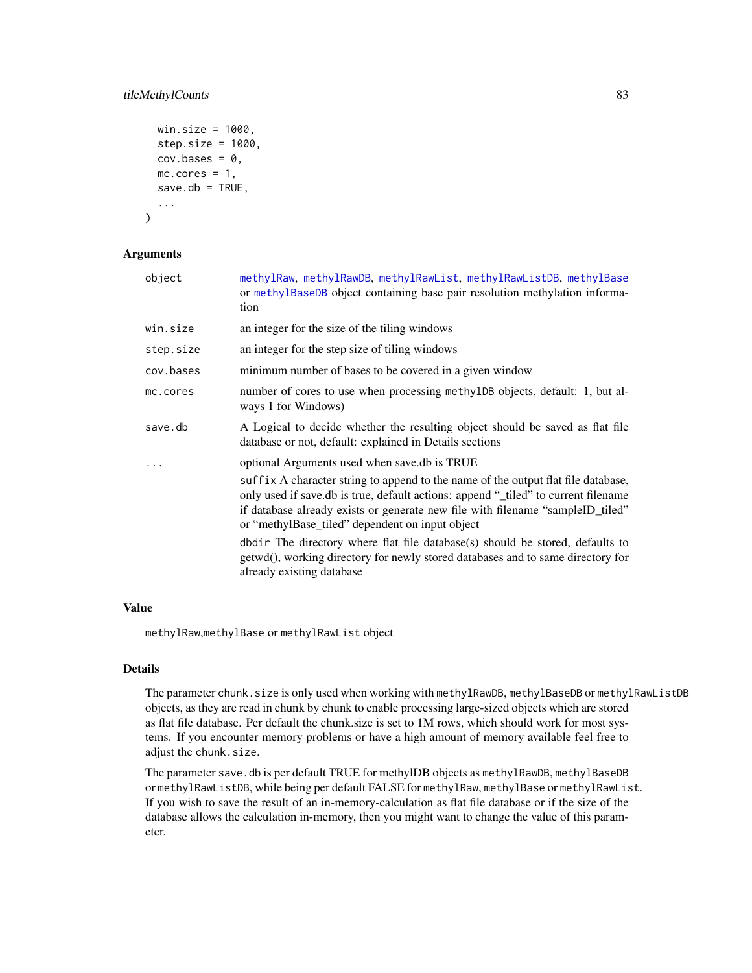# <span id="page-82-0"></span>tileMethylCounts 83

```
win.size = 1000,
step.size = 1000.
cov.bases = 0,
mc.cores = 1,
save.db = TRUE,...
```
#### Arguments

)

| object    | methylRaw, methylRawDB, methylRawList, methylRawListDB, methylBase<br>or methylBaseDB object containing base pair resolution methylation informa-<br>tion                                                                                                                                                    |
|-----------|--------------------------------------------------------------------------------------------------------------------------------------------------------------------------------------------------------------------------------------------------------------------------------------------------------------|
| win.size  | an integer for the size of the tiling windows                                                                                                                                                                                                                                                                |
| step.size | an integer for the step size of tiling windows                                                                                                                                                                                                                                                               |
| cov.bases | minimum number of bases to be covered in a given window                                                                                                                                                                                                                                                      |
| mc.cores  | number of cores to use when processing methylDB objects, default: 1, but al-<br>ways 1 for Windows)                                                                                                                                                                                                          |
| save.db   | A Logical to decide whether the resulting object should be saved as flat file<br>database or not, default: explained in Details sections                                                                                                                                                                     |
| $\ddots$  | optional Arguments used when save.db is TRUE                                                                                                                                                                                                                                                                 |
|           | suffix A character string to append to the name of the output flat file database,<br>only used if save.db is true, default actions: append "_tiled" to current filename<br>if database already exists or generate new file with filename "sampleID_tiled"<br>or "methylBase_tiled" dependent on input object |
|           | dbdir The directory where flat file database(s) should be stored, defaults to<br>getwd(), working directory for newly stored databases and to same directory for<br>already existing database                                                                                                                |

# Value

methylRaw,methylBase or methylRawList object

# Details

The parameter chunk.size is only used when working with methylRawDB, methylBaseDB or methylRawListDB objects, as they are read in chunk by chunk to enable processing large-sized objects which are stored as flat file database. Per default the chunk.size is set to 1M rows, which should work for most systems. If you encounter memory problems or have a high amount of memory available feel free to adjust the chunk.size.

The parameter save.db is per default TRUE for methylDB objects as methylRawDB, methylBaseDB or methylRawListDB, while being per default FALSE for methylRaw, methylBase or methylRawList. If you wish to save the result of an in-memory-calculation as flat file database or if the size of the database allows the calculation in-memory, then you might want to change the value of this parameter.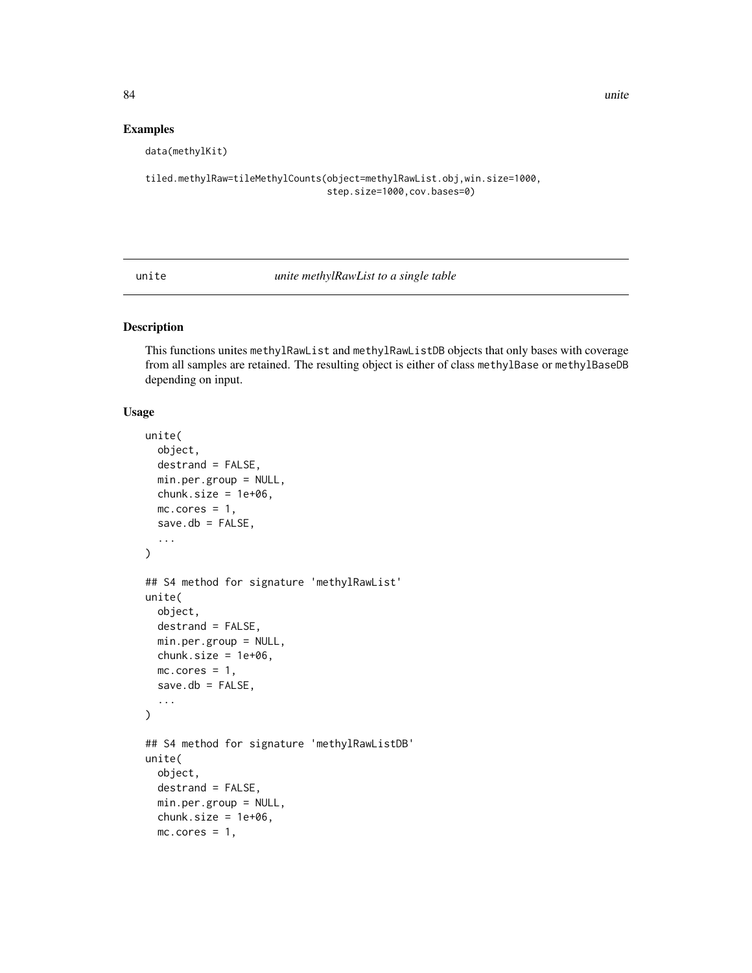#### Examples

data(methylKit)

```
tiled.methylRaw=tileMethylCounts(object=methylRawList.obj,win.size=1000,
                                 step.size=1000,cov.bases=0)
```
unite *unite methylRawList to a single table*

#### Description

This functions unites methylRawList and methylRawListDB objects that only bases with coverage from all samples are retained. The resulting object is either of class methylBase or methylBaseDB depending on input.

# Usage

```
unite(
 object,
 destrand = FALSE,
 min.per.group = NULL,
 chunk.size = 1e+06,mc.core = 1,
 save.db = FALSE,...
)
## S4 method for signature 'methylRawList'
unite(
 object,
  destrand = FALSE,
 min.per.group = NULL,
 chunk.size = 1e+06,mc.core = 1,
 save.db = FALSE,...
)
## S4 method for signature 'methylRawListDB'
unite(
 object,
  destrand = FALSE,
 min.per.group = NULL,
  chunk.size = 1e+06,mc.core = 1,
```
<span id="page-83-0"></span>84 unite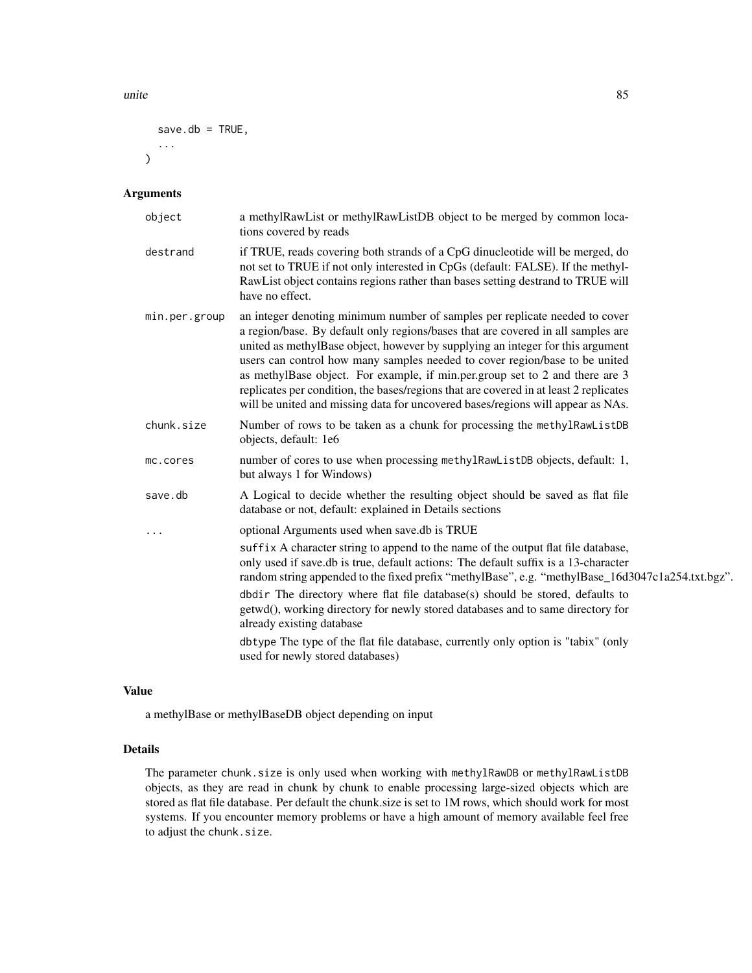unite 85

```
save.db = TRUE,
   ...
\mathcal{L}
```
# Arguments

| object        | a methylRawList or methylRawListDB object to be merged by common loca-<br>tions covered by reads                                                                                                                                                                                                                                                                                                                                                                                                                                                                                             |
|---------------|----------------------------------------------------------------------------------------------------------------------------------------------------------------------------------------------------------------------------------------------------------------------------------------------------------------------------------------------------------------------------------------------------------------------------------------------------------------------------------------------------------------------------------------------------------------------------------------------|
| destrand      | if TRUE, reads covering both strands of a CpG dinucleotide will be merged, do<br>not set to TRUE if not only interested in CpGs (default: FALSE). If the methyl-<br>RawList object contains regions rather than bases setting destrand to TRUE will<br>have no effect.                                                                                                                                                                                                                                                                                                                       |
| min.per.group | an integer denoting minimum number of samples per replicate needed to cover<br>a region/base. By default only regions/bases that are covered in all samples are<br>united as methylBase object, however by supplying an integer for this argument<br>users can control how many samples needed to cover region/base to be united<br>as methylBase object. For example, if min.per.group set to 2 and there are 3<br>replicates per condition, the bases/regions that are covered in at least 2 replicates<br>will be united and missing data for uncovered bases/regions will appear as NAs. |
| chunk.size    | Number of rows to be taken as a chunk for processing the methylRawListDB<br>objects, default: 1e6                                                                                                                                                                                                                                                                                                                                                                                                                                                                                            |
| mc.cores      | number of cores to use when processing methylRawListDB objects, default: 1,<br>but always 1 for Windows)                                                                                                                                                                                                                                                                                                                                                                                                                                                                                     |
| save.db       | A Logical to decide whether the resulting object should be saved as flat file<br>database or not, default: explained in Details sections                                                                                                                                                                                                                                                                                                                                                                                                                                                     |
|               | optional Arguments used when save.db is TRUE                                                                                                                                                                                                                                                                                                                                                                                                                                                                                                                                                 |
|               | suffix A character string to append to the name of the output flat file database,<br>only used if save.db is true, default actions: The default suffix is a 13-character<br>random string appended to the fixed prefix "methylBase", e.g. "methylBase_16d3047c1a254.txt.bgz".                                                                                                                                                                                                                                                                                                                |
|               | dbdir The directory where flat file database(s) should be stored, defaults to<br>getwd(), working directory for newly stored databases and to same directory for<br>already existing database                                                                                                                                                                                                                                                                                                                                                                                                |
|               | dbtype The type of the flat file database, currently only option is "tabix" (only<br>used for newly stored databases)                                                                                                                                                                                                                                                                                                                                                                                                                                                                        |

#### Value

a methylBase or methylBaseDB object depending on input

# Details

The parameter chunk.size is only used when working with methylRawDB or methylRawListDB objects, as they are read in chunk by chunk to enable processing large-sized objects which are stored as flat file database. Per default the chunk.size is set to 1M rows, which should work for most systems. If you encounter memory problems or have a high amount of memory available feel free to adjust the chunk.size.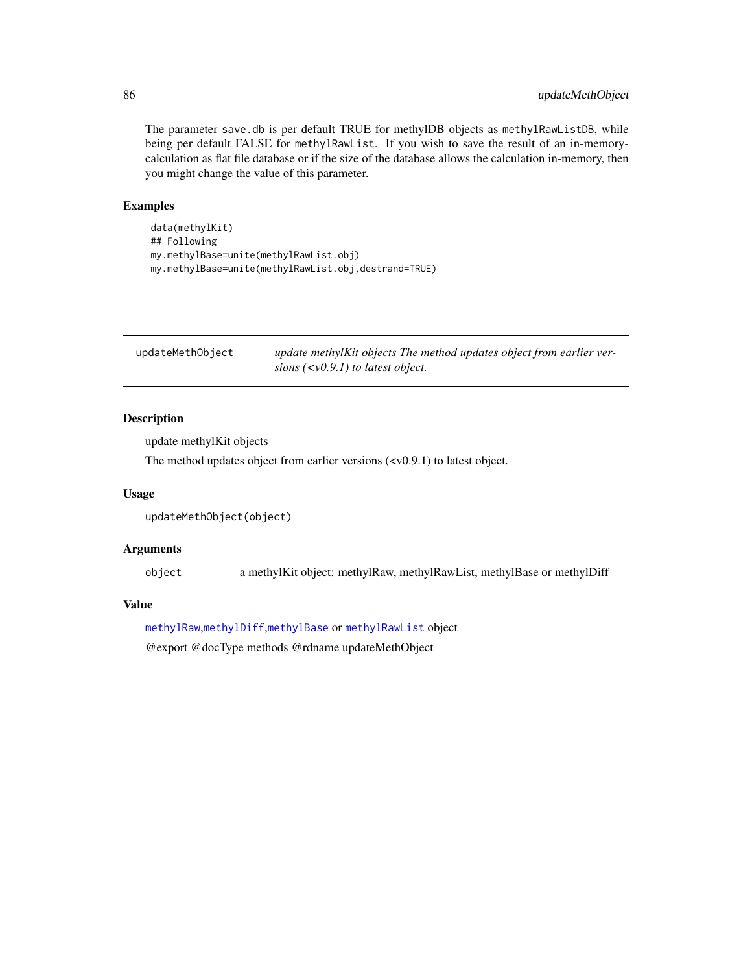The parameter save.db is per default TRUE for methylDB objects as methylRawListDB, while being per default FALSE for methylRawList. If you wish to save the result of an in-memorycalculation as flat file database or if the size of the database allows the calculation in-memory, then you might change the value of this parameter.

# Examples

```
data(methylKit)
## Following
my.methylBase=unite(methylRawList.obj)
my.methylBase=unite(methylRawList.obj,destrand=TRUE)
```

| updateMethObject | update methylKit objects The method updates object from earlier ver- |
|------------------|----------------------------------------------------------------------|
|                  | sions $(v0.9.1)$ to latest object.                                   |

# Description

update methylKit objects

The method updates object from earlier versions (<v0.9.1) to latest object.

#### Usage

```
updateMethObject(object)
```
# Arguments

object a methylKit object: methylRaw, methylRawList, methylBase or methylDiff

# Value

[methylRaw](#page-50-0),[methylDiff](#page-47-0),[methylBase](#page-44-0) or [methylRawList](#page-53-0) object @export @docType methods @rdname updateMethObject

<span id="page-85-0"></span>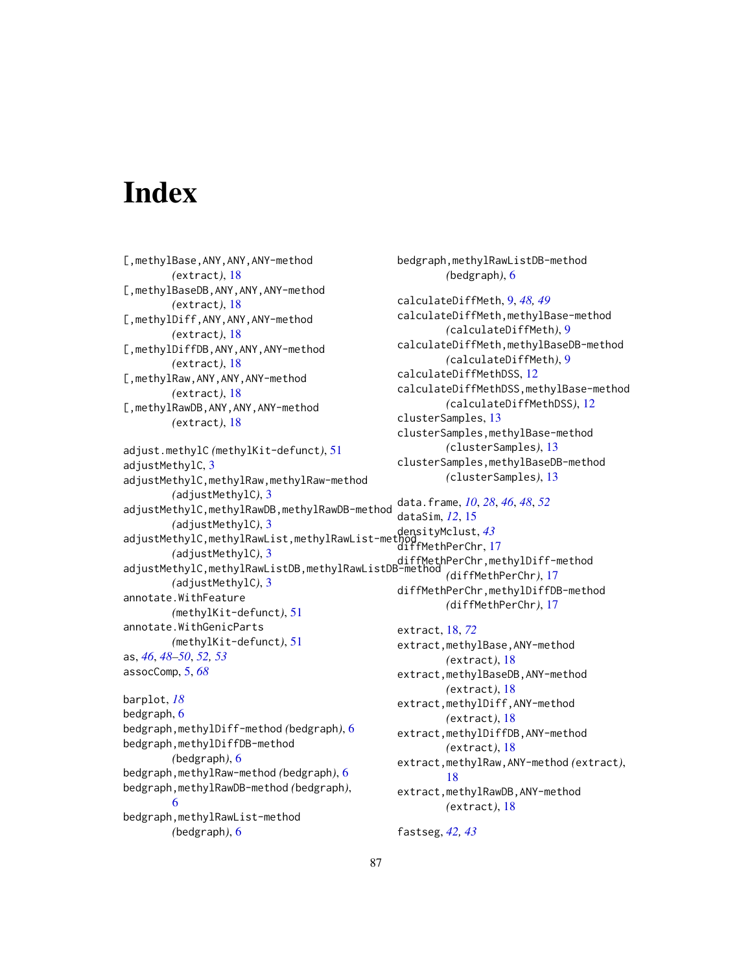# **Index**

[,methylBase,ANY,ANY,ANY-method *(*extract*)*, [18](#page-17-0) [,methylBaseDB,ANY,ANY,ANY-method *(*extract*)*, [18](#page-17-0) [,methylDiff,ANY,ANY,ANY-method *(*extract*)*, [18](#page-17-0) [,methylDiffDB,ANY,ANY,ANY-method *(*extract*)*, [18](#page-17-0) [,methylRaw,ANY,ANY,ANY-method *(*extract*)*, [18](#page-17-0) [,methylRawDB,ANY,ANY,ANY-method *(*extract*)*, [18](#page-17-0) adjust.methylC *(*methylKit-defunct*)*, [51](#page-50-1) adjustMethylC, [3](#page-2-0) adjustMethylC,methylRaw,methylRaw-method *(*adjustMethylC*)*, [3](#page-2-0) adjustMethylC,methylRawDB,methylRawDB-method *(*adjustMethylC*)*, [3](#page-2-0) adjustMethylC,methylRawList,methylRawList-method densityMclust, *[43](#page-42-0) (*adjustMethylC*)*, [3](#page-2-0) diffMethPerChr,methylDiff-method<br>| adjustMethylC,methylRawListDB,methylRawListDB-method *(*adjustMethylC*)*, [3](#page-2-0) annotate.WithFeature *(*methylKit-defunct*)*, [51](#page-50-1) annotate.WithGenicParts *(*methylKit-defunct*)*, [51](#page-50-1) as, *[46](#page-45-0)*, *[48](#page-47-1)[–50](#page-49-0)*, *[52,](#page-51-0) [53](#page-52-1)* assocComp, [5,](#page-4-0) *[68](#page-67-0)* barplot, *[18](#page-17-0)* bedgraph, [6](#page-5-0) bedgraph,methylDiff-method *(*bedgraph*)*, [6](#page-5-0) bedgraph,methylDiffDB-method *(*bedgraph*)*, [6](#page-5-0) bedgraph,methylRaw-method *(*bedgraph*)*, [6](#page-5-0) bedgraph,methylRawDB-method *(*bedgraph*)*, [6](#page-5-0) bedgraph,methylRawList-method *(*bedgraph*)*, [6](#page-5-0)

bedgraph,methylRawListDB-method *(*bedgraph*)*, [6](#page-5-0) calculateDiffMeth, [9,](#page-8-0) *[48,](#page-47-1) [49](#page-48-1)* calculateDiffMeth,methylBase-method *(*calculateDiffMeth*)*, [9](#page-8-0) calculateDiffMeth,methylBaseDB-method *(*calculateDiffMeth*)*, [9](#page-8-0) calculateDiffMethDSS, [12](#page-11-0) calculateDiffMethDSS,methylBase-method *(*calculateDiffMethDSS*)*, [12](#page-11-0) clusterSamples, [13](#page-12-0) clusterSamples,methylBase-method *(*clusterSamples*)*, [13](#page-12-0) clusterSamples,methylBaseDB-method *(*clusterSamples*)*, [13](#page-12-0) data.frame, *[10](#page-9-0)*, *[28](#page-27-0)*, *[46](#page-45-0)*, *[48](#page-47-1)*, *[52](#page-51-0)* dataSim, *[12](#page-11-0)*, [15](#page-14-0) diffMethPerChr, [17](#page-16-0) *(*diffMethPerChr*)*, [17](#page-16-0) diffMethPerChr,methylDiffDB-method *(*diffMethPerChr*)*, [17](#page-16-0) extract, [18,](#page-17-0) *[72](#page-71-0)* extract,methylBase,ANY-method *(*extract*)*, [18](#page-17-0) extract,methylBaseDB,ANY-method *(*extract*)*, [18](#page-17-0) extract,methylDiff,ANY-method *(*extract*)*, [18](#page-17-0) extract,methylDiffDB,ANY-method *(*extract*)*, [18](#page-17-0) extract,methylRaw,ANY-method *(*extract*)*, [18](#page-17-0) extract,methylRawDB,ANY-method *(*extract*)*, [18](#page-17-0) fastseg, *[42,](#page-41-0) [43](#page-42-0)*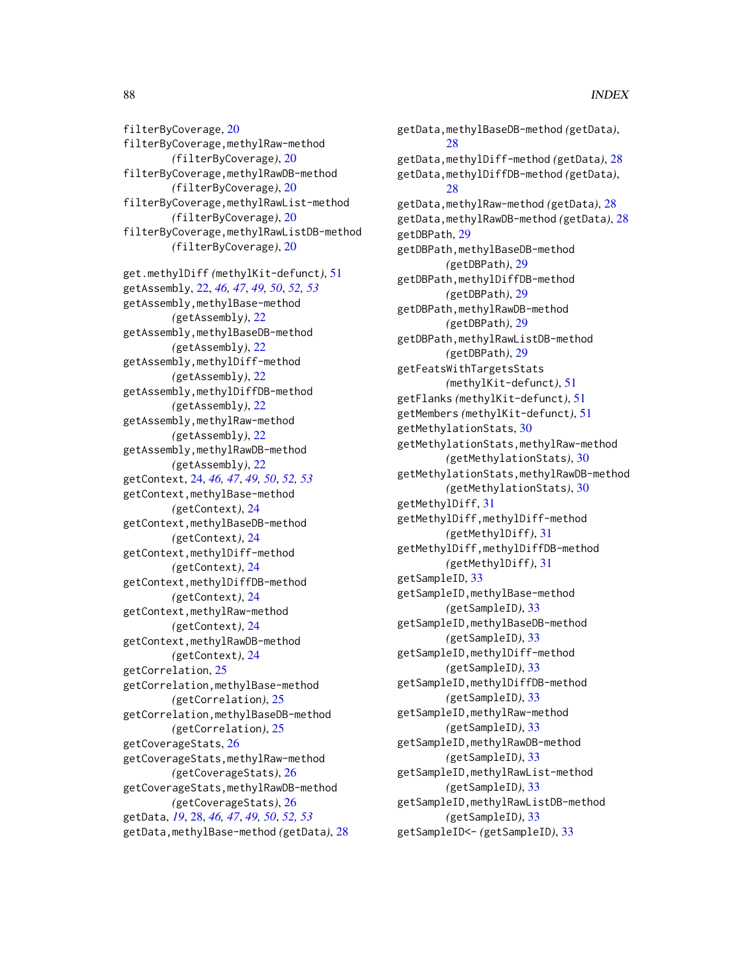filterByCoverage, [20](#page-19-0) filterByCoverage,methylRaw-method *(*filterByCoverage*)*, [20](#page-19-0) filterByCoverage,methylRawDB-method *(*filterByCoverage*)*, [20](#page-19-0) filterByCoverage,methylRawList-method *(*filterByCoverage*)*, [20](#page-19-0) filterByCoverage,methylRawListDB-method *(*filterByCoverage*)*, [20](#page-19-0) get.methylDiff *(*methylKit-defunct*)*, [51](#page-50-1) getAssembly, [22,](#page-21-0) *[46,](#page-45-0) [47](#page-46-1)*, *[49,](#page-48-1) [50](#page-49-0)*, *[52,](#page-51-0) [53](#page-52-1)* getAssembly,methylBase-method *(*getAssembly*)*, [22](#page-21-0) getAssembly,methylBaseDB-method *(*getAssembly*)*, [22](#page-21-0) getAssembly,methylDiff-method *(*getAssembly*)*, [22](#page-21-0) getAssembly,methylDiffDB-method *(*getAssembly*)*, [22](#page-21-0) getAssembly,methylRaw-method *(*getAssembly*)*, [22](#page-21-0) getAssembly,methylRawDB-method *(*getAssembly*)*, [22](#page-21-0) getContext, [24,](#page-23-0) *[46,](#page-45-0) [47](#page-46-1)*, *[49,](#page-48-1) [50](#page-49-0)*, *[52,](#page-51-0) [53](#page-52-1)* getContext,methylBase-method *(*getContext*)*, [24](#page-23-0) getContext,methylBaseDB-method *(*getContext*)*, [24](#page-23-0) getContext,methylDiff-method *(*getContext*)*, [24](#page-23-0) getContext,methylDiffDB-method *(*getContext*)*, [24](#page-23-0) getContext,methylRaw-method *(*getContext*)*, [24](#page-23-0) getContext,methylRawDB-method *(*getContext*)*, [24](#page-23-0) getCorrelation, [25](#page-24-0) getCorrelation,methylBase-method *(*getCorrelation*)*, [25](#page-24-0) getCorrelation,methylBaseDB-method *(*getCorrelation*)*, [25](#page-24-0) getCoverageStats, [26](#page-25-0) getCoverageStats,methylRaw-method *(*getCoverageStats*)*, [26](#page-25-0) getCoverageStats,methylRawDB-method *(*getCoverageStats*)*, [26](#page-25-0) getData, *[19](#page-18-0)*, [28,](#page-27-0) *[46,](#page-45-0) [47](#page-46-1)*, *[49,](#page-48-1) [50](#page-49-0)*, *[52,](#page-51-0) [53](#page-52-1)* getData,methylBase-method *(*getData*)*, [28](#page-27-0)

getData,methylBaseDB-method *(*getData*)*, [28](#page-27-0) getData,methylDiff-method *(*getData*)*, [28](#page-27-0) getData,methylDiffDB-method *(*getData*)*, [28](#page-27-0) getData,methylRaw-method *(*getData*)*, [28](#page-27-0) getData,methylRawDB-method *(*getData*)*, [28](#page-27-0) getDBPath, [29](#page-28-0) getDBPath,methylBaseDB-method *(*getDBPath*)*, [29](#page-28-0) getDBPath,methylDiffDB-method *(*getDBPath*)*, [29](#page-28-0) getDBPath,methylRawDB-method *(*getDBPath*)*, [29](#page-28-0) getDBPath,methylRawListDB-method *(*getDBPath*)*, [29](#page-28-0) getFeatsWithTargetsStats *(*methylKit-defunct*)*, [51](#page-50-1) getFlanks *(*methylKit-defunct*)*, [51](#page-50-1) getMembers *(*methylKit-defunct*)*, [51](#page-50-1) getMethylationStats, [30](#page-29-0) getMethylationStats,methylRaw-method *(*getMethylationStats*)*, [30](#page-29-0) getMethylationStats,methylRawDB-method *(*getMethylationStats*)*, [30](#page-29-0) getMethylDiff, [31](#page-30-0) getMethylDiff,methylDiff-method *(*getMethylDiff*)*, [31](#page-30-0) getMethylDiff,methylDiffDB-method *(*getMethylDiff*)*, [31](#page-30-0) getSampleID, [33](#page-32-0) getSampleID,methylBase-method *(*getSampleID*)*, [33](#page-32-0) getSampleID,methylBaseDB-method *(*getSampleID*)*, [33](#page-32-0) getSampleID,methylDiff-method *(*getSampleID*)*, [33](#page-32-0) getSampleID,methylDiffDB-method *(*getSampleID*)*, [33](#page-32-0) getSampleID,methylRaw-method *(*getSampleID*)*, [33](#page-32-0) getSampleID,methylRawDB-method *(*getSampleID*)*, [33](#page-32-0) getSampleID,methylRawList-method *(*getSampleID*)*, [33](#page-32-0) getSampleID,methylRawListDB-method *(*getSampleID*)*, [33](#page-32-0) getSampleID<- *(*getSampleID*)*, [33](#page-32-0)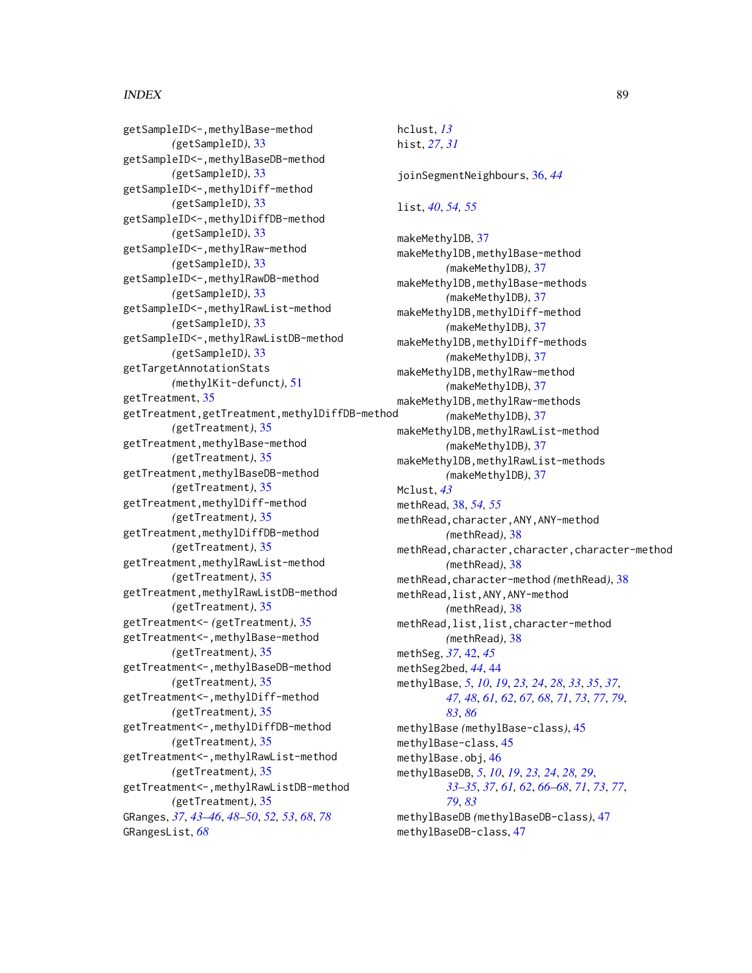getSampleID<-,methylBase-method *(*getSampleID*)*, [33](#page-32-0) getSampleID<-,methylBaseDB-method *(*getSampleID*)*, [33](#page-32-0) getSampleID<-,methylDiff-method *(*getSampleID*)*, [33](#page-32-0) getSampleID<-,methylDiffDB-method *(*getSampleID*)*, [33](#page-32-0) getSampleID<-,methylRaw-method *(*getSampleID*)*, [33](#page-32-0) getSampleID<-,methylRawDB-method *(*getSampleID*)*, [33](#page-32-0) getSampleID<-,methylRawList-method *(*getSampleID*)*, [33](#page-32-0) getSampleID<-,methylRawListDB-method *(*getSampleID*)*, [33](#page-32-0) getTargetAnnotationStats *(*methylKit-defunct*)*, [51](#page-50-1) getTreatment, [35](#page-34-0) getTreatment,getTreatment,methylDiffDB-method *(*getTreatment*)*, [35](#page-34-0) getTreatment,methylBase-method *(*getTreatment*)*, [35](#page-34-0) getTreatment,methylBaseDB-method *(*getTreatment*)*, [35](#page-34-0) getTreatment,methylDiff-method *(*getTreatment*)*, [35](#page-34-0) getTreatment,methylDiffDB-method *(*getTreatment*)*, [35](#page-34-0) getTreatment,methylRawList-method *(*getTreatment*)*, [35](#page-34-0) getTreatment,methylRawListDB-method *(*getTreatment*)*, [35](#page-34-0) getTreatment<- *(*getTreatment*)*, [35](#page-34-0) getTreatment<-,methylBase-method *(*getTreatment*)*, [35](#page-34-0) getTreatment<-,methylBaseDB-method *(*getTreatment*)*, [35](#page-34-0) getTreatment<-,methylDiff-method *(*getTreatment*)*, [35](#page-34-0) getTreatment<-,methylDiffDB-method *(*getTreatment*)*, [35](#page-34-0) getTreatment<-,methylRawList-method *(*getTreatment*)*, [35](#page-34-0) getTreatment<-,methylRawListDB-method *(*getTreatment*)*, [35](#page-34-0) GRanges, *[37](#page-36-0)*, *[43](#page-42-0)[–46](#page-45-0)*, *[48–](#page-47-1)[50](#page-49-0)*, *[52,](#page-51-0) [53](#page-52-1)*, *[68](#page-67-0)*, *[78](#page-77-0)* GRangesList, *[68](#page-67-0)*

hclust, *[13](#page-12-0)* hist, *[27](#page-26-0)*, *[31](#page-30-0)* joinSegmentNeighbours, [36,](#page-35-0) *[44](#page-43-0)* list, *[40](#page-39-0)*, *[54,](#page-53-1) [55](#page-54-1)* makeMethylDB, [37](#page-36-0) makeMethylDB,methylBase-method *(*makeMethylDB*)*, [37](#page-36-0) makeMethylDB,methylBase-methods *(*makeMethylDB*)*, [37](#page-36-0) makeMethylDB,methylDiff-method *(*makeMethylDB*)*, [37](#page-36-0) makeMethylDB,methylDiff-methods *(*makeMethylDB*)*, [37](#page-36-0) makeMethylDB,methylRaw-method *(*makeMethylDB*)*, [37](#page-36-0) makeMethylDB,methylRaw-methods *(*makeMethylDB*)*, [37](#page-36-0) makeMethylDB,methylRawList-method *(*makeMethylDB*)*, [37](#page-36-0) makeMethylDB,methylRawList-methods *(*makeMethylDB*)*, [37](#page-36-0) Mclust, *[43](#page-42-0)* methRead, [38,](#page-37-0) *[54,](#page-53-1) [55](#page-54-1)* methRead,character,ANY,ANY-method *(*methRead*)*, [38](#page-37-0) methRead,character,character,character-method *(*methRead*)*, [38](#page-37-0) methRead,character-method *(*methRead*)*, [38](#page-37-0) methRead,list,ANY,ANY-method *(*methRead*)*, [38](#page-37-0) methRead,list,list,character-method *(*methRead*)*, [38](#page-37-0) methSeg, *[37](#page-36-0)*, [42,](#page-41-0) *[45](#page-44-1)* methSeg2bed, *[44](#page-43-0)*, [44](#page-43-0) methylBase, *[5](#page-4-0)*, *[10](#page-9-0)*, *[19](#page-18-0)*, *[23,](#page-22-0) [24](#page-23-0)*, *[28](#page-27-0)*, *[33](#page-32-0)*, *[35](#page-34-0)*, *[37](#page-36-0)*, *[47,](#page-46-1) [48](#page-47-1)*, *[61,](#page-60-0) [62](#page-61-0)*, *[67,](#page-66-0) [68](#page-67-0)*, *[71](#page-70-0)*, *[73](#page-72-0)*, *[77](#page-76-0)*, *[79](#page-78-0)*, *[83](#page-82-0)*, *[86](#page-85-0)* methylBase *(*methylBase-class*)*, [45](#page-44-1) methylBase-class, [45](#page-44-1) methylBase.obj, [46](#page-45-0) methylBaseDB, *[5](#page-4-0)*, *[10](#page-9-0)*, *[19](#page-18-0)*, *[23,](#page-22-0) [24](#page-23-0)*, *[28,](#page-27-0) [29](#page-28-0)*, *[33](#page-32-0)[–35](#page-34-0)*, *[37](#page-36-0)*, *[61,](#page-60-0) [62](#page-61-0)*, *[66](#page-65-0)[–68](#page-67-0)*, *[71](#page-70-0)*, *[73](#page-72-0)*, *[77](#page-76-0)*, *[79](#page-78-0)*, *[83](#page-82-0)* methylBaseDB *(*methylBaseDB-class*)*, [47](#page-46-1) methylBaseDB-class, [47](#page-46-1)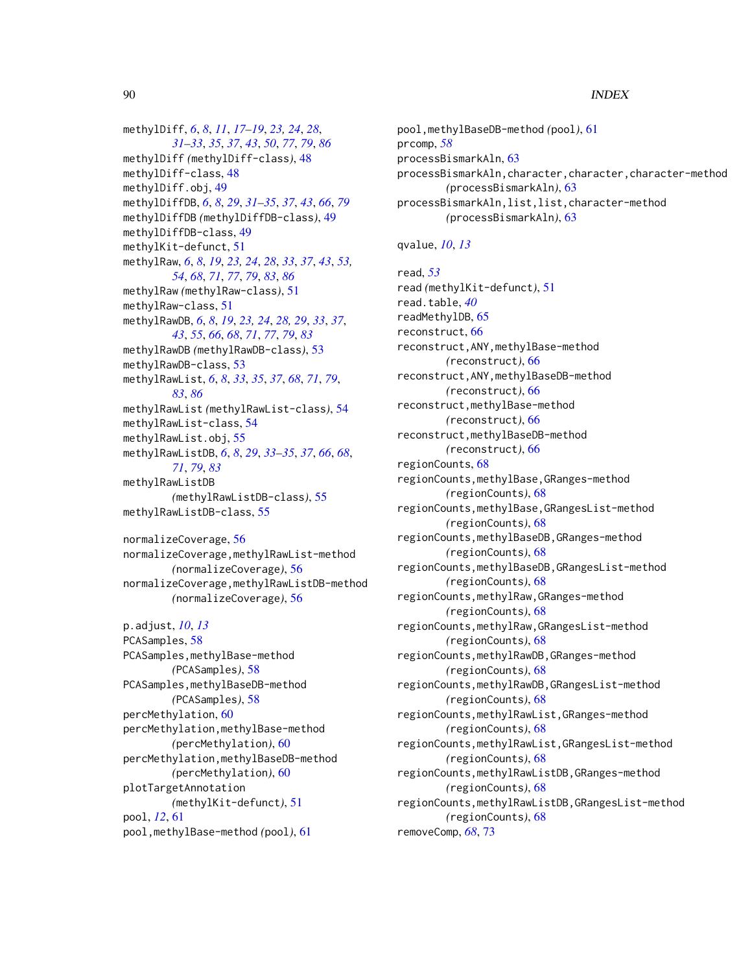methylDiff, *[6](#page-5-0)*, *[8](#page-7-0)*, *[11](#page-10-0)*, *[17–](#page-16-0)[19](#page-18-0)*, *[23,](#page-22-0) [24](#page-23-0)*, *[28](#page-27-0)*, *[31](#page-30-0)[–33](#page-32-0)*, *[35](#page-34-0)*, *[37](#page-36-0)*, *[43](#page-42-0)*, *[50](#page-49-0)*, *[77](#page-76-0)*, *[79](#page-78-0)*, *[86](#page-85-0)* methylDiff *(*methylDiff-class*)*, [48](#page-47-1) methylDiff-class, [48](#page-47-1) methylDiff.obj, [49](#page-48-1) methylDiffDB, *[6](#page-5-0)*, *[8](#page-7-0)*, *[29](#page-28-0)*, *[31–](#page-30-0)[35](#page-34-0)*, *[37](#page-36-0)*, *[43](#page-42-0)*, *[66](#page-65-0)*, *[79](#page-78-0)* methylDiffDB *(*methylDiffDB-class*)*, [49](#page-48-1) methylDiffDB-class, [49](#page-48-1) methylKit-defunct, [51](#page-50-1) methylRaw, *[6](#page-5-0)*, *[8](#page-7-0)*, *[19](#page-18-0)*, *[23,](#page-22-0) [24](#page-23-0)*, *[28](#page-27-0)*, *[33](#page-32-0)*, *[37](#page-36-0)*, *[43](#page-42-0)*, *[53,](#page-52-1) [54](#page-53-1)*, *[68](#page-67-0)*, *[71](#page-70-0)*, *[77](#page-76-0)*, *[79](#page-78-0)*, *[83](#page-82-0)*, *[86](#page-85-0)* methylRaw *(*methylRaw-class*)*, [51](#page-50-1) methylRaw-class, [51](#page-50-1) methylRawDB, *[6](#page-5-0)*, *[8](#page-7-0)*, *[19](#page-18-0)*, *[23,](#page-22-0) [24](#page-23-0)*, *[28,](#page-27-0) [29](#page-28-0)*, *[33](#page-32-0)*, *[37](#page-36-0)*, *[43](#page-42-0)*, *[55](#page-54-1)*, *[66](#page-65-0)*, *[68](#page-67-0)*, *[71](#page-70-0)*, *[77](#page-76-0)*, *[79](#page-78-0)*, *[83](#page-82-0)* methylRawDB *(*methylRawDB-class*)*, [53](#page-52-1) methylRawDB-class, [53](#page-52-1) methylRawList, *[6](#page-5-0)*, *[8](#page-7-0)*, *[33](#page-32-0)*, *[35](#page-34-0)*, *[37](#page-36-0)*, *[68](#page-67-0)*, *[71](#page-70-0)*, *[79](#page-78-0)*, *[83](#page-82-0)*, *[86](#page-85-0)* methylRawList *(*methylRawList-class*)*, [54](#page-53-1) methylRawList-class, [54](#page-53-1) methylRawList.obj, [55](#page-54-1) methylRawListDB, *[6](#page-5-0)*, *[8](#page-7-0)*, *[29](#page-28-0)*, *[33–](#page-32-0)[35](#page-34-0)*, *[37](#page-36-0)*, *[66](#page-65-0)*, *[68](#page-67-0)*, *[71](#page-70-0)*, *[79](#page-78-0)*, *[83](#page-82-0)* methylRawListDB *(*methylRawListDB-class*)*, [55](#page-54-1) methylRawListDB-class, [55](#page-54-1)

normalizeCoverage, [56](#page-55-0) normalizeCoverage,methylRawList-method *(*normalizeCoverage*)*, [56](#page-55-0) normalizeCoverage,methylRawListDB-method *(*normalizeCoverage*)*, [56](#page-55-0)

```
p.adjust, 10, 13
PCASamples, 58
PCASamples, methylBase-method
        (PCASamples), 58
PCASamples,methylBaseDB-method
        (PCASamples), 58
percMethylation, 60
percMethylation,methylBase-method
        (percMethylation), 60
percMethylation,methylBaseDB-method
        (percMethylation), 60
plotTargetAnnotation
        (methylKit-defunct), 51
pool, 12, 61
pool,methylBase-method (pool), 61
```
pool,methylBaseDB-method *(*pool*)*, [61](#page-60-0) prcomp, *[58](#page-57-0)* processBismarkAln, [63](#page-62-0) processBismarkAln,character,character,character-method *(*processBismarkAln*)*, [63](#page-62-0) processBismarkAln,list,list,character-method *(*processBismarkAln*)*, [63](#page-62-0)

qvalue, *[10](#page-9-0)*, *[13](#page-12-0)*

read, *[53](#page-52-1)* read *(*methylKit-defunct*)*, [51](#page-50-1) read.table, *[40](#page-39-0)* readMethylDB, [65](#page-64-0) reconstruct, [66](#page-65-0) reconstruct,ANY,methylBase-method *(*reconstruct*)*, [66](#page-65-0) reconstruct,ANY,methylBaseDB-method *(*reconstruct*)*, [66](#page-65-0) reconstruct,methylBase-method *(*reconstruct*)*, [66](#page-65-0) reconstruct,methylBaseDB-method *(*reconstruct*)*, [66](#page-65-0) regionCounts, [68](#page-67-0) regionCounts,methylBase,GRanges-method *(*regionCounts*)*, [68](#page-67-0) regionCounts,methylBase,GRangesList-method *(*regionCounts*)*, [68](#page-67-0) regionCounts,methylBaseDB,GRanges-method *(*regionCounts*)*, [68](#page-67-0) regionCounts,methylBaseDB,GRangesList-method *(*regionCounts*)*, [68](#page-67-0) regionCounts,methylRaw,GRanges-method *(*regionCounts*)*, [68](#page-67-0) regionCounts,methylRaw,GRangesList-method *(*regionCounts*)*, [68](#page-67-0) regionCounts,methylRawDB,GRanges-method *(*regionCounts*)*, [68](#page-67-0) regionCounts,methylRawDB,GRangesList-method *(*regionCounts*)*, [68](#page-67-0) regionCounts,methylRawList,GRanges-method *(*regionCounts*)*, [68](#page-67-0) regionCounts,methylRawList,GRangesList-method *(*regionCounts*)*, [68](#page-67-0) regionCounts,methylRawListDB,GRanges-method *(*regionCounts*)*, [68](#page-67-0) regionCounts,methylRawListDB,GRangesList-method *(*regionCounts*)*, [68](#page-67-0) removeComp, *[68](#page-67-0)*, [73](#page-72-0)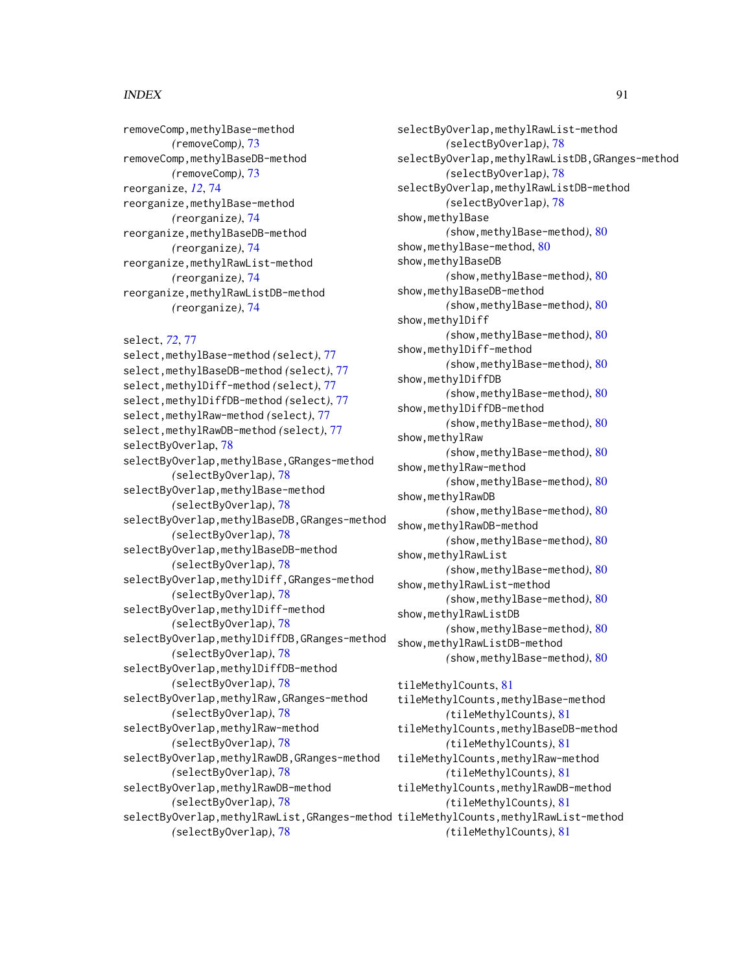removeComp, methylBase-method *(*removeComp*)*, [73](#page-72-0) removeComp,methylBaseDB-method *(*removeComp*)*, [73](#page-72-0) reorganize, *[12](#page-11-0)*, [74](#page-73-0) reorganize,methylBase-method *(*reorganize*)*, [74](#page-73-0) reorganize,methylBaseDB-method *(*reorganize*)*, [74](#page-73-0) reorganize,methylRawList-method *(*reorganize*)*, [74](#page-73-0) reorganize,methylRawListDB-method *(*reorganize*)*, [74](#page-73-0)

select, *[72](#page-71-0)*, [77](#page-76-0)

select,methylBase-method *(*select*)*, [77](#page-76-0) select,methylBaseDB-method *(*select*)*, [77](#page-76-0) select,methylDiff-method *(*select*)*, [77](#page-76-0) select,methylDiffDB-method *(*select*)*, [77](#page-76-0) select,methylRaw-method *(*select*)*, [77](#page-76-0) select,methylRawDB-method *(*select*)*, [77](#page-76-0) selectByOverlap, [78](#page-77-0) selectByOverlap,methylBase,GRanges-method *(*selectByOverlap*)*, [78](#page-77-0) selectByOverlap,methylBase-method *(*selectByOverlap*)*, [78](#page-77-0) selectByOverlap,methylBaseDB,GRanges-method *(*selectByOverlap*)*, [78](#page-77-0) selectByOverlap,methylBaseDB-method *(*selectByOverlap*)*, [78](#page-77-0) selectByOverlap,methylDiff,GRanges-method *(*selectByOverlap*)*, [78](#page-77-0) selectByOverlap,methylDiff-method *(*selectByOverlap*)*, [78](#page-77-0) selectByOverlap,methylDiffDB,GRanges-method *(*selectByOverlap*)*, [78](#page-77-0) selectByOverlap,methylDiffDB-method *(*selectByOverlap*)*, [78](#page-77-0) selectByOverlap,methylRaw,GRanges-method *(*selectByOverlap*)*, [78](#page-77-0) selectByOverlap,methylRaw-method *(*selectByOverlap*)*, [78](#page-77-0) selectByOverlap,methylRawDB,GRanges-method *(*selectByOverlap*)*, [78](#page-77-0) selectByOverlap,methylRawDB-method *(*selectByOverlap*)*, [78](#page-77-0) selectByOverlap,methylRawList,GRanges-method tileMethylCounts,methylRawList-method *(*selectByOverlap*)*, [78](#page-77-0)

selectByOverlap,methylRawList-method *(*selectByOverlap*)*, [78](#page-77-0) selectByOverlap,methylRawListDB,GRanges-method *(*selectByOverlap*)*, [78](#page-77-0) selectByOverlap,methylRawListDB-method *(*selectByOverlap*)*, [78](#page-77-0) show,methylBase *(*show,methylBase-method*)*, [80](#page-79-0) show, methylBase-method, [80](#page-79-0) show,methylBaseDB *(*show,methylBase-method*)*, [80](#page-79-0) show,methylBaseDB-method *(*show,methylBase-method*)*, [80](#page-79-0) show,methylDiff *(*show,methylBase-method*)*, [80](#page-79-0) show,methylDiff-method *(*show,methylBase-method*)*, [80](#page-79-0) show,methylDiffDB *(*show,methylBase-method*)*, [80](#page-79-0) show,methylDiffDB-method *(*show,methylBase-method*)*, [80](#page-79-0) show,methylRaw *(*show,methylBase-method*)*, [80](#page-79-0) show,methylRaw-method *(*show,methylBase-method*)*, [80](#page-79-0) show,methylRawDB *(*show,methylBase-method*)*, [80](#page-79-0) show, methylRawDB-method *(*show,methylBase-method*)*, [80](#page-79-0) show,methylRawList *(*show,methylBase-method*)*, [80](#page-79-0) show,methylRawList-method *(*show,methylBase-method*)*, [80](#page-79-0) show,methylRawListDB *(*show,methylBase-method*)*, [80](#page-79-0) show,methylRawListDB-method *(*show,methylBase-method*)*, [80](#page-79-0) tileMethylCounts, [81](#page-80-0) tileMethylCounts,methylBase-method *(*tileMethylCounts*)*, [81](#page-80-0) tileMethylCounts,methylBaseDB-method *(*tileMethylCounts*)*, [81](#page-80-0) tileMethylCounts,methylRaw-method *(*tileMethylCounts*)*, [81](#page-80-0) tileMethylCounts,methylRawDB-method *(*tileMethylCounts*)*, [81](#page-80-0)

```
(tileMethylCounts), 81
```